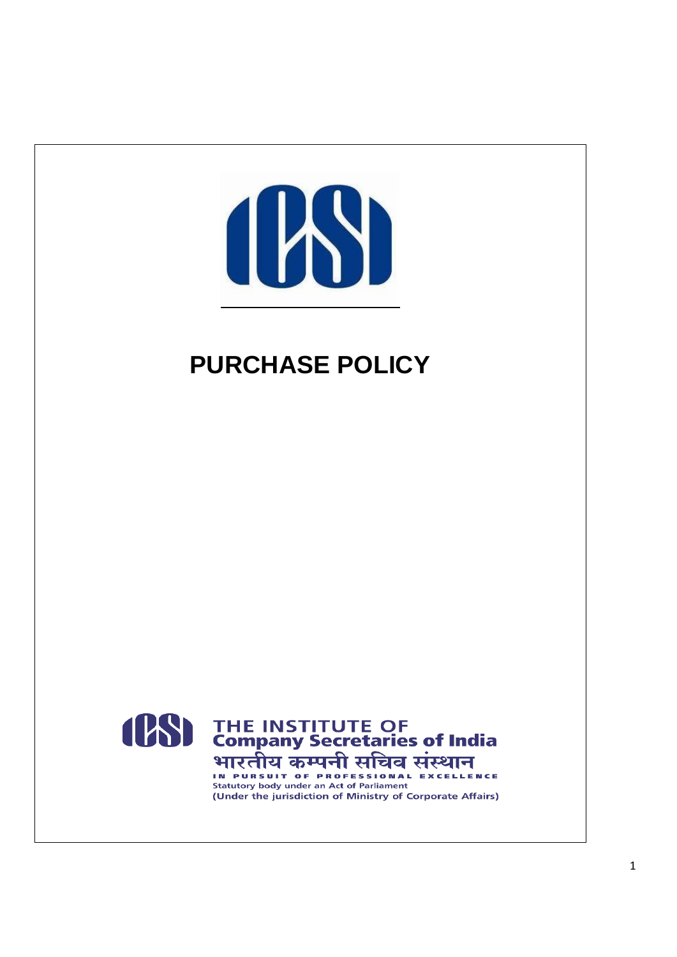

# **PURCHASE POLICY**



**Statutory body under an Act of Parliament** (Under the jurisdiction of Ministry of Corporate Affairs)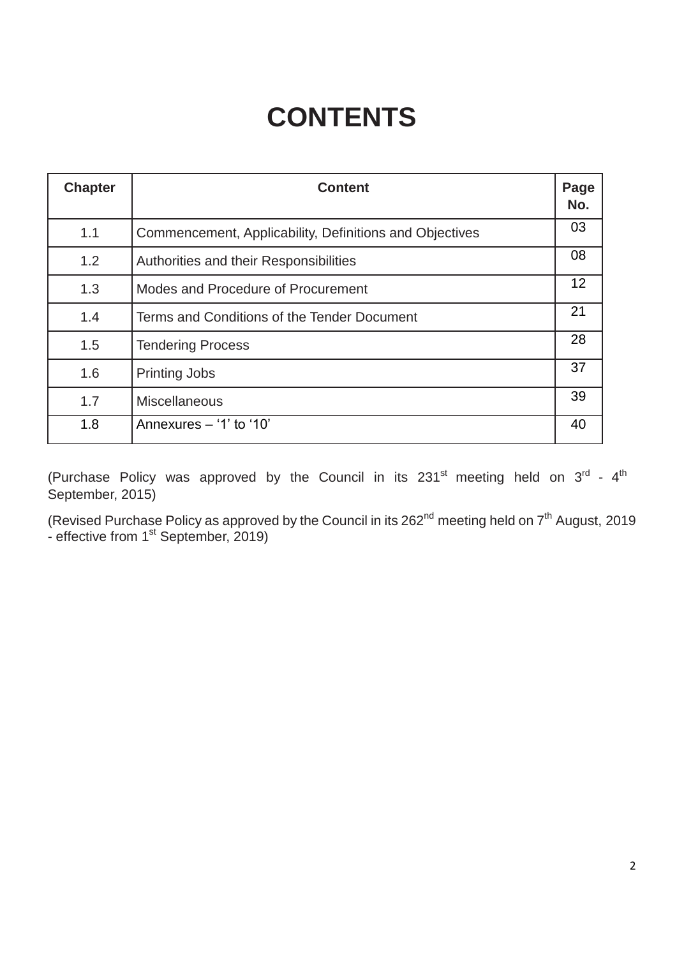# **CONTENTS**

| <b>Chapter</b> | <b>Content</b>                                          | Page<br>No. |
|----------------|---------------------------------------------------------|-------------|
| 1.1            | Commencement, Applicability, Definitions and Objectives | 03          |
| 1.2            | Authorities and their Responsibilities                  | 08          |
| 1.3            | Modes and Procedure of Procurement                      | 12          |
| 1.4            | Terms and Conditions of the Tender Document             | 21          |
| 1.5            | <b>Tendering Process</b>                                | 28          |
| 1.6            | <b>Printing Jobs</b>                                    | 37          |
| 1.7            | <b>Miscellaneous</b>                                    | 39          |
| 1.8            | Annexures - '1' to '10'                                 | 40          |

(Purchase Policy was approved by the Council in its 231<sup>st</sup> meeting held on  $3^{\text{rd}}$  - 4<sup>th</sup> September, 2015)

(Revised Purchase Policy as approved by the Council in its 262<sup>nd</sup> meeting held on  $7<sup>th</sup>$  August, 2019 - effective from  $1<sup>st</sup>$  September, 2019)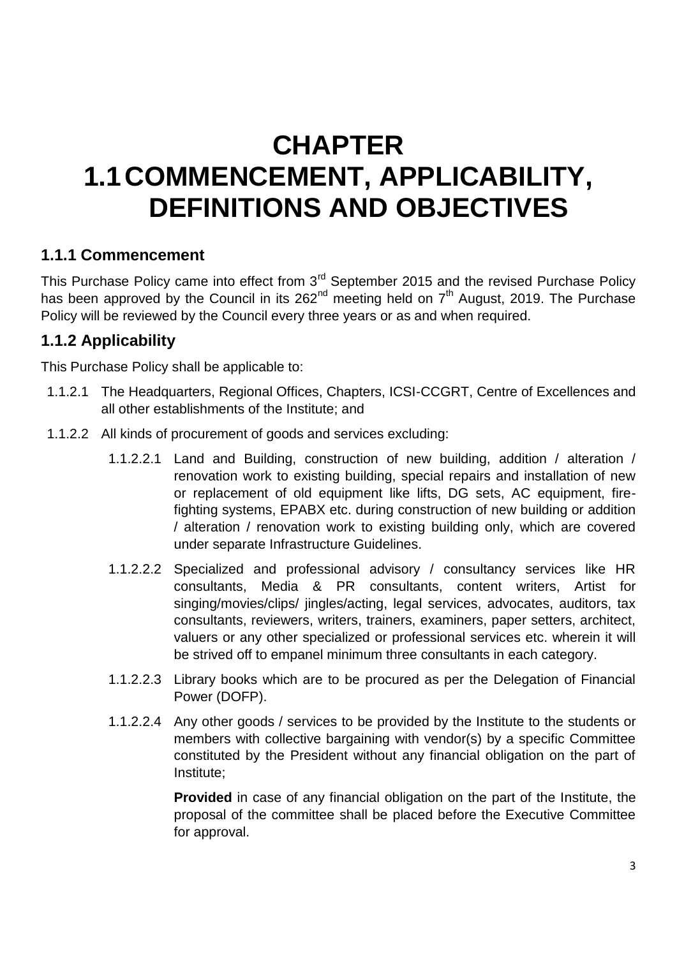# **CHAPTER 1.1COMMENCEMENT, APPLICABILITY, DEFINITIONS AND OBJECTIVES**

### **1.1.1 Commencement**

This Purchase Policy came into effect from  $3<sup>rd</sup>$  September 2015 and the revised Purchase Policy has been approved by the Council in its  $262<sup>nd</sup>$  meeting held on  $7<sup>th</sup>$  August, 2019. The Purchase Policy will be reviewed by the Council every three years or as and when required.

# **1.1.2 Applicability**

This Purchase Policy shall be applicable to:

- 1.1.2.1 The Headquarters, Regional Offices, Chapters, ICSI-CCGRT, Centre of Excellences and all other establishments of the Institute; and
- 1.1.2.2 All kinds of procurement of goods and services excluding:
	- 1.1.2.2.1 Land and Building, construction of new building, addition / alteration / renovation work to existing building, special repairs and installation of new or replacement of old equipment like lifts, DG sets, AC equipment, firefighting systems, EPABX etc. during construction of new building or addition / alteration / renovation work to existing building only, which are covered under separate Infrastructure Guidelines.
	- 1.1.2.2.2 Specialized and professional advisory / consultancy services like HR consultants, Media & PR consultants, content writers, Artist for singing/movies/clips/ jingles/acting, legal services, advocates, auditors, tax consultants, reviewers, writers, trainers, examiners, paper setters, architect, valuers or any other specialized or professional services etc. wherein it will be strived off to empanel minimum three consultants in each category.
	- 1.1.2.2.3 Library books which are to be procured as per the Delegation of Financial Power (DOFP).
	- 1.1.2.2.4 Any other goods / services to be provided by the Institute to the students or members with collective bargaining with vendor(s) by a specific Committee constituted by the President without any financial obligation on the part of Institute;

**Provided** in case of any financial obligation on the part of the Institute, the proposal of the committee shall be placed before the Executive Committee for approval.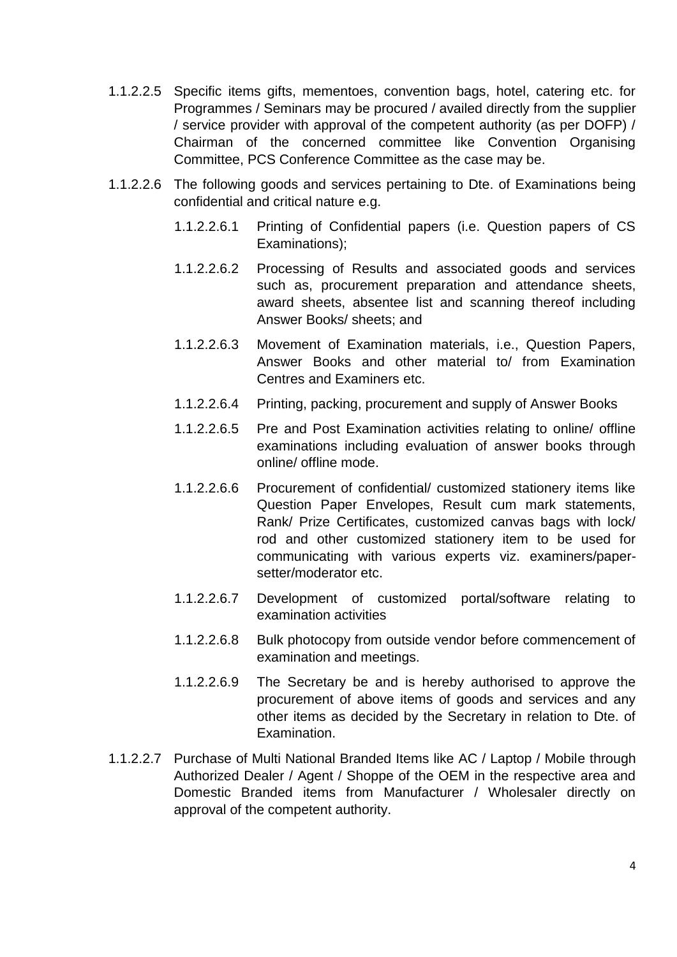- 1.1.2.2.5 Specific items gifts, mementoes, convention bags, hotel, catering etc. for Programmes / Seminars may be procured / availed directly from the supplier / service provider with approval of the competent authority (as per DOFP) / Chairman of the concerned committee like Convention Organising Committee, PCS Conference Committee as the case may be.
- 1.1.2.2.6 The following goods and services pertaining to Dte. of Examinations being confidential and critical nature e.g.
	- 1.1.2.2.6.1 Printing of Confidential papers (i.e. Question papers of CS Examinations);
	- 1.1.2.2.6.2 Processing of Results and associated goods and services such as, procurement preparation and attendance sheets, award sheets, absentee list and scanning thereof including Answer Books/ sheets; and
	- 1.1.2.2.6.3 Movement of Examination materials, i.e., Question Papers, Answer Books and other material to/ from Examination Centres and Examiners etc.
	- 1.1.2.2.6.4 Printing, packing, procurement and supply of Answer Books
	- 1.1.2.2.6.5 Pre and Post Examination activities relating to online/ offline examinations including evaluation of answer books through online/ offline mode.
	- 1.1.2.2.6.6 Procurement of confidential/ customized stationery items like Question Paper Envelopes, Result cum mark statements, Rank/ Prize Certificates, customized canvas bags with lock/ rod and other customized stationery item to be used for communicating with various experts viz. examiners/papersetter/moderator etc.
	- 1.1.2.2.6.7 Development of customized portal/software relating to examination activities
	- 1.1.2.2.6.8 Bulk photocopy from outside vendor before commencement of examination and meetings.
	- 1.1.2.2.6.9 The Secretary be and is hereby authorised to approve the procurement of above items of goods and services and any other items as decided by the Secretary in relation to Dte. of Examination.
- 1.1.2.2.7 Purchase of Multi National Branded Items like AC / Laptop / Mobile through Authorized Dealer / Agent / Shoppe of the OEM in the respective area and Domestic Branded items from Manufacturer / Wholesaler directly on approval of the competent authority.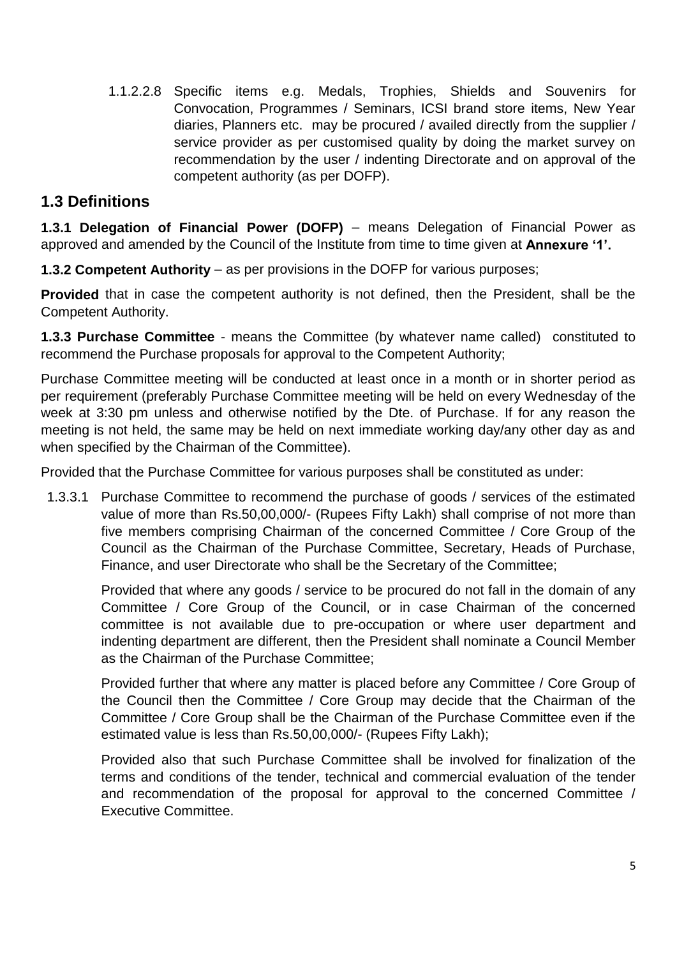1.1.2.2.8 Specific items e.g. Medals, Trophies, Shields and Souvenirs for Convocation, Programmes / Seminars, ICSI brand store items, New Year diaries, Planners etc. may be procured / availed directly from the supplier / service provider as per customised quality by doing the market survey on recommendation by the user / indenting Directorate and on approval of the competent authority (as per DOFP).

## **1.3 Definitions**

**1.3.1 Delegation of Financial Power (DOFP)** – means Delegation of Financial Power as approved and amended by the Council of the Institute from time to time given at **Annexure '1'.**

**1.3.2 Competent Authority** – as per provisions in the DOFP for various purposes;

**Provided** that in case the competent authority is not defined, then the President, shall be the Competent Authority.

**1.3.3 Purchase Committee** - means the Committee (by whatever name called) constituted to recommend the Purchase proposals for approval to the Competent Authority;

Purchase Committee meeting will be conducted at least once in a month or in shorter period as per requirement (preferably Purchase Committee meeting will be held on every Wednesday of the week at 3:30 pm unless and otherwise notified by the Dte. of Purchase. If for any reason the meeting is not held, the same may be held on next immediate working day/any other day as and when specified by the Chairman of the Committee).

Provided that the Purchase Committee for various purposes shall be constituted as under:

1.3.3.1 Purchase Committee to recommend the purchase of goods / services of the estimated value of more than Rs.50,00,000/- (Rupees Fifty Lakh) shall comprise of not more than five members comprising Chairman of the concerned Committee / Core Group of the Council as the Chairman of the Purchase Committee, Secretary, Heads of Purchase, Finance, and user Directorate who shall be the Secretary of the Committee;

Provided that where any goods / service to be procured do not fall in the domain of any Committee / Core Group of the Council, or in case Chairman of the concerned committee is not available due to pre-occupation or where user department and indenting department are different, then the President shall nominate a Council Member as the Chairman of the Purchase Committee;

Provided further that where any matter is placed before any Committee / Core Group of the Council then the Committee / Core Group may decide that the Chairman of the Committee / Core Group shall be the Chairman of the Purchase Committee even if the estimated value is less than Rs.50,00,000/- (Rupees Fifty Lakh);

Provided also that such Purchase Committee shall be involved for finalization of the terms and conditions of the tender, technical and commercial evaluation of the tender and recommendation of the proposal for approval to the concerned Committee / Executive Committee.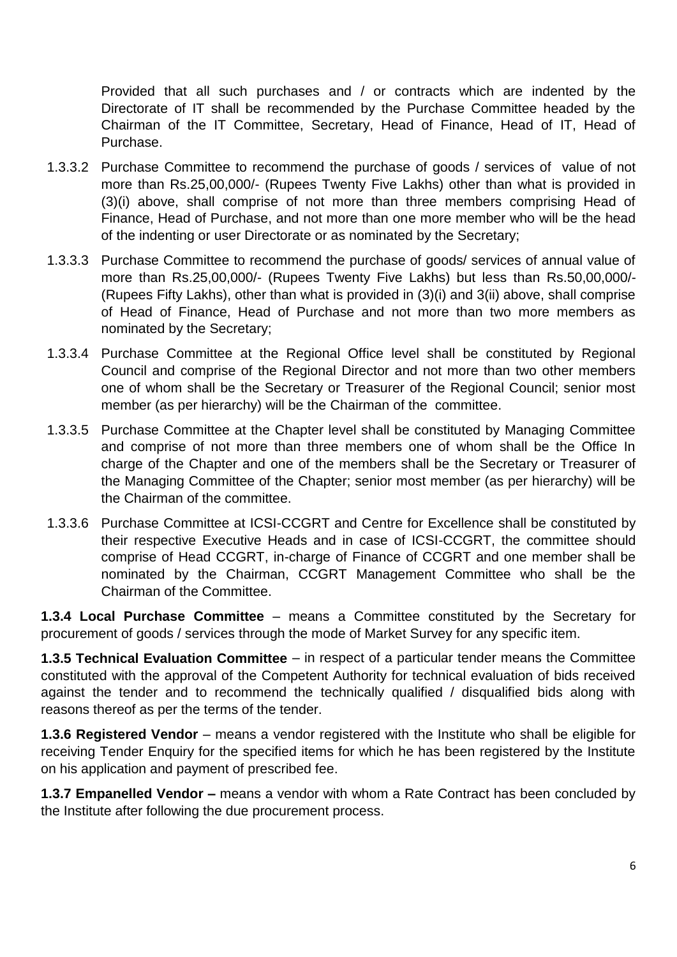Provided that all such purchases and / or contracts which are indented by the Directorate of IT shall be recommended by the Purchase Committee headed by the Chairman of the IT Committee, Secretary, Head of Finance, Head of IT, Head of Purchase.

- 1.3.3.2 Purchase Committee to recommend the purchase of goods / services of value of not more than Rs.25,00,000/- (Rupees Twenty Five Lakhs) other than what is provided in (3)(i) above, shall comprise of not more than three members comprising Head of Finance, Head of Purchase, and not more than one more member who will be the head of the indenting or user Directorate or as nominated by the Secretary;
- 1.3.3.3 Purchase Committee to recommend the purchase of goods/ services of annual value of more than Rs.25,00,000/- (Rupees Twenty Five Lakhs) but less than Rs.50,00,000/- (Rupees Fifty Lakhs), other than what is provided in (3)(i) and 3(ii) above, shall comprise of Head of Finance, Head of Purchase and not more than two more members as nominated by the Secretary;
- 1.3.3.4 Purchase Committee at the Regional Office level shall be constituted by Regional Council and comprise of the Regional Director and not more than two other members one of whom shall be the Secretary or Treasurer of the Regional Council; senior most member (as per hierarchy) will be the Chairman of the committee.
- 1.3.3.5 Purchase Committee at the Chapter level shall be constituted by Managing Committee and comprise of not more than three members one of whom shall be the Office In charge of the Chapter and one of the members shall be the Secretary or Treasurer of the Managing Committee of the Chapter; senior most member (as per hierarchy) will be the Chairman of the committee.
- 1.3.3.6 Purchase Committee at ICSI-CCGRT and Centre for Excellence shall be constituted by their respective Executive Heads and in case of ICSI-CCGRT, the committee should comprise of Head CCGRT, in-charge of Finance of CCGRT and one member shall be nominated by the Chairman, CCGRT Management Committee who shall be the Chairman of the Committee.

**1.3.4 Local Purchase Committee** – means a Committee constituted by the Secretary for procurement of goods / services through the mode of Market Survey for any specific item.

**1.3.5 Technical Evaluation Committee** – in respect of a particular tender means the Committee constituted with the approval of the Competent Authority for technical evaluation of bids received against the tender and to recommend the technically qualified / disqualified bids along with reasons thereof as per the terms of the tender.

**1.3.6 Registered Vendor** – means a vendor registered with the Institute who shall be eligible for receiving Tender Enquiry for the specified items for which he has been registered by the Institute on his application and payment of prescribed fee.

**1.3.7 Empanelled Vendor –** means a vendor with whom a Rate Contract has been concluded by the Institute after following the due procurement process.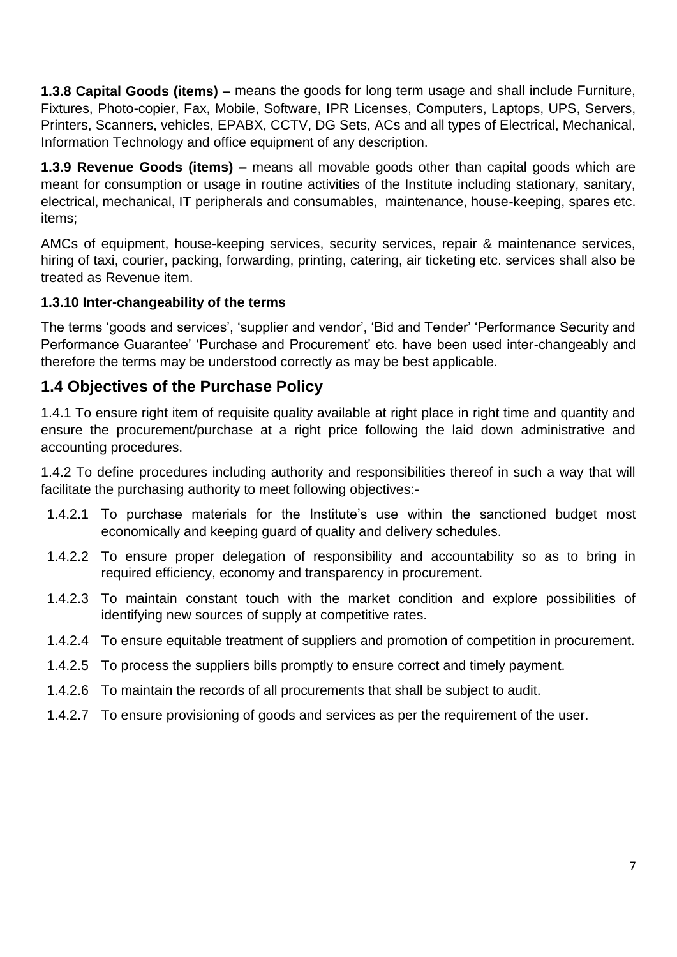**1.3.8 Capital Goods (items) –** means the goods for long term usage and shall include Furniture, Fixtures, Photo-copier, Fax, Mobile, Software, IPR Licenses, Computers, Laptops, UPS, Servers, Printers, Scanners, vehicles, EPABX, CCTV, DG Sets, ACs and all types of Electrical, Mechanical, Information Technology and office equipment of any description.

**1.3.9 Revenue Goods (items) –** means all movable goods other than capital goods which are meant for consumption or usage in routine activities of the Institute including stationary, sanitary, electrical, mechanical, IT peripherals and consumables, maintenance, house-keeping, spares etc. items;

AMCs of equipment, house-keeping services, security services, repair & maintenance services, hiring of taxi, courier, packing, forwarding, printing, catering, air ticketing etc. services shall also be treated as Revenue item.

### **1.3.10 Inter-changeability of the terms**

The terms 'goods and services', 'supplier and vendor', 'Bid and Tender' 'Performance Security and Performance Guarantee' 'Purchase and Procurement' etc. have been used inter-changeably and therefore the terms may be understood correctly as may be best applicable.

# **1.4 Objectives of the Purchase Policy**

1.4.1 To ensure right item of requisite quality available at right place in right time and quantity and ensure the procurement/purchase at a right price following the laid down administrative and accounting procedures.

1.4.2 To define procedures including authority and responsibilities thereof in such a way that will facilitate the purchasing authority to meet following objectives:-

- 1.4.2.1 To purchase materials for the Institute's use within the sanctioned budget most economically and keeping guard of quality and delivery schedules.
- 1.4.2.2 To ensure proper delegation of responsibility and accountability so as to bring in required efficiency, economy and transparency in procurement.
- 1.4.2.3 To maintain constant touch with the market condition and explore possibilities of identifying new sources of supply at competitive rates.
- 1.4.2.4 To ensure equitable treatment of suppliers and promotion of competition in procurement.
- 1.4.2.5 To process the suppliers bills promptly to ensure correct and timely payment.
- 1.4.2.6 To maintain the records of all procurements that shall be subject to audit.
- 1.4.2.7 To ensure provisioning of goods and services as per the requirement of the user.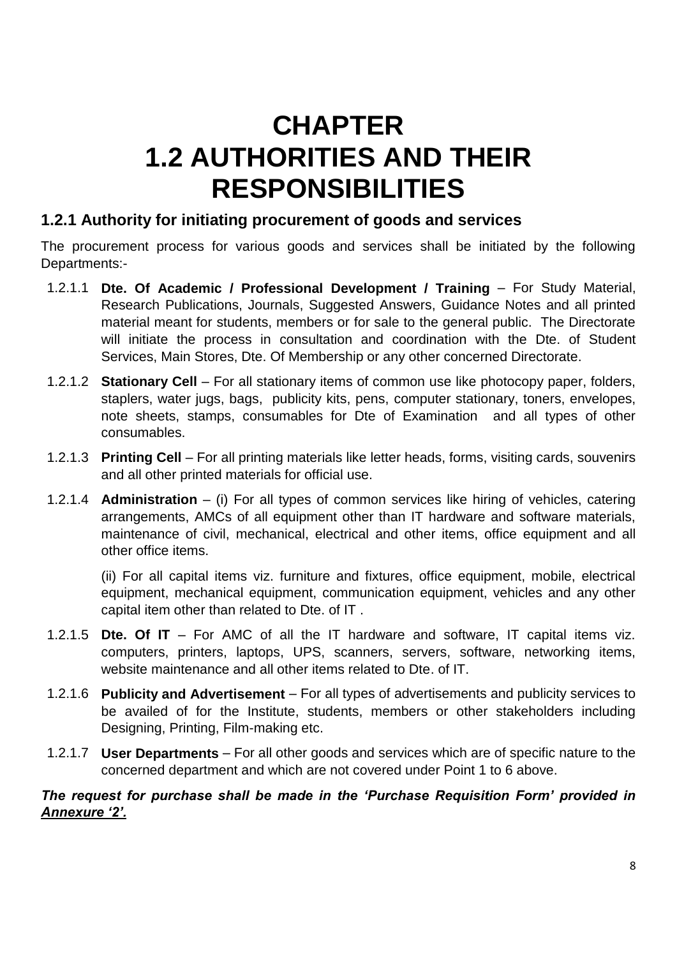# **CHAPTER 1.2 AUTHORITIES AND THEIR RESPONSIBILITIES**

# **1.2.1 Authority for initiating procurement of goods and services**

The procurement process for various goods and services shall be initiated by the following Departments:-

- 1.2.1.1 **Dte. Of Academic / Professional Development / Training**  For Study Material, Research Publications, Journals, Suggested Answers, Guidance Notes and all printed material meant for students, members or for sale to the general public. The Directorate will initiate the process in consultation and coordination with the Dte. of Student Services, Main Stores, Dte. Of Membership or any other concerned Directorate.
- 1.2.1.2 **Stationary Cell** For all stationary items of common use like photocopy paper, folders, staplers, water jugs, bags, publicity kits, pens, computer stationary, toners, envelopes, note sheets, stamps, consumables for Dte of Examination and all types of other consumables.
- 1.2.1.3 **Printing Cell** For all printing materials like letter heads, forms, visiting cards, souvenirs and all other printed materials for official use.
- 1.2.1.4 **Administration** (i) For all types of common services like hiring of vehicles, catering arrangements, AMCs of all equipment other than IT hardware and software materials, maintenance of civil, mechanical, electrical and other items, office equipment and all other office items.

(ii) For all capital items viz. furniture and fixtures, office equipment, mobile, electrical equipment, mechanical equipment, communication equipment, vehicles and any other capital item other than related to Dte. of IT .

- 1.2.1.5 **Dte. Of IT** For AMC of all the IT hardware and software, IT capital items viz. computers, printers, laptops, UPS, scanners, servers, software, networking items, website maintenance and all other items related to Dte. of IT.
- 1.2.1.6 **Publicity and Advertisement** For all types of advertisements and publicity services to be availed of for the Institute, students, members or other stakeholders including Designing, Printing, Film-making etc.
- 1.2.1.7 **User Departments** For all other goods and services which are of specific nature to the concerned department and which are not covered under Point 1 to 6 above.

### *The request for purchase shall be made in the 'Purchase Requisition Form' provided in Annexure '2'.*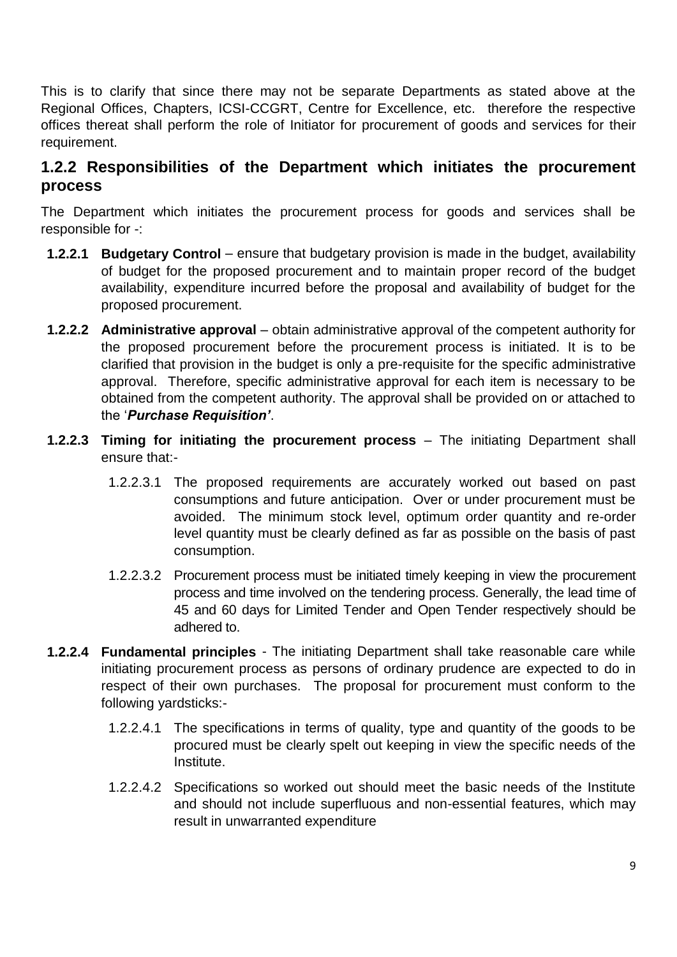This is to clarify that since there may not be separate Departments as stated above at the Regional Offices, Chapters, ICSI-CCGRT, Centre for Excellence, etc. therefore the respective offices thereat shall perform the role of Initiator for procurement of goods and services for their requirement.

### **1.2.2 Responsibilities of the Department which initiates the procurement process**

The Department which initiates the procurement process for goods and services shall be responsible for -:

- **1.2.2.1 Budgetary Control** ensure that budgetary provision is made in the budget, availability of budget for the proposed procurement and to maintain proper record of the budget availability, expenditure incurred before the proposal and availability of budget for the proposed procurement.
- **1.2.2.2 Administrative approval** obtain administrative approval of the competent authority for the proposed procurement before the procurement process is initiated. It is to be clarified that provision in the budget is only a pre-requisite for the specific administrative approval. Therefore, specific administrative approval for each item is necessary to be obtained from the competent authority. The approval shall be provided on or attached to the '*Purchase Requisition'*.
- **1.2.2.3 Timing for initiating the procurement process** The initiating Department shall ensure that:-
	- 1.2.2.3.1 The proposed requirements are accurately worked out based on past consumptions and future anticipation. Over or under procurement must be avoided. The minimum stock level, optimum order quantity and re-order level quantity must be clearly defined as far as possible on the basis of past consumption.
	- 1.2.2.3.2 Procurement process must be initiated timely keeping in view the procurement process and time involved on the tendering process. Generally, the lead time of 45 and 60 days for Limited Tender and Open Tender respectively should be adhered to.
- **1.2.2.4 Fundamental principles** The initiating Department shall take reasonable care while initiating procurement process as persons of ordinary prudence are expected to do in respect of their own purchases. The proposal for procurement must conform to the following yardsticks:-
	- 1.2.2.4.1 The specifications in terms of quality, type and quantity of the goods to be procured must be clearly spelt out keeping in view the specific needs of the Institute.
	- 1.2.2.4.2 Specifications so worked out should meet the basic needs of the Institute and should not include superfluous and non-essential features, which may result in unwarranted expenditure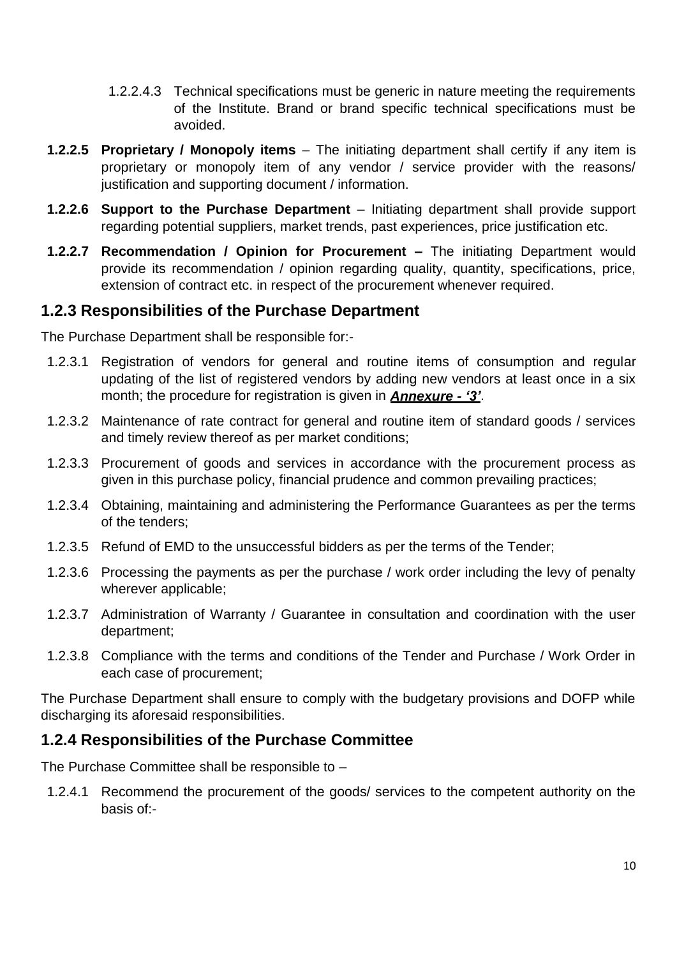- 1.2.2.4.3 Technical specifications must be generic in nature meeting the requirements of the Institute. Brand or brand specific technical specifications must be avoided.
- **1.2.2.5 Proprietary / Monopoly items** The initiating department shall certify if any item is proprietary or monopoly item of any vendor / service provider with the reasons/ justification and supporting document / information.
- **1.2.2.6 Support to the Purchase Department** Initiating department shall provide support regarding potential suppliers, market trends, past experiences, price justification etc.
- **1.2.2.7 Recommendation / Opinion for Procurement –** The initiating Department would provide its recommendation / opinion regarding quality, quantity, specifications, price, extension of contract etc. in respect of the procurement whenever required.

### **1.2.3 Responsibilities of the Purchase Department**

The Purchase Department shall be responsible for:-

- 1.2.3.1 Registration of vendors for general and routine items of consumption and regular updating of the list of registered vendors by adding new vendors at least once in a six month; the procedure for registration is given in *Annexure - '3'*.
- 1.2.3.2 Maintenance of rate contract for general and routine item of standard goods / services and timely review thereof as per market conditions;
- 1.2.3.3 Procurement of goods and services in accordance with the procurement process as given in this purchase policy, financial prudence and common prevailing practices;
- 1.2.3.4 Obtaining, maintaining and administering the Performance Guarantees as per the terms of the tenders;
- 1.2.3.5 Refund of EMD to the unsuccessful bidders as per the terms of the Tender;
- 1.2.3.6 Processing the payments as per the purchase / work order including the levy of penalty wherever applicable;
- 1.2.3.7 Administration of Warranty / Guarantee in consultation and coordination with the user department;
- 1.2.3.8 Compliance with the terms and conditions of the Tender and Purchase / Work Order in each case of procurement;

The Purchase Department shall ensure to comply with the budgetary provisions and DOFP while discharging its aforesaid responsibilities.

### **1.2.4 Responsibilities of the Purchase Committee**

The Purchase Committee shall be responsible to –

1.2.4.1 Recommend the procurement of the goods/ services to the competent authority on the basis of:-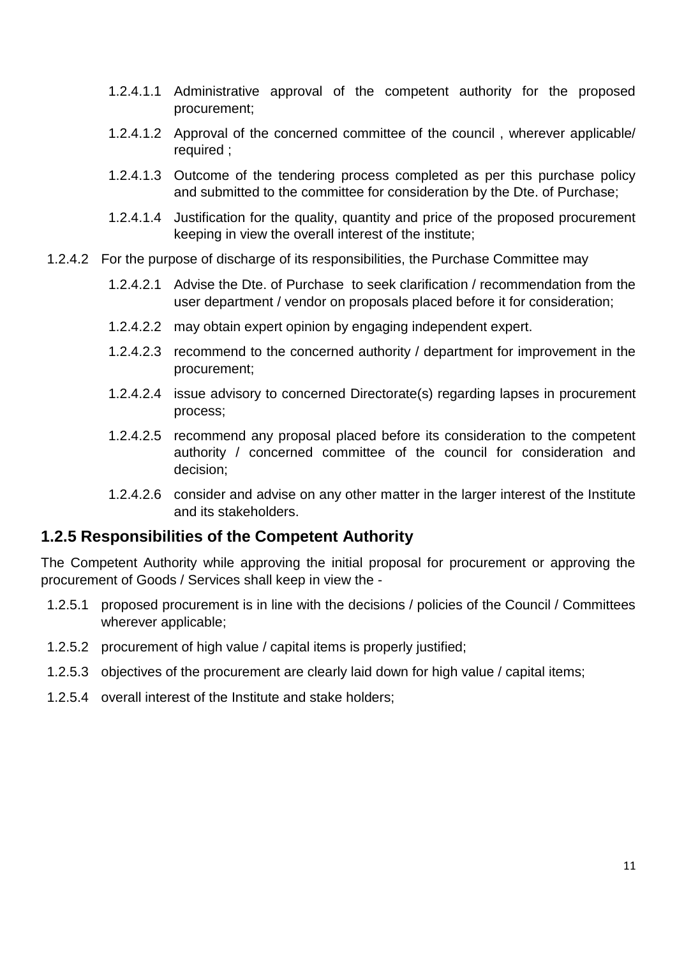- 1.2.4.1.1 Administrative approval of the competent authority for the proposed procurement;
- 1.2.4.1.2 Approval of the concerned committee of the council , wherever applicable/ required ;
- 1.2.4.1.3 Outcome of the tendering process completed as per this purchase policy and submitted to the committee for consideration by the Dte. of Purchase;
- 1.2.4.1.4 Justification for the quality, quantity and price of the proposed procurement keeping in view the overall interest of the institute;
- 1.2.4.2 For the purpose of discharge of its responsibilities, the Purchase Committee may
	- 1.2.4.2.1 Advise the Dte. of Purchase to seek clarification / recommendation from the user department / vendor on proposals placed before it for consideration;
	- 1.2.4.2.2 may obtain expert opinion by engaging independent expert.
	- 1.2.4.2.3 recommend to the concerned authority / department for improvement in the procurement;
	- 1.2.4.2.4 issue advisory to concerned Directorate(s) regarding lapses in procurement process;
	- 1.2.4.2.5 recommend any proposal placed before its consideration to the competent authority / concerned committee of the council for consideration and decision;
	- 1.2.4.2.6 consider and advise on any other matter in the larger interest of the Institute and its stakeholders.

### **1.2.5 Responsibilities of the Competent Authority**

The Competent Authority while approving the initial proposal for procurement or approving the procurement of Goods / Services shall keep in view the -

- 1.2.5.1 proposed procurement is in line with the decisions / policies of the Council / Committees wherever applicable;
- 1.2.5.2 procurement of high value / capital items is properly justified;
- 1.2.5.3 objectives of the procurement are clearly laid down for high value / capital items;
- 1.2.5.4 overall interest of the Institute and stake holders;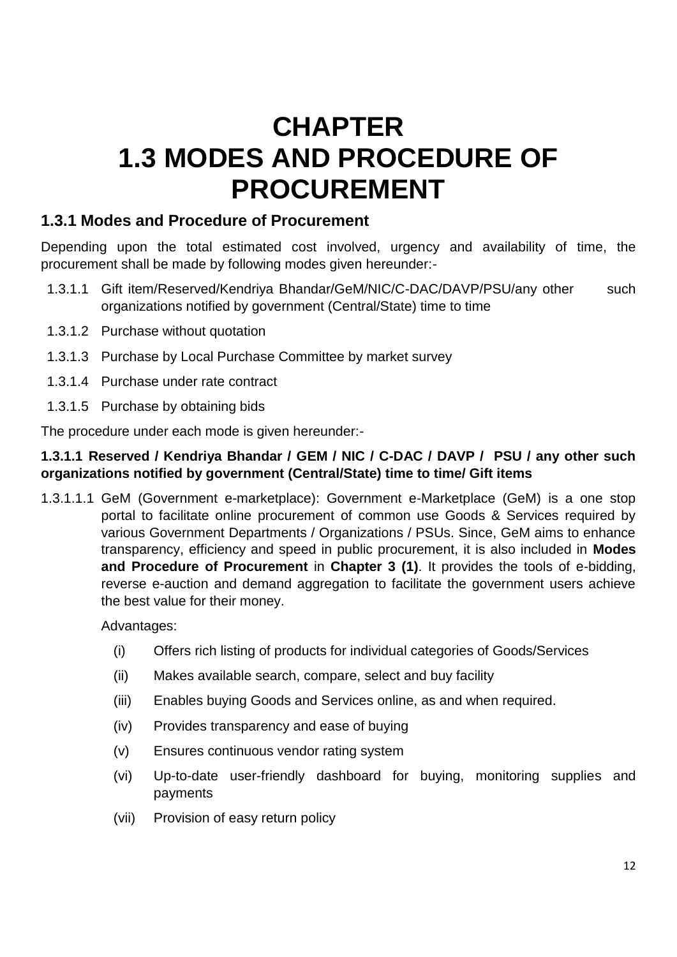# **CHAPTER 1.3 MODES AND PROCEDURE OF PROCUREMENT**

## **1.3.1 Modes and Procedure of Procurement**

Depending upon the total estimated cost involved, urgency and availability of time, the procurement shall be made by following modes given hereunder:-

- 1.3.1.1 Gift item/Reserved/Kendriya Bhandar/GeM/NIC/C-DAC/DAVP/PSU/any other such organizations notified by government (Central/State) time to time
- 1.3.1.2 Purchase without quotation
- 1.3.1.3 Purchase by Local Purchase Committee by market survey
- 1.3.1.4 Purchase under rate contract
- 1.3.1.5 Purchase by obtaining bids

The procedure under each mode is given hereunder:-

### **1.3.1.1 Reserved / Kendriya Bhandar / GEM / NIC / C-DAC / DAVP / PSU / any other such organizations notified by government (Central/State) time to time/ Gift items**

1.3.1.1.1 GeM (Government e-marketplace): Government e-Marketplace (GeM) is a one stop portal to facilitate online procurement of common use Goods & Services required by various Government Departments / Organizations / PSUs. Since, GeM aims to enhance transparency, efficiency and speed in public procurement, it is also included in **Modes and Procedure of Procurement** in **Chapter 3 (1)**. It provides the tools of e-bidding, reverse e-auction and demand aggregation to facilitate the government users achieve the best value for their money.

Advantages:

- (i) Offers rich listing of products for individual categories of Goods/Services
- (ii) Makes available search, compare, select and buy facility
- (iii) Enables buying Goods and Services online, as and when required.
- (iv) Provides transparency and ease of buying
- (v) Ensures continuous vendor rating system
- (vi) Up-to-date user-friendly dashboard for buying, monitoring supplies and payments
- (vii) Provision of easy return policy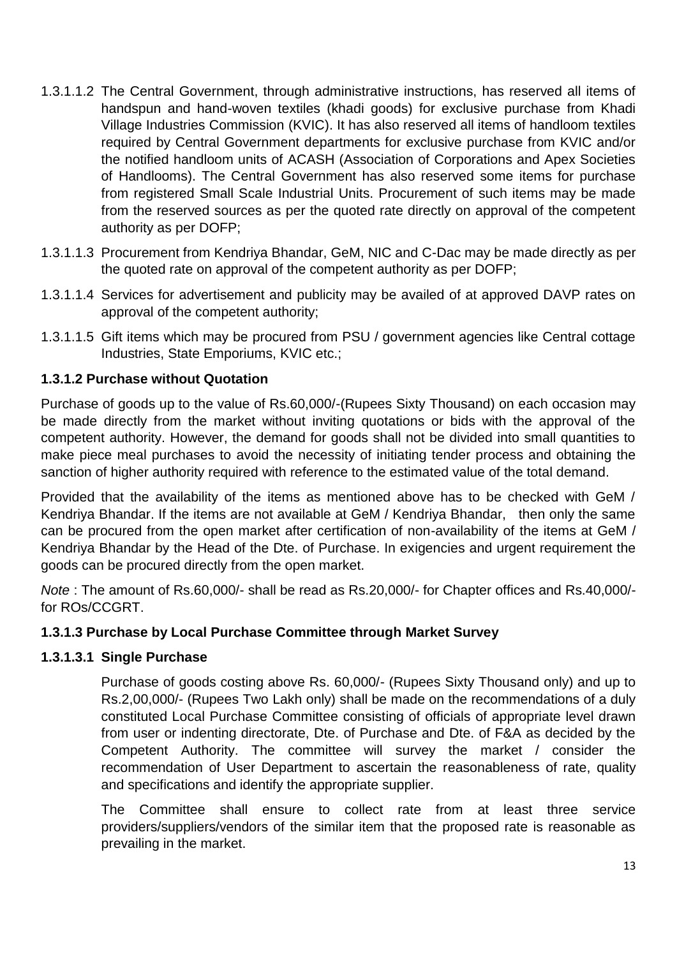- 1.3.1.1.2 The Central Government, through administrative instructions, has reserved all items of handspun and hand-woven textiles (khadi goods) for exclusive purchase from Khadi Village Industries Commission (KVIC). It has also reserved all items of handloom textiles required by Central Government departments for exclusive purchase from KVIC and/or the notified handloom units of ACASH (Association of Corporations and Apex Societies of Handlooms). The Central Government has also reserved some items for purchase from registered Small Scale Industrial Units. Procurement of such items may be made from the reserved sources as per the quoted rate directly on approval of the competent authority as per DOFP;
- 1.3.1.1.3 Procurement from Kendriya Bhandar, GeM, NIC and C-Dac may be made directly as per the quoted rate on approval of the competent authority as per DOFP;
- 1.3.1.1.4 Services for advertisement and publicity may be availed of at approved DAVP rates on approval of the competent authority;
- 1.3.1.1.5 Gift items which may be procured from PSU / government agencies like Central cottage Industries, State Emporiums, KVIC etc.;

### **1.3.1.2 Purchase without Quotation**

Purchase of goods up to the value of Rs.60,000/-(Rupees Sixty Thousand) on each occasion may be made directly from the market without inviting quotations or bids with the approval of the competent authority. However, the demand for goods shall not be divided into small quantities to make piece meal purchases to avoid the necessity of initiating tender process and obtaining the sanction of higher authority required with reference to the estimated value of the total demand.

Provided that the availability of the items as mentioned above has to be checked with GeM / Kendriya Bhandar. If the items are not available at GeM / Kendriya Bhandar, then only the same can be procured from the open market after certification of non-availability of the items at GeM / Kendriya Bhandar by the Head of the Dte. of Purchase. In exigencies and urgent requirement the goods can be procured directly from the open market.

*Note* : The amount of Rs.60,000/- shall be read as Rs.20,000/- for Chapter offices and Rs.40,000/ for ROs/CCGRT.

### **1.3.1.3 Purchase by Local Purchase Committee through Market Survey**

### **1.3.1.3.1 Single Purchase**

Purchase of goods costing above Rs. 60,000/- (Rupees Sixty Thousand only) and up to Rs.2,00,000/- (Rupees Two Lakh only) shall be made on the recommendations of a duly constituted Local Purchase Committee consisting of officials of appropriate level drawn from user or indenting directorate, Dte. of Purchase and Dte. of F&A as decided by the Competent Authority. The committee will survey the market / consider the recommendation of User Department to ascertain the reasonableness of rate, quality and specifications and identify the appropriate supplier.

The Committee shall ensure to collect rate from at least three service providers/suppliers/vendors of the similar item that the proposed rate is reasonable as prevailing in the market.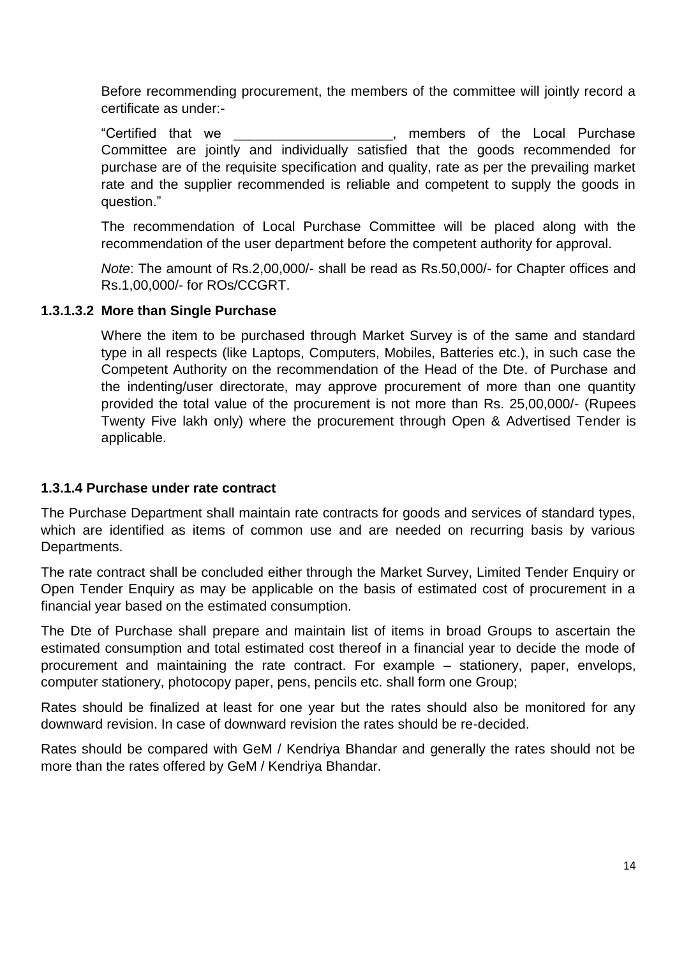Before recommending procurement, the members of the committee will jointly record a certificate as under:-

"Certified that we \_\_\_\_\_\_\_\_\_\_\_\_\_\_\_\_\_\_\_\_\_, members of the Local Purchase Committee are jointly and individually satisfied that the goods recommended for purchase are of the requisite specification and quality, rate as per the prevailing market rate and the supplier recommended is reliable and competent to supply the goods in question."

The recommendation of Local Purchase Committee will be placed along with the recommendation of the user department before the competent authority for approval.

*Note*: The amount of Rs.2,00,000/- shall be read as Rs.50,000/- for Chapter offices and Rs.1,00,000/- for ROs/CCGRT.

#### **1.3.1.3.2 More than Single Purchase**

Where the item to be purchased through Market Survey is of the same and standard type in all respects (like Laptops, Computers, Mobiles, Batteries etc.), in such case the Competent Authority on the recommendation of the Head of the Dte. of Purchase and the indenting/user directorate, may approve procurement of more than one quantity provided the total value of the procurement is not more than Rs. 25,00,000/- (Rupees Twenty Five lakh only) where the procurement through Open & Advertised Tender is applicable.

#### **1.3.1.4 Purchase under rate contract**

The Purchase Department shall maintain rate contracts for goods and services of standard types, which are identified as items of common use and are needed on recurring basis by various Departments.

The rate contract shall be concluded either through the Market Survey, Limited Tender Enquiry or Open Tender Enquiry as may be applicable on the basis of estimated cost of procurement in a financial year based on the estimated consumption.

The Dte of Purchase shall prepare and maintain list of items in broad Groups to ascertain the estimated consumption and total estimated cost thereof in a financial year to decide the mode of procurement and maintaining the rate contract. For example – stationery, paper, envelops, computer stationery, photocopy paper, pens, pencils etc. shall form one Group;

Rates should be finalized at least for one year but the rates should also be monitored for any downward revision. In case of downward revision the rates should be re-decided.

Rates should be compared with GeM / Kendriya Bhandar and generally the rates should not be more than the rates offered by GeM / Kendriya Bhandar.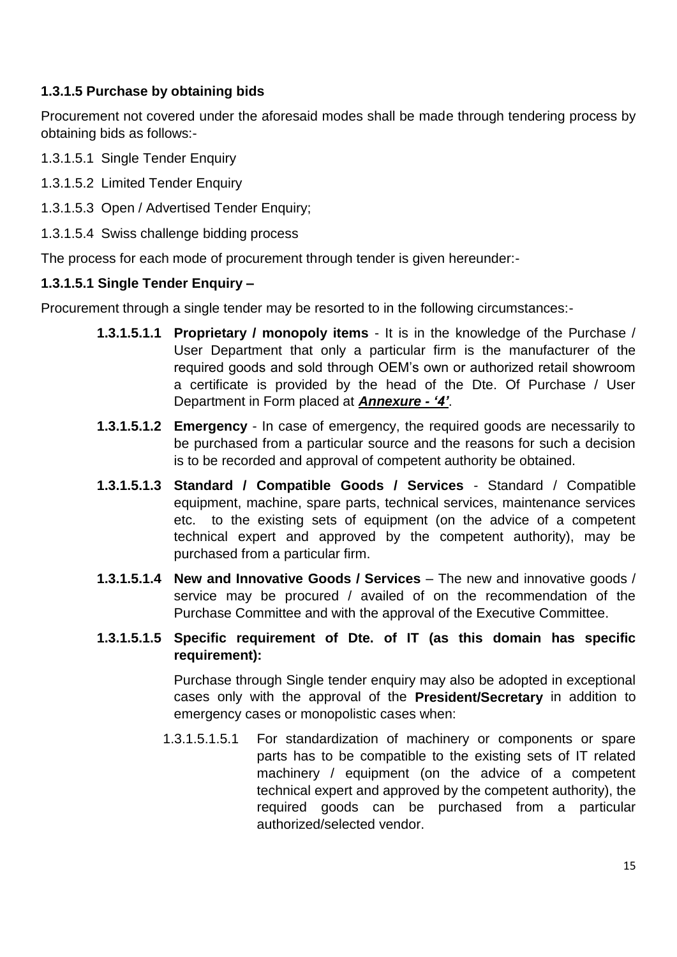### **1.3.1.5 Purchase by obtaining bids**

Procurement not covered under the aforesaid modes shall be made through tendering process by obtaining bids as follows:-

- 1.3.1.5.1 Single Tender Enquiry
- 1.3.1.5.2 Limited Tender Enquiry
- 1.3.1.5.3 Open / Advertised Tender Enquiry;
- 1.3.1.5.4 Swiss challenge bidding process

The process for each mode of procurement through tender is given hereunder:-

### **1.3.1.5.1 Single Tender Enquiry –**

Procurement through a single tender may be resorted to in the following circumstances:-

- **1.3.1.5.1.1 Proprietary / monopoly items** It is in the knowledge of the Purchase / User Department that only a particular firm is the manufacturer of the required goods and sold through OEM's own or authorized retail showroom a certificate is provided by the head of the Dte. Of Purchase / User Department in Form placed at *Annexure - '4'*.
- **1.3.1.5.1.2 Emergency** In case of emergency, the required goods are necessarily to be purchased from a particular source and the reasons for such a decision is to be recorded and approval of competent authority be obtained.
- **1.3.1.5.1.3 Standard / Compatible Goods / Services** Standard / Compatible equipment, machine, spare parts, technical services, maintenance services etc. to the existing sets of equipment (on the advice of a competent technical expert and approved by the competent authority), may be purchased from a particular firm.
- **1.3.1.5.1.4 New and Innovative Goods / Services** The new and innovative goods / service may be procured / availed of on the recommendation of the Purchase Committee and with the approval of the Executive Committee.
- **1.3.1.5.1.5 Specific requirement of Dte. of IT (as this domain has specific requirement):**

Purchase through Single tender enquiry may also be adopted in exceptional cases only with the approval of the **President/Secretary** in addition to emergency cases or monopolistic cases when:

1.3.1.5.1.5.1 For standardization of machinery or components or spare parts has to be compatible to the existing sets of IT related machinery / equipment (on the advice of a competent technical expert and approved by the competent authority), the required goods can be purchased from a particular authorized/selected vendor.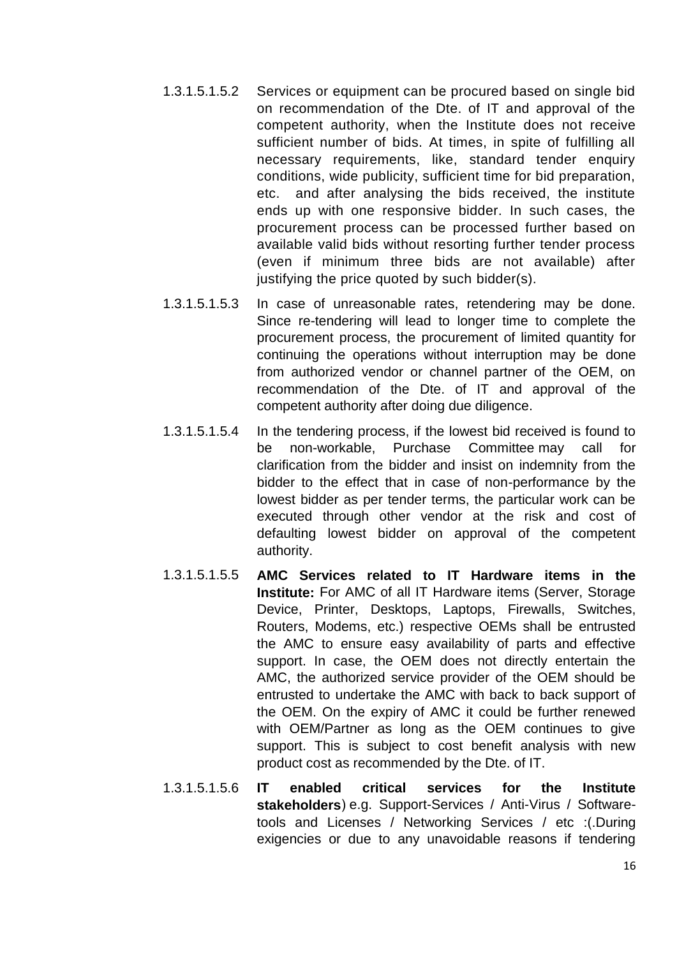- 1.3.1.5.1.5.2 Services or equipment can be procured based on single bid on recommendation of the Dte. of IT and approval of the competent authority, when the Institute does not receive sufficient number of bids. At times, in spite of fulfilling all necessary requirements, like, standard tender enquiry conditions, wide publicity, sufficient time for bid preparation, etc. and after analysing the bids received, the institute ends up with one responsive bidder. In such cases, the procurement process can be processed further based on available valid bids without resorting further tender process (even if minimum three bids are not available) after justifying the price quoted by such bidder(s).
- 1.3.1.5.1.5.3 In case of unreasonable rates, retendering may be done. Since re-tendering will lead to longer time to complete the procurement process, the procurement of limited quantity for continuing the operations without interruption may be done from authorized vendor or channel partner of the OEM, on recommendation of the Dte. of IT and approval of the competent authority after doing due diligence.
- 1.3.1.5.1.5.4 In the tendering process, if the lowest bid received is found to be non-workable, Purchase Committee may call for clarification from the bidder and insist on indemnity from the bidder to the effect that in case of non-performance by the lowest bidder as per tender terms, the particular work can be executed through other vendor at the risk and cost of defaulting lowest bidder on approval of the competent authority.
- 1.3.1.5.1.5.5 **AMC Services related to IT Hardware items in the Institute:** For AMC of all IT Hardware items (Server, Storage Device, Printer, Desktops, Laptops, Firewalls, Switches, Routers, Modems, etc.) respective OEMs shall be entrusted the AMC to ensure easy availability of parts and effective support. In case, the OEM does not directly entertain the AMC, the authorized service provider of the OEM should be entrusted to undertake the AMC with back to back support of the OEM. On the expiry of AMC it could be further renewed with OEM/Partner as long as the OEM continues to give support. This is subject to cost benefit analysis with new product cost as recommended by the Dte. of IT.
- 1.3.1.5.1.5.6 **IT enabled critical services for the Institute**  stakeholders) e.g. Support-Services / Anti-Virus / Softwaretools and Licenses / Networking Services / etc :(.During exigencies or due to any unavoidable reasons if tendering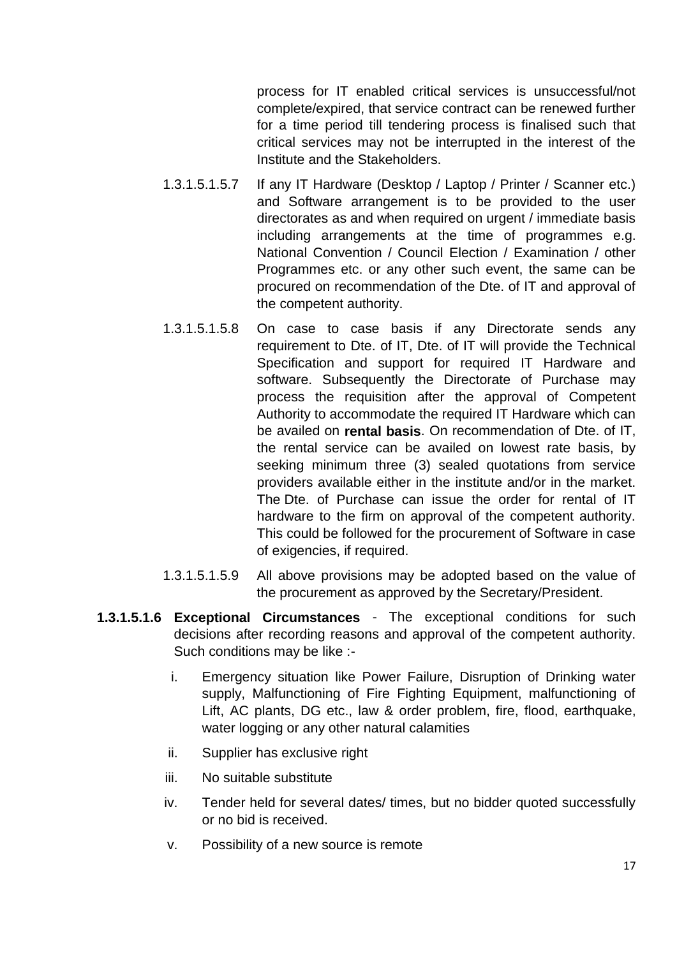process for IT enabled critical services is unsuccessful/not complete/expired, that service contract can be renewed further for a time period till tendering process is finalised such that critical services may not be interrupted in the interest of the Institute and the Stakeholders.

- 1.3.1.5.1.5.7 If any IT Hardware (Desktop / Laptop / Printer / Scanner etc.) and Software arrangement is to be provided to the user directorates as and when required on urgent / immediate basis including arrangements at the time of programmes e.g. National Convention / Council Election / Examination / other Programmes etc. or any other such event, the same can be procured on recommendation of the Dte. of IT and approval of the competent authority.
- 1.3.1.5.1.5.8 On case to case basis if any Directorate sends any requirement to Dte. of IT, Dte. of IT will provide the Technical Specification and support for required IT Hardware and software. Subsequently the Directorate of Purchase may process the requisition after the approval of Competent Authority to accommodate the required IT Hardware which can be availed on **rental basis**. On recommendation of Dte. of IT, the rental service can be availed on lowest rate basis, by seeking minimum three (3) sealed quotations from service providers available either in the institute and/or in the market. The Dte. of Purchase can issue the order for rental of IT hardware to the firm on approval of the competent authority. This could be followed for the procurement of Software in case of exigencies, if required.
- 1.3.1.5.1.5.9 All above provisions may be adopted based on the value of the procurement as approved by the Secretary/President.
- **1.3.1.5.1.6 Exceptional Circumstances** The exceptional conditions for such decisions after recording reasons and approval of the competent authority. Such conditions may be like :
	- i. Emergency situation like Power Failure, Disruption of Drinking water supply, Malfunctioning of Fire Fighting Equipment, malfunctioning of Lift, AC plants, DG etc., law & order problem, fire, flood, earthquake, water logging or any other natural calamities
	- ii. Supplier has exclusive right
	- iii. No suitable substitute
	- iv. Tender held for several dates/ times, but no bidder quoted successfully or no bid is received.
	- v. Possibility of a new source is remote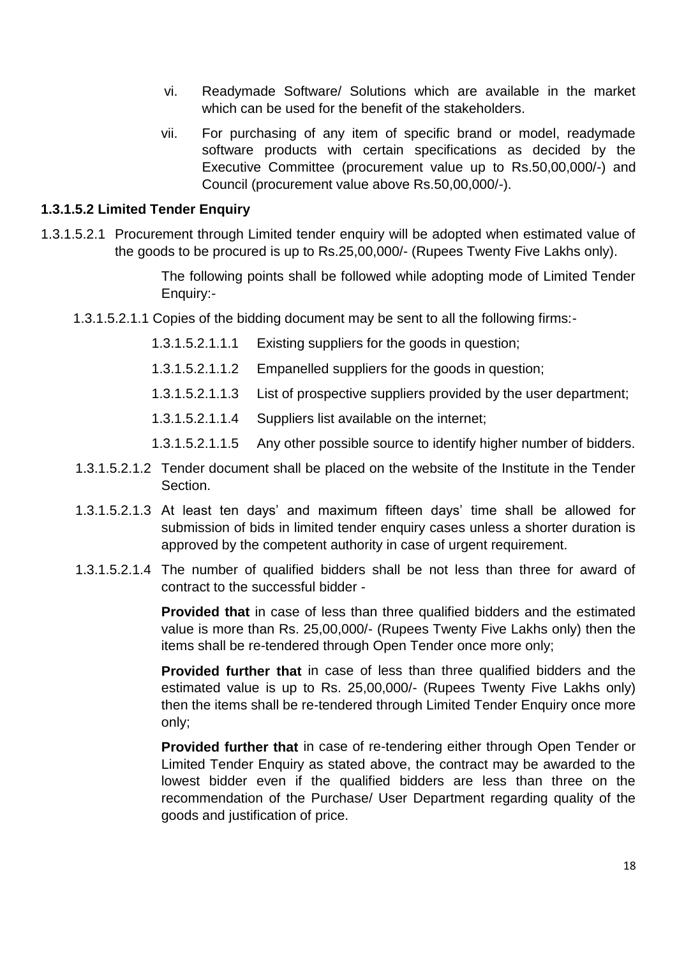- vi. Readymade Software/ Solutions which are available in the market which can be used for the benefit of the stakeholders.
- vii. For purchasing of any item of specific brand or model, readymade software products with certain specifications as decided by the Executive Committee (procurement value up to Rs.50,00,000/-) and Council (procurement value above Rs.50,00,000/-).

#### **1.3.1.5.2 Limited Tender Enquiry**

1.3.1.5.2.1 Procurement through Limited tender enquiry will be adopted when estimated value of the goods to be procured is up to Rs.25,00,000/- (Rupees Twenty Five Lakhs only).

> The following points shall be followed while adopting mode of Limited Tender Enquiry:-

- 1.3.1.5.2.1.1 Copies of the bidding document may be sent to all the following firms:-
	- 1.3.1.5.2.1.1.1 Existing suppliers for the goods in question;
	- 1.3.1.5.2.1.1.2 Empanelled suppliers for the goods in question;
	- 1.3.1.5.2.1.1.3 List of prospective suppliers provided by the user department;
	- 1.3.1.5.2.1.1.4 Suppliers list available on the internet;
	- 1.3.1.5.2.1.1.5 Any other possible source to identify higher number of bidders.
- 1.3.1.5.2.1.2 Tender document shall be placed on the website of the Institute in the Tender Section.
- 1.3.1.5.2.1.3 At least ten days' and maximum fifteen days' time shall be allowed for submission of bids in limited tender enquiry cases unless a shorter duration is approved by the competent authority in case of urgent requirement.
- 1.3.1.5.2.1.4 The number of qualified bidders shall be not less than three for award of contract to the successful bidder -

**Provided that** in case of less than three qualified bidders and the estimated value is more than Rs. 25,00,000/- (Rupees Twenty Five Lakhs only) then the items shall be re-tendered through Open Tender once more only;

**Provided further that** in case of less than three qualified bidders and the estimated value is up to Rs. 25,00,000/- (Rupees Twenty Five Lakhs only) then the items shall be re-tendered through Limited Tender Enquiry once more only;

**Provided further that** in case of re-tendering either through Open Tender or Limited Tender Enquiry as stated above, the contract may be awarded to the lowest bidder even if the qualified bidders are less than three on the recommendation of the Purchase/ User Department regarding quality of the goods and justification of price.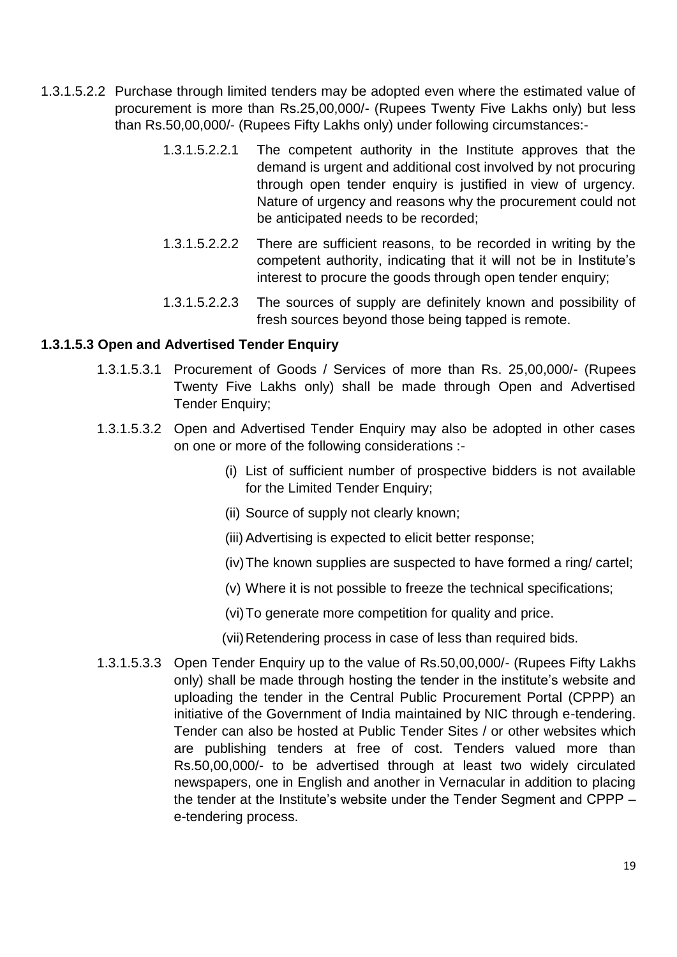- 1.3.1.5.2.2 Purchase through limited tenders may be adopted even where the estimated value of procurement is more than Rs.25,00,000/- (Rupees Twenty Five Lakhs only) but less than Rs.50,00,000/- (Rupees Fifty Lakhs only) under following circumstances:-
	- 1.3.1.5.2.2.1 The competent authority in the Institute approves that the demand is urgent and additional cost involved by not procuring through open tender enquiry is justified in view of urgency. Nature of urgency and reasons why the procurement could not be anticipated needs to be recorded;
	- 1.3.1.5.2.2.2 There are sufficient reasons, to be recorded in writing by the competent authority, indicating that it will not be in Institute's interest to procure the goods through open tender enquiry;
	- 1.3.1.5.2.2.3 The sources of supply are definitely known and possibility of fresh sources beyond those being tapped is remote.

### **1.3.1.5.3 Open and Advertised Tender Enquiry**

- 1.3.1.5.3.1 Procurement of Goods / Services of more than Rs. 25,00,000/- (Rupees Twenty Five Lakhs only) shall be made through Open and Advertised Tender Enquiry;
- 1.3.1.5.3.2 Open and Advertised Tender Enquiry may also be adopted in other cases on one or more of the following considerations :-
	- (i) List of sufficient number of prospective bidders is not available for the Limited Tender Enquiry;
	- (ii) Source of supply not clearly known;
	- (iii) Advertising is expected to elicit better response;
	- (iv)The known supplies are suspected to have formed a ring/ cartel;
	- (v) Where it is not possible to freeze the technical specifications;
	- (vi)To generate more competition for quality and price.

(vii)Retendering process in case of less than required bids.

1.3.1.5.3.3 Open Tender Enquiry up to the value of Rs.50,00,000/- (Rupees Fifty Lakhs only) shall be made through hosting the tender in the institute's website and uploading the tender in the Central Public Procurement Portal (CPPP) an initiative of the Government of India maintained by NIC through e-tendering. Tender can also be hosted at Public Tender Sites / or other websites which are publishing tenders at free of cost. Tenders valued more than Rs.50,00,000/- to be advertised through at least two widely circulated newspapers, one in English and another in Vernacular in addition to placing the tender at the Institute's website under the Tender Segment and CPPP – e-tendering process.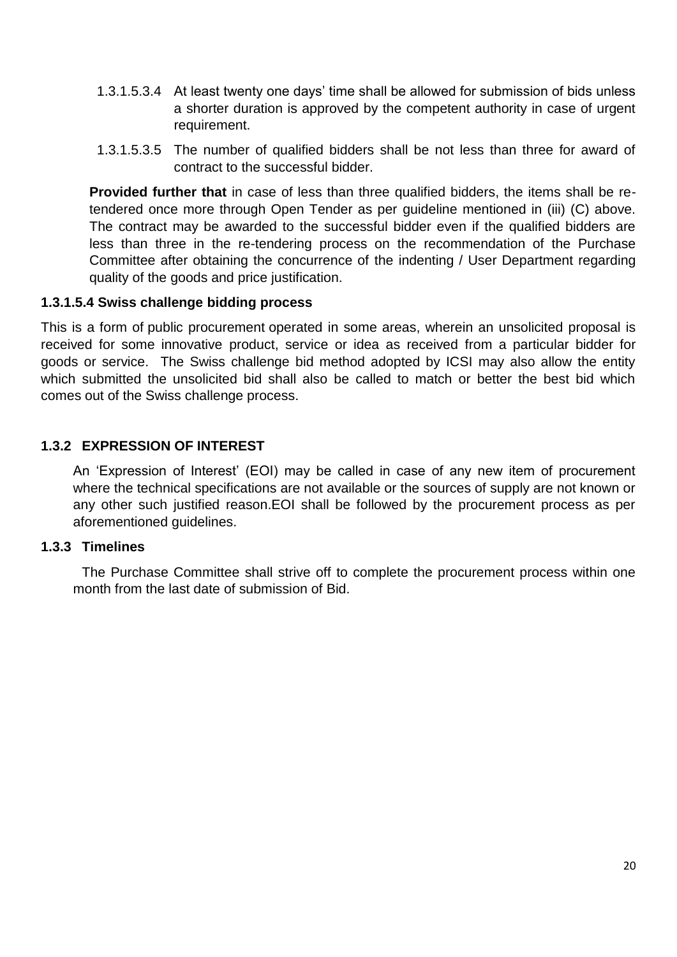- 1.3.1.5.3.4 At least twenty one days' time shall be allowed for submission of bids unless a shorter duration is approved by the competent authority in case of urgent requirement.
- 1.3.1.5.3.5 The number of qualified bidders shall be not less than three for award of contract to the successful bidder.

**Provided further that** in case of less than three qualified bidders, the items shall be retendered once more through Open Tender as per guideline mentioned in (iii) (C) above. The contract may be awarded to the successful bidder even if the qualified bidders are less than three in the re-tendering process on the recommendation of the Purchase Committee after obtaining the concurrence of the indenting / User Department regarding quality of the goods and price justification.

### **1.3.1.5.4 Swiss challenge bidding process**

This is a form of public procurement operated in some areas, wherein an unsolicited proposal is received for some innovative product, service or idea as received from a particular bidder for goods or service. The Swiss challenge bid method adopted by ICSI may also allow the entity which submitted the unsolicited bid shall also be called to match or better the best bid which comes out of the Swiss challenge process.

### **1.3.2 EXPRESSION OF INTEREST**

An 'Expression of Interest' (EOI) may be called in case of any new item of procurement where the technical specifications are not available or the sources of supply are not known or any other such justified reason.EOI shall be followed by the procurement process as per aforementioned guidelines.

### **1.3.3 Timelines**

The Purchase Committee shall strive off to complete the procurement process within one month from the last date of submission of Bid.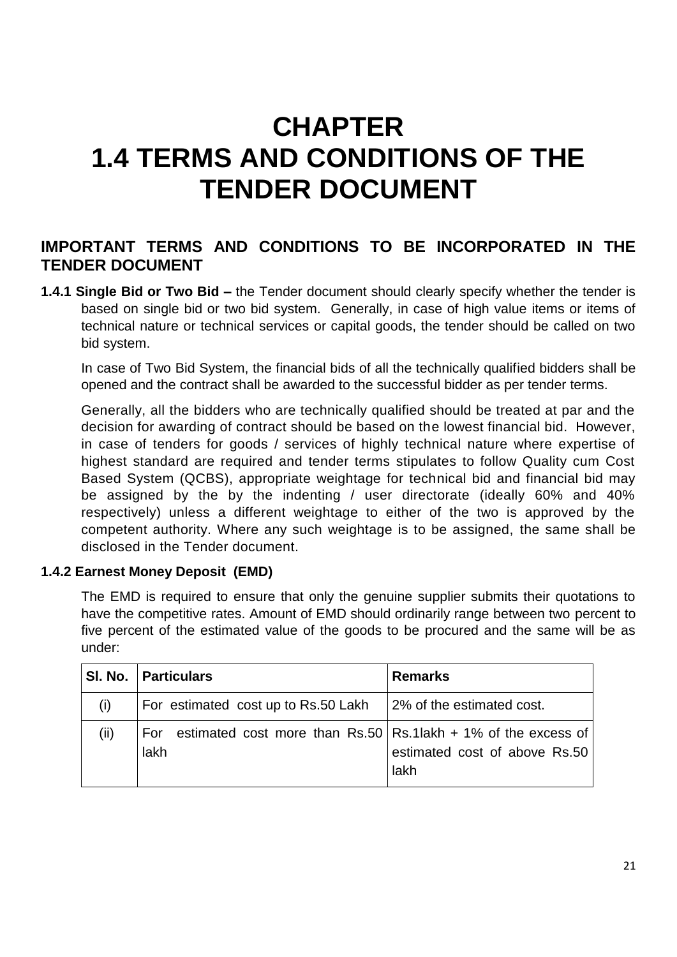# **CHAPTER 1.4 TERMS AND CONDITIONS OF THE TENDER DOCUMENT**

# **IMPORTANT TERMS AND CONDITIONS TO BE INCORPORATED IN THE TENDER DOCUMENT**

**1.4.1 Single Bid or Two Bid –** the Tender document should clearly specify whether the tender is based on single bid or two bid system. Generally, in case of high value items or items of technical nature or technical services or capital goods, the tender should be called on two bid system.

In case of Two Bid System, the financial bids of all the technically qualified bidders shall be opened and the contract shall be awarded to the successful bidder as per tender terms.

Generally, all the bidders who are technically qualified should be treated at par and the decision for awarding of contract should be based on the lowest financial bid. However, in case of tenders for goods / services of highly technical nature where expertise of highest standard are required and tender terms stipulates to follow Quality cum Cost Based System (QCBS), appropriate weightage for technical bid and financial bid may be assigned by the by the indenting / user directorate (ideally 60% and 40% respectively) unless a different weightage to either of the two is approved by the competent authority. Where any such weightage is to be assigned, the same shall be disclosed in the Tender document.

### **1.4.2 Earnest Money Deposit (EMD)**

The EMD is required to ensure that only the genuine supplier submits their quotations to have the competitive rates. Amount of EMD should ordinarily range between two percent to five percent of the estimated value of the goods to be procured and the same will be as under:

|      | SI. No.   Particulars                                                                  | <b>Remarks</b>                        |
|------|----------------------------------------------------------------------------------------|---------------------------------------|
| (i)  | For estimated cost up to Rs.50 Lakh                                                    | 2% of the estimated cost.             |
| (ii) | estimated cost more than Rs.50 $\vert$ Rs.1 lakh + 1% of the excess of<br>For.<br>lakh | estimated cost of above Rs.50<br>lakh |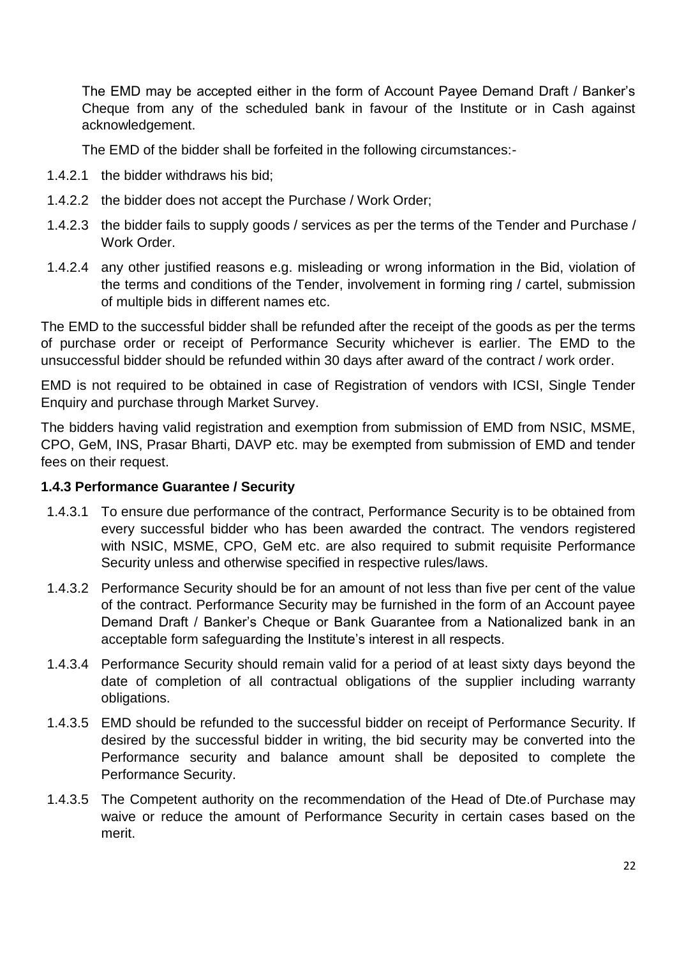The EMD may be accepted either in the form of Account Payee Demand Draft / Banker's Cheque from any of the scheduled bank in favour of the Institute or in Cash against acknowledgement.

The EMD of the bidder shall be forfeited in the following circumstances:-

- 1.4.2.1 the bidder withdraws his bid;
- 1.4.2.2 the bidder does not accept the Purchase / Work Order;
- 1.4.2.3 the bidder fails to supply goods / services as per the terms of the Tender and Purchase / Work Order.
- 1.4.2.4 any other justified reasons e.g. misleading or wrong information in the Bid, violation of the terms and conditions of the Tender, involvement in forming ring / cartel, submission of multiple bids in different names etc.

The EMD to the successful bidder shall be refunded after the receipt of the goods as per the terms of purchase order or receipt of Performance Security whichever is earlier. The EMD to the unsuccessful bidder should be refunded within 30 days after award of the contract / work order.

EMD is not required to be obtained in case of Registration of vendors with ICSI, Single Tender Enquiry and purchase through Market Survey.

The bidders having valid registration and exemption from submission of EMD from NSIC, MSME, CPO, GeM, INS, Prasar Bharti, DAVP etc. may be exempted from submission of EMD and tender fees on their request.

### **1.4.3 Performance Guarantee / Security**

- 1.4.3.1 To ensure due performance of the contract, Performance Security is to be obtained from every successful bidder who has been awarded the contract. The vendors registered with NSIC, MSME, CPO, GeM etc. are also required to submit requisite Performance Security unless and otherwise specified in respective rules/laws.
- 1.4.3.2 Performance Security should be for an amount of not less than five per cent of the value of the contract. Performance Security may be furnished in the form of an Account payee Demand Draft / Banker's Cheque or Bank Guarantee from a Nationalized bank in an acceptable form safeguarding the Institute's interest in all respects.
- 1.4.3.4 Performance Security should remain valid for a period of at least sixty days beyond the date of completion of all contractual obligations of the supplier including warranty obligations.
- 1.4.3.5 EMD should be refunded to the successful bidder on receipt of Performance Security. If desired by the successful bidder in writing, the bid security may be converted into the Performance security and balance amount shall be deposited to complete the Performance Security.
- 1.4.3.5 The Competent authority on the recommendation of the Head of Dte.of Purchase may waive or reduce the amount of Performance Security in certain cases based on the merit.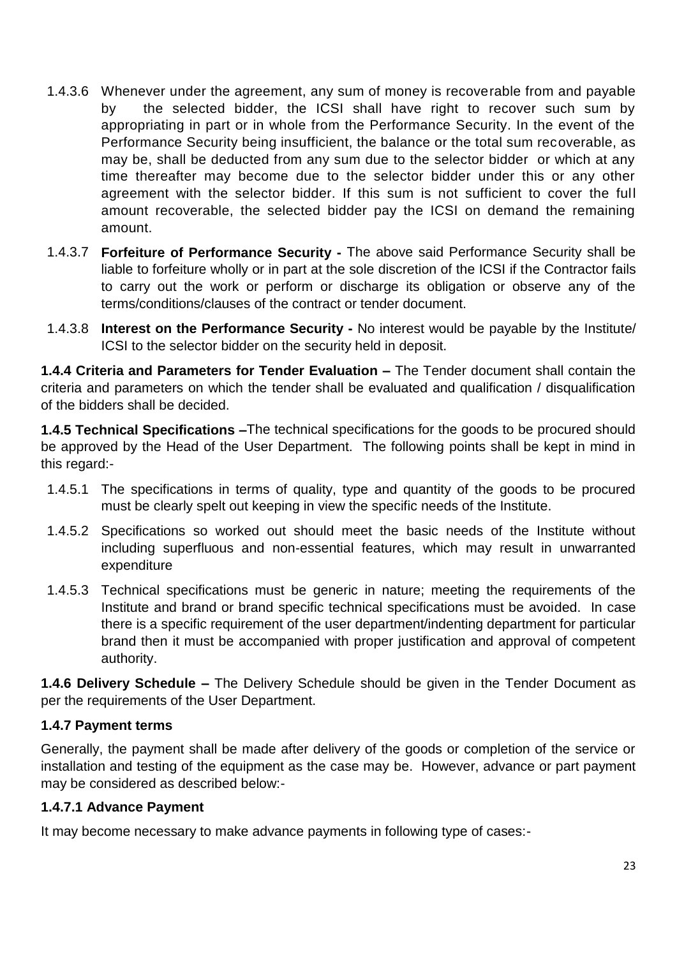- 1.4.3.6 Whenever under the agreement, any sum of money is recoverable from and payable by the selected bidder, the ICSI shall have right to recover such sum by appropriating in part or in whole from the Performance Security. In the event of the Performance Security being insufficient, the balance or the total sum recoverable, as may be, shall be deducted from any sum due to the selector bidder or which at any time thereafter may become due to the selector bidder under this or any other agreement with the selector bidder. If this sum is not sufficient to cover the full amount recoverable, the selected bidder pay the ICSI on demand the remaining amount.
- 1.4.3.7 **Forfeiture of Performance Security -** The above said Performance Security shall be liable to forfeiture wholly or in part at the sole discretion of the ICSI if the Contractor fails to carry out the work or perform or discharge its obligation or observe any of the terms/conditions/clauses of the contract or tender document.
- 1.4.3.8 **Interest on the Performance Security -** No interest would be payable by the Institute/ ICSI to the selector bidder on the security held in deposit.

**1.4.4 Criteria and Parameters for Tender Evaluation –** The Tender document shall contain the criteria and parameters on which the tender shall be evaluated and qualification / disqualification of the bidders shall be decided.

**1.4.5 Technical Specifications –**The technical specifications for the goods to be procured should be approved by the Head of the User Department. The following points shall be kept in mind in this regard:-

- 1.4.5.1 The specifications in terms of quality, type and quantity of the goods to be procured must be clearly spelt out keeping in view the specific needs of the Institute.
- 1.4.5.2 Specifications so worked out should meet the basic needs of the Institute without including superfluous and non-essential features, which may result in unwarranted expenditure
- 1.4.5.3 Technical specifications must be generic in nature; meeting the requirements of the Institute and brand or brand specific technical specifications must be avoided. In case there is a specific requirement of the user department/indenting department for particular brand then it must be accompanied with proper justification and approval of competent authority.

**1.4.6 Delivery Schedule –** The Delivery Schedule should be given in the Tender Document as per the requirements of the User Department.

### **1.4.7 Payment terms**

Generally, the payment shall be made after delivery of the goods or completion of the service or installation and testing of the equipment as the case may be. However, advance or part payment may be considered as described below:-

### **1.4.7.1 Advance Payment**

It may become necessary to make advance payments in following type of cases:-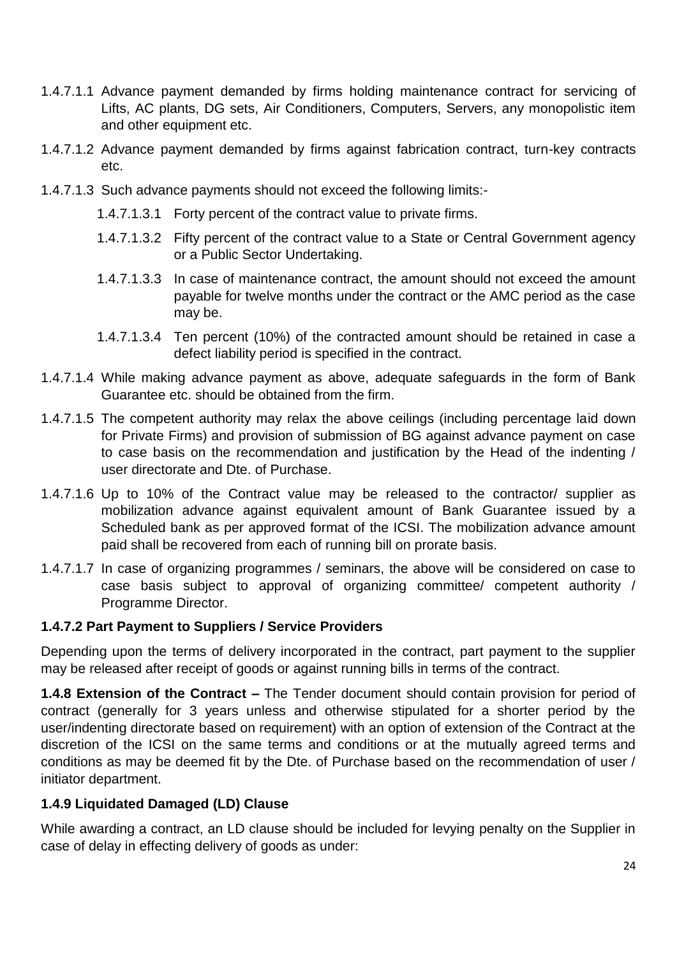- 1.4.7.1.1 Advance payment demanded by firms holding maintenance contract for servicing of Lifts, AC plants, DG sets, Air Conditioners, Computers, Servers, any monopolistic item and other equipment etc.
- 1.4.7.1.2 Advance payment demanded by firms against fabrication contract, turn-key contracts etc.
- 1.4.7.1.3 Such advance payments should not exceed the following limits:-
	- 1.4.7.1.3.1 Forty percent of the contract value to private firms.
	- 1.4.7.1.3.2 Fifty percent of the contract value to a State or Central Government agency or a Public Sector Undertaking.
	- 1.4.7.1.3.3 In case of maintenance contract, the amount should not exceed the amount payable for twelve months under the contract or the AMC period as the case may be.
	- 1.4.7.1.3.4 Ten percent (10%) of the contracted amount should be retained in case a defect liability period is specified in the contract.
- 1.4.7.1.4 While making advance payment as above, adequate safeguards in the form of Bank Guarantee etc. should be obtained from the firm.
- 1.4.7.1.5 The competent authority may relax the above ceilings (including percentage laid down for Private Firms) and provision of submission of BG against advance payment on case to case basis on the recommendation and justification by the Head of the indenting / user directorate and Dte. of Purchase.
- 1.4.7.1.6 Up to 10% of the Contract value may be released to the contractor/ supplier as mobilization advance against equivalent amount of Bank Guarantee issued by a Scheduled bank as per approved format of the ICSI. The mobilization advance amount paid shall be recovered from each of running bill on prorate basis.
- 1.4.7.1.7 In case of organizing programmes / seminars, the above will be considered on case to case basis subject to approval of organizing committee/ competent authority / Programme Director.

### **1.4.7.2 Part Payment to Suppliers / Service Providers**

Depending upon the terms of delivery incorporated in the contract, part payment to the supplier may be released after receipt of goods or against running bills in terms of the contract.

**1.4.8 Extension of the Contract –** The Tender document should contain provision for period of contract (generally for 3 years unless and otherwise stipulated for a shorter period by the user/indenting directorate based on requirement) with an option of extension of the Contract at the discretion of the ICSI on the same terms and conditions or at the mutually agreed terms and conditions as may be deemed fit by the Dte. of Purchase based on the recommendation of user / initiator department.

### **1.4.9 Liquidated Damaged (LD) Clause**

While awarding a contract, an LD clause should be included for levying penalty on the Supplier in case of delay in effecting delivery of goods as under: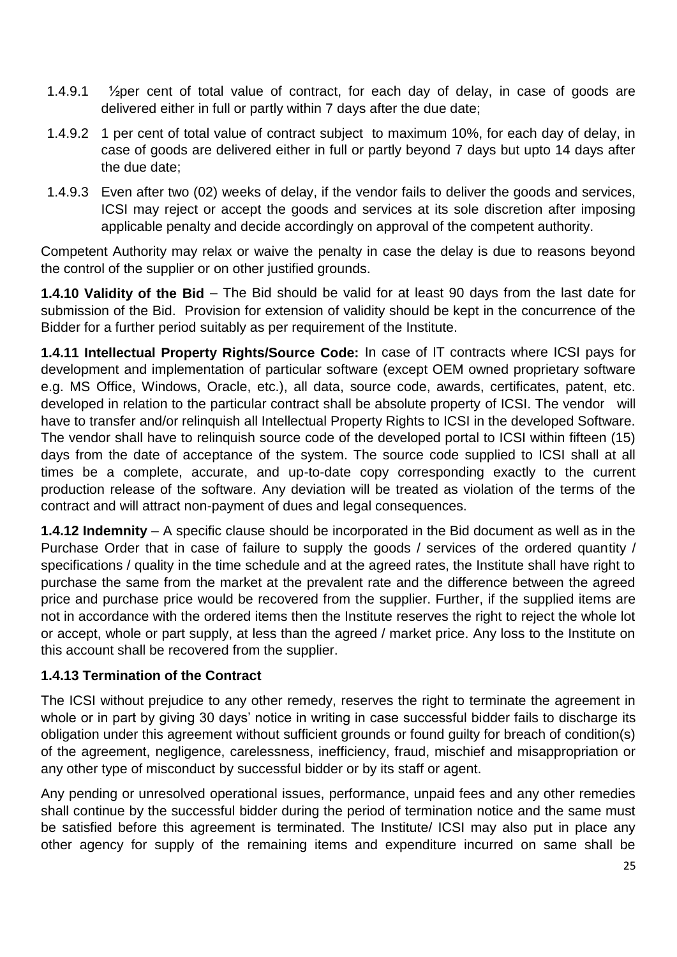- 1.4.9.1  $\frac{1}{2}$ per cent of total value of contract, for each day of delay, in case of goods are delivered either in full or partly within 7 days after the due date;
- 1.4.9.2 1 per cent of total value of contract subject to maximum 10%, for each day of delay, in case of goods are delivered either in full or partly beyond 7 days but upto 14 days after the due date;
- 1.4.9.3 Even after two (02) weeks of delay, if the vendor fails to deliver the goods and services, ICSI may reject or accept the goods and services at its sole discretion after imposing applicable penalty and decide accordingly on approval of the competent authority.

Competent Authority may relax or waive the penalty in case the delay is due to reasons beyond the control of the supplier or on other justified grounds.

**1.4.10 Validity of the Bid** – The Bid should be valid for at least 90 days from the last date for submission of the Bid. Provision for extension of validity should be kept in the concurrence of the Bidder for a further period suitably as per requirement of the Institute.

**1.4.11 Intellectual Property Rights/Source Code:** In case of IT contracts where ICSI pays for development and implementation of particular software (except OEM owned proprietary software e.g. MS Office, Windows, Oracle, etc.), all data, source code, awards, certificates, patent, etc. developed in relation to the particular contract shall be absolute property of ICSI. The vendor will have to transfer and/or relinquish all Intellectual Property Rights to ICSI in the developed Software. The vendor shall have to relinquish source code of the developed portal to ICSI within fifteen (15) days from the date of acceptance of the system. The source code supplied to ICSI shall at all times be a complete, accurate, and up-to-date copy corresponding exactly to the current production release of the software. Any deviation will be treated as violation of the terms of the contract and will attract non-payment of dues and legal consequences.

**1.4.12 Indemnity** – A specific clause should be incorporated in the Bid document as well as in the Purchase Order that in case of failure to supply the goods / services of the ordered quantity / specifications / quality in the time schedule and at the agreed rates, the Institute shall have right to purchase the same from the market at the prevalent rate and the difference between the agreed price and purchase price would be recovered from the supplier. Further, if the supplied items are not in accordance with the ordered items then the Institute reserves the right to reject the whole lot or accept, whole or part supply, at less than the agreed / market price. Any loss to the Institute on this account shall be recovered from the supplier.

### **1.4.13 Termination of the Contract**

The ICSI without prejudice to any other remedy, reserves the right to terminate the agreement in whole or in part by giving 30 days' notice in writing in case successful bidder fails to discharge its obligation under this agreement without sufficient grounds or found guilty for breach of condition(s) of the agreement, negligence, carelessness, inefficiency, fraud, mischief and misappropriation or any other type of misconduct by successful bidder or by its staff or agent.

Any pending or unresolved operational issues, performance, unpaid fees and any other remedies shall continue by the successful bidder during the period of termination notice and the same must be satisfied before this agreement is terminated. The Institute/ ICSI may also put in place any other agency for supply of the remaining items and expenditure incurred on same shall be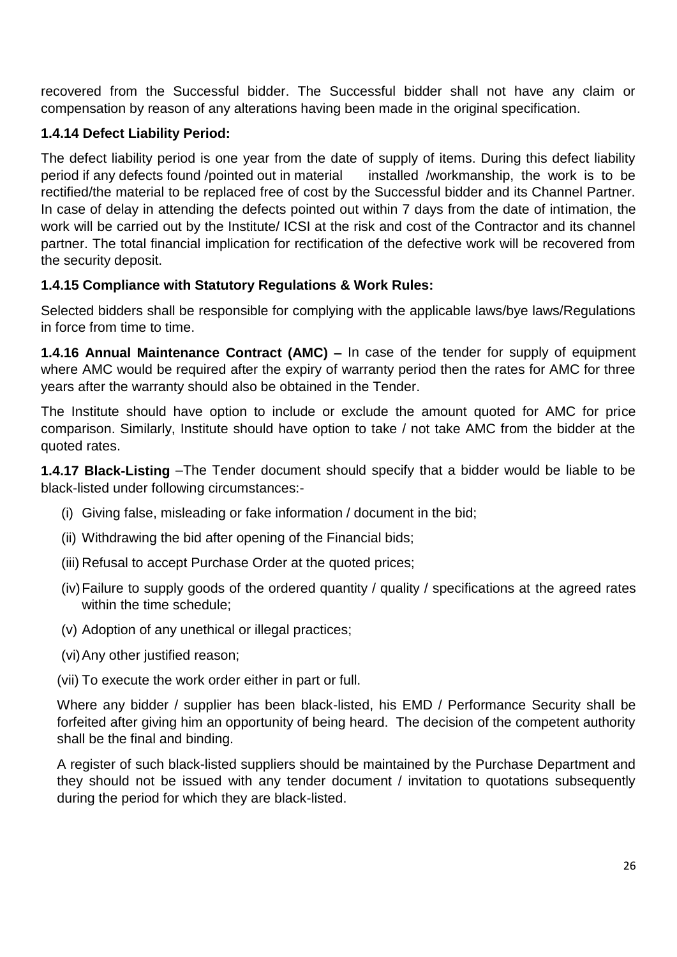recovered from the Successful bidder. The Successful bidder shall not have any claim or compensation by reason of any alterations having been made in the original specification.

### **1.4.14 Defect Liability Period:**

The defect liability period is one year from the date of supply of items. During this defect liability period if any defects found /pointed out in material installed /workmanship, the work is to be rectified/the material to be replaced free of cost by the Successful bidder and its Channel Partner. In case of delay in attending the defects pointed out within 7 days from the date of intimation, the work will be carried out by the Institute/ ICSI at the risk and cost of the Contractor and its channel partner. The total financial implication for rectification of the defective work will be recovered from the security deposit.

### **1.4.15 Compliance with Statutory Regulations & Work Rules:**

Selected bidders shall be responsible for complying with the applicable laws/bye laws/Regulations in force from time to time.

**1.4.16 Annual Maintenance Contract (AMC) –** In case of the tender for supply of equipment where AMC would be required after the expiry of warranty period then the rates for AMC for three years after the warranty should also be obtained in the Tender.

The Institute should have option to include or exclude the amount quoted for AMC for price comparison. Similarly, Institute should have option to take / not take AMC from the bidder at the quoted rates.

**1.4.17 Black-Listing** –The Tender document should specify that a bidder would be liable to be black-listed under following circumstances:-

- (i) Giving false, misleading or fake information / document in the bid;
- (ii) Withdrawing the bid after opening of the Financial bids;
- (iii) Refusal to accept Purchase Order at the quoted prices;
- (iv)Failure to supply goods of the ordered quantity / quality / specifications at the agreed rates within the time schedule;
- (v) Adoption of any unethical or illegal practices;
- (vi)Any other justified reason;
- (vii) To execute the work order either in part or full.

Where any bidder / supplier has been black-listed, his EMD / Performance Security shall be forfeited after giving him an opportunity of being heard. The decision of the competent authority shall be the final and binding.

A register of such black-listed suppliers should be maintained by the Purchase Department and they should not be issued with any tender document / invitation to quotations subsequently during the period for which they are black-listed.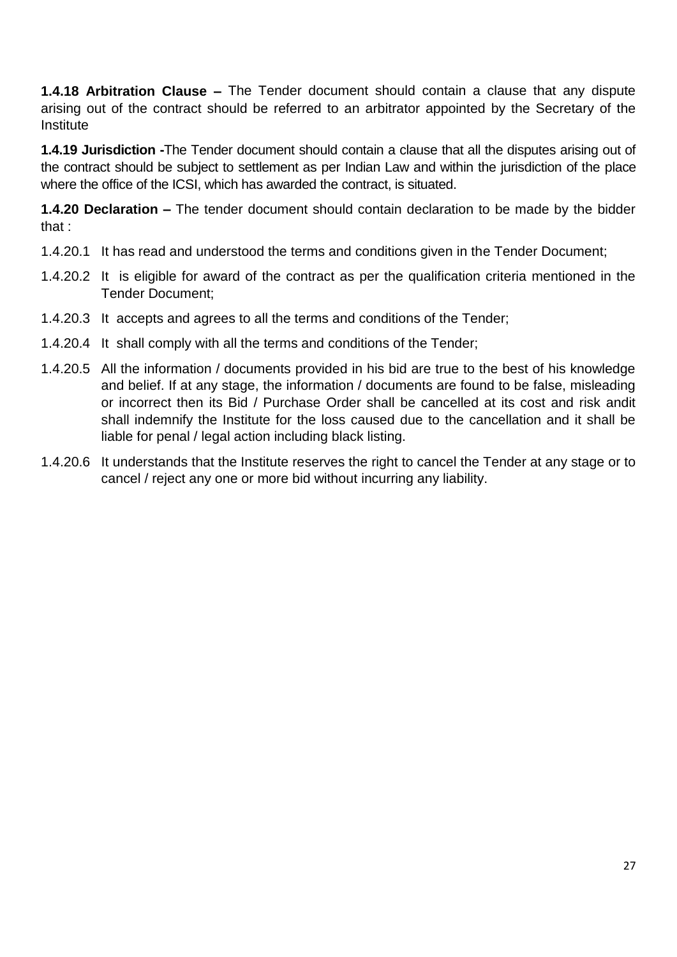**1.4.18 Arbitration Clause –** The Tender document should contain a clause that any dispute arising out of the contract should be referred to an arbitrator appointed by the Secretary of the Institute

**1.4.19 Jurisdiction -**The Tender document should contain a clause that all the disputes arising out of the contract should be subject to settlement as per Indian Law and within the jurisdiction of the place where the office of the ICSI, which has awarded the contract, is situated.

**1.4.20 Declaration –** The tender document should contain declaration to be made by the bidder that :

- 1.4.20.1 It has read and understood the terms and conditions given in the Tender Document;
- 1.4.20.2 It is eligible for award of the contract as per the qualification criteria mentioned in the Tender Document;
- 1.4.20.3 It accepts and agrees to all the terms and conditions of the Tender;
- 1.4.20.4 It shall comply with all the terms and conditions of the Tender;
- 1.4.20.5 All the information / documents provided in his bid are true to the best of his knowledge and belief. If at any stage, the information / documents are found to be false, misleading or incorrect then its Bid / Purchase Order shall be cancelled at its cost and risk andit shall indemnify the Institute for the loss caused due to the cancellation and it shall be liable for penal / legal action including black listing.
- 1.4.20.6 It understands that the Institute reserves the right to cancel the Tender at any stage or to cancel / reject any one or more bid without incurring any liability.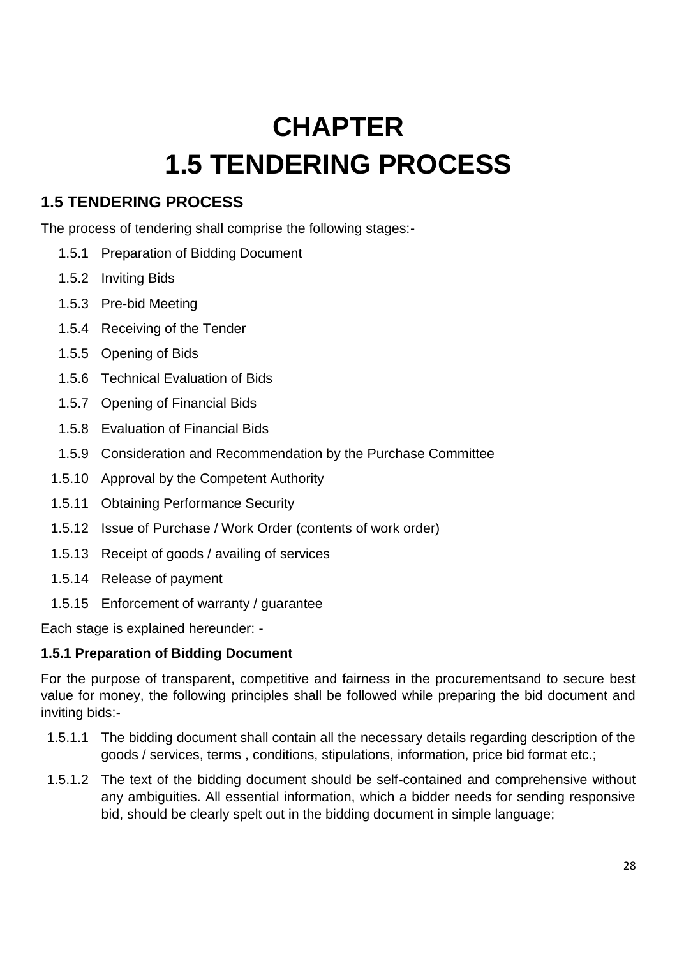# **CHAPTER 1.5 TENDERING PROCESS**

# **1.5 TENDERING PROCESS**

The process of tendering shall comprise the following stages:-

- 1.5.1 Preparation of Bidding Document
- 1.5.2 Inviting Bids
- 1.5.3 Pre-bid Meeting
- 1.5.4 Receiving of the Tender
- 1.5.5 Opening of Bids
- 1.5.6 Technical Evaluation of Bids
- 1.5.7 Opening of Financial Bids
- 1.5.8 Evaluation of Financial Bids
- 1.5.9 Consideration and Recommendation by the Purchase Committee
- 1.5.10 Approval by the Competent Authority
- 1.5.11 Obtaining Performance Security
- 1.5.12 Issue of Purchase / Work Order (contents of work order)
- 1.5.13 Receipt of goods / availing of services
- 1.5.14 Release of payment
- 1.5.15 Enforcement of warranty / guarantee

Each stage is explained hereunder: -

### **1.5.1 Preparation of Bidding Document**

For the purpose of transparent, competitive and fairness in the procurementsand to secure best value for money, the following principles shall be followed while preparing the bid document and inviting bids:-

- 1.5.1.1 The bidding document shall contain all the necessary details regarding description of the goods / services, terms , conditions, stipulations, information, price bid format etc.;
- 1.5.1.2 The text of the bidding document should be self-contained and comprehensive without any ambiguities. All essential information, which a bidder needs for sending responsive bid, should be clearly spelt out in the bidding document in simple language;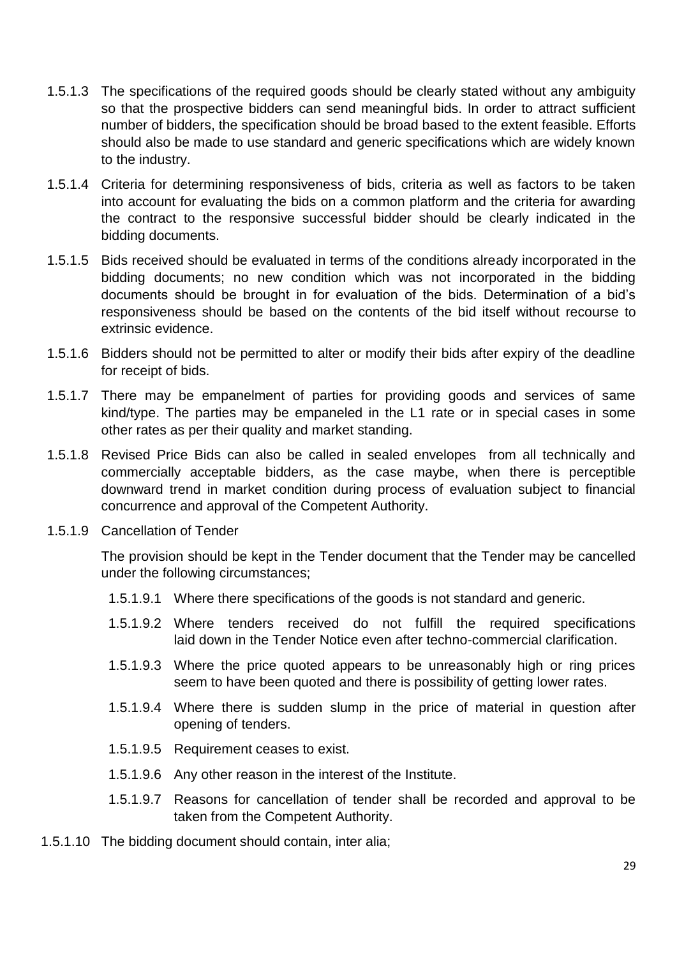- 1.5.1.3 The specifications of the required goods should be clearly stated without any ambiguity so that the prospective bidders can send meaningful bids. In order to attract sufficient number of bidders, the specification should be broad based to the extent feasible. Efforts should also be made to use standard and generic specifications which are widely known to the industry.
- 1.5.1.4 Criteria for determining responsiveness of bids, criteria as well as factors to be taken into account for evaluating the bids on a common platform and the criteria for awarding the contract to the responsive successful bidder should be clearly indicated in the bidding documents.
- 1.5.1.5 Bids received should be evaluated in terms of the conditions already incorporated in the bidding documents; no new condition which was not incorporated in the bidding documents should be brought in for evaluation of the bids. Determination of a bid's responsiveness should be based on the contents of the bid itself without recourse to extrinsic evidence.
- 1.5.1.6 Bidders should not be permitted to alter or modify their bids after expiry of the deadline for receipt of bids.
- 1.5.1.7 There may be empanelment of parties for providing goods and services of same kind/type. The parties may be empaneled in the L1 rate or in special cases in some other rates as per their quality and market standing.
- 1.5.1.8 Revised Price Bids can also be called in sealed envelopes from all technically and commercially acceptable bidders, as the case maybe, when there is perceptible downward trend in market condition during process of evaluation subject to financial concurrence and approval of the Competent Authority.
- 1.5.1.9 Cancellation of Tender

The provision should be kept in the Tender document that the Tender may be cancelled under the following circumstances;

- 1.5.1.9.1 Where there specifications of the goods is not standard and generic.
- 1.5.1.9.2 Where tenders received do not fulfill the required specifications laid down in the Tender Notice even after techno-commercial clarification.
- 1.5.1.9.3 Where the price quoted appears to be unreasonably high or ring prices seem to have been quoted and there is possibility of getting lower rates.
- 1.5.1.9.4 Where there is sudden slump in the price of material in question after opening of tenders.
- 1.5.1.9.5 Requirement ceases to exist.
- 1.5.1.9.6 Any other reason in the interest of the Institute.
- 1.5.1.9.7 Reasons for cancellation of tender shall be recorded and approval to be taken from the Competent Authority.
- 1.5.1.10 The bidding document should contain, inter alia;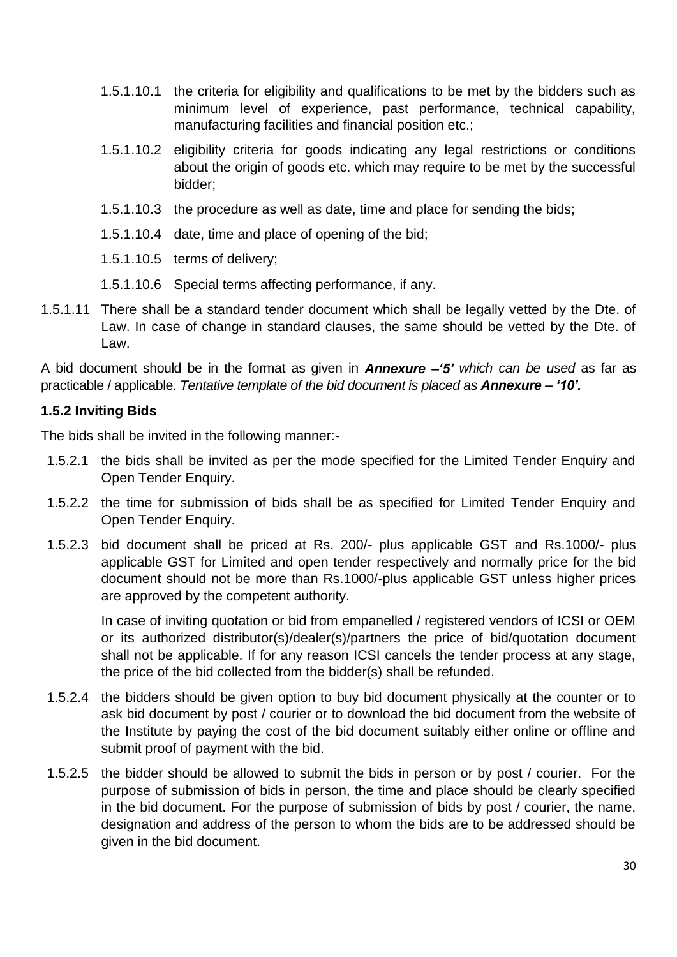- 1.5.1.10.1 the criteria for eligibility and qualifications to be met by the bidders such as minimum level of experience, past performance, technical capability, manufacturing facilities and financial position etc.;
- 1.5.1.10.2 eligibility criteria for goods indicating any legal restrictions or conditions about the origin of goods etc. which may require to be met by the successful bidder;
- 1.5.1.10.3 the procedure as well as date, time and place for sending the bids;
- 1.5.1.10.4 date, time and place of opening of the bid;
- 1.5.1.10.5 terms of delivery;
- 1.5.1.10.6 Special terms affecting performance, if any.
- 1.5.1.11 There shall be a standard tender document which shall be legally vetted by the Dte. of Law. In case of change in standard clauses, the same should be vetted by the Dte. of Law.

A bid document should be in the format as given in *Annexure –'5' which can be used* as far as practicable / applicable. *Tentative template of the bid document is placed as Annexure – '10'.*

### **1.5.2 Inviting Bids**

The bids shall be invited in the following manner:-

- 1.5.2.1 the bids shall be invited as per the mode specified for the Limited Tender Enquiry and Open Tender Enquiry.
- 1.5.2.2 the time for submission of bids shall be as specified for Limited Tender Enquiry and Open Tender Enquiry.
- 1.5.2.3 bid document shall be priced at Rs. 200/- plus applicable GST and Rs.1000/- plus applicable GST for Limited and open tender respectively and normally price for the bid document should not be more than Rs.1000/-plus applicable GST unless higher prices are approved by the competent authority.

In case of inviting quotation or bid from empanelled / registered vendors of ICSI or OEM or its authorized distributor(s)/dealer(s)/partners the price of bid/quotation document shall not be applicable. If for any reason ICSI cancels the tender process at any stage, the price of the bid collected from the bidder(s) shall be refunded.

- 1.5.2.4 the bidders should be given option to buy bid document physically at the counter or to ask bid document by post / courier or to download the bid document from the website of the Institute by paying the cost of the bid document suitably either online or offline and submit proof of payment with the bid.
- 1.5.2.5 the bidder should be allowed to submit the bids in person or by post / courier. For the purpose of submission of bids in person, the time and place should be clearly specified in the bid document. For the purpose of submission of bids by post / courier, the name, designation and address of the person to whom the bids are to be addressed should be given in the bid document.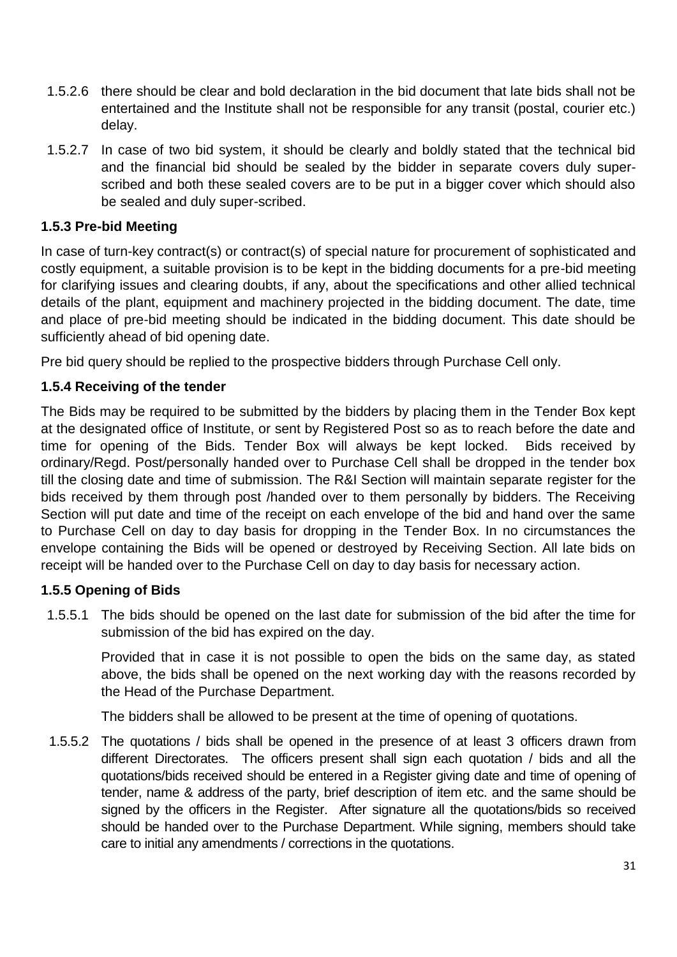- 1.5.2.6 there should be clear and bold declaration in the bid document that late bids shall not be entertained and the Institute shall not be responsible for any transit (postal, courier etc.) delay.
- 1.5.2.7 In case of two bid system, it should be clearly and boldly stated that the technical bid and the financial bid should be sealed by the bidder in separate covers duly superscribed and both these sealed covers are to be put in a bigger cover which should also be sealed and duly super-scribed.

### **1.5.3 Pre-bid Meeting**

In case of turn-key contract(s) or contract(s) of special nature for procurement of sophisticated and costly equipment, a suitable provision is to be kept in the bidding documents for a pre-bid meeting for clarifying issues and clearing doubts, if any, about the specifications and other allied technical details of the plant, equipment and machinery projected in the bidding document. The date, time and place of pre-bid meeting should be indicated in the bidding document. This date should be sufficiently ahead of bid opening date.

Pre bid query should be replied to the prospective bidders through Purchase Cell only.

### **1.5.4 Receiving of the tender**

The Bids may be required to be submitted by the bidders by placing them in the Tender Box kept at the designated office of Institute, or sent by Registered Post so as to reach before the date and time for opening of the Bids. Tender Box will always be kept locked. Bids received by ordinary/Regd. Post/personally handed over to Purchase Cell shall be dropped in the tender box till the closing date and time of submission. The R&I Section will maintain separate register for the bids received by them through post /handed over to them personally by bidders. The Receiving Section will put date and time of the receipt on each envelope of the bid and hand over the same to Purchase Cell on day to day basis for dropping in the Tender Box. In no circumstances the envelope containing the Bids will be opened or destroyed by Receiving Section. All late bids on receipt will be handed over to the Purchase Cell on day to day basis for necessary action.

### **1.5.5 Opening of Bids**

1.5.5.1 The bids should be opened on the last date for submission of the bid after the time for submission of the bid has expired on the day.

Provided that in case it is not possible to open the bids on the same day, as stated above, the bids shall be opened on the next working day with the reasons recorded by the Head of the Purchase Department.

The bidders shall be allowed to be present at the time of opening of quotations.

1.5.5.2 The quotations / bids shall be opened in the presence of at least 3 officers drawn from different Directorates. The officers present shall sign each quotation / bids and all the quotations/bids received should be entered in a Register giving date and time of opening of tender, name & address of the party, brief description of item etc. and the same should be signed by the officers in the Register. After signature all the quotations/bids so received should be handed over to the Purchase Department. While signing, members should take care to initial any amendments / corrections in the quotations.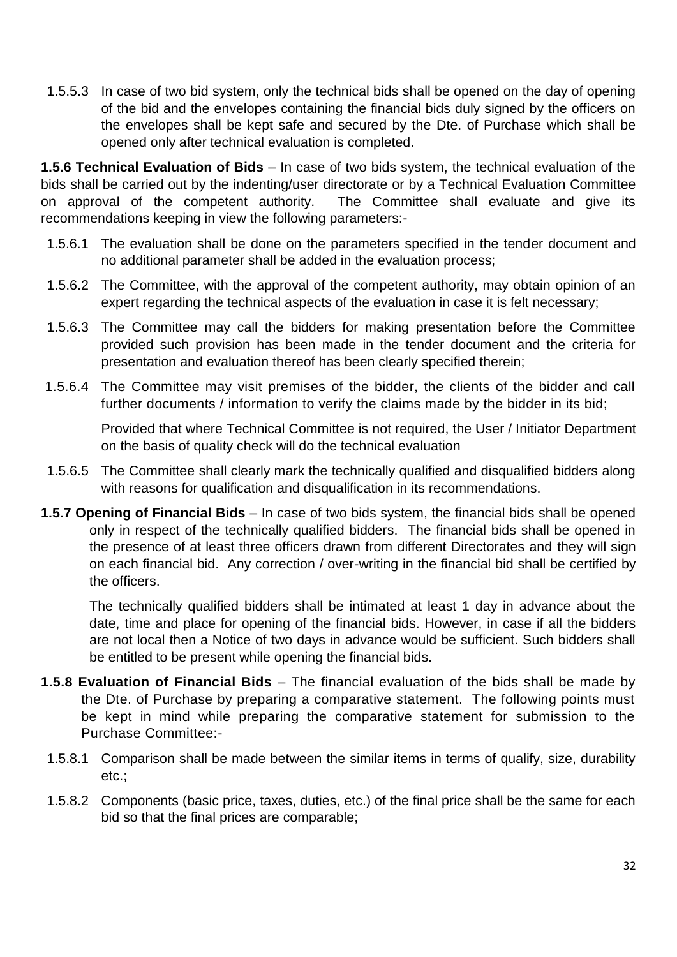1.5.5.3 In case of two bid system, only the technical bids shall be opened on the day of opening of the bid and the envelopes containing the financial bids duly signed by the officers on the envelopes shall be kept safe and secured by the Dte. of Purchase which shall be opened only after technical evaluation is completed.

**1.5.6 Technical Evaluation of Bids** – In case of two bids system, the technical evaluation of the bids shall be carried out by the indenting/user directorate or by a Technical Evaluation Committee on approval of the competent authority. The Committee shall evaluate and give its recommendations keeping in view the following parameters:-

- 1.5.6.1 The evaluation shall be done on the parameters specified in the tender document and no additional parameter shall be added in the evaluation process;
- 1.5.6.2 The Committee, with the approval of the competent authority, may obtain opinion of an expert regarding the technical aspects of the evaluation in case it is felt necessary;
- 1.5.6.3 The Committee may call the bidders for making presentation before the Committee provided such provision has been made in the tender document and the criteria for presentation and evaluation thereof has been clearly specified therein;
- 1.5.6.4 The Committee may visit premises of the bidder, the clients of the bidder and call further documents / information to verify the claims made by the bidder in its bid;

Provided that where Technical Committee is not required, the User / Initiator Department on the basis of quality check will do the technical evaluation

- 1.5.6.5 The Committee shall clearly mark the technically qualified and disqualified bidders along with reasons for qualification and disqualification in its recommendations.
- **1.5.7 Opening of Financial Bids** In case of two bids system, the financial bids shall be opened only in respect of the technically qualified bidders. The financial bids shall be opened in the presence of at least three officers drawn from different Directorates and they will sign on each financial bid. Any correction / over-writing in the financial bid shall be certified by the officers.

The technically qualified bidders shall be intimated at least 1 day in advance about the date, time and place for opening of the financial bids. However, in case if all the bidders are not local then a Notice of two days in advance would be sufficient. Such bidders shall be entitled to be present while opening the financial bids.

- **1.5.8 Evaluation of Financial Bids**  The financial evaluation of the bids shall be made by the Dte. of Purchase by preparing a comparative statement. The following points must be kept in mind while preparing the comparative statement for submission to the Purchase Committee:-
- 1.5.8.1 Comparison shall be made between the similar items in terms of qualify, size, durability etc.;
- 1.5.8.2 Components (basic price, taxes, duties, etc.) of the final price shall be the same for each bid so that the final prices are comparable;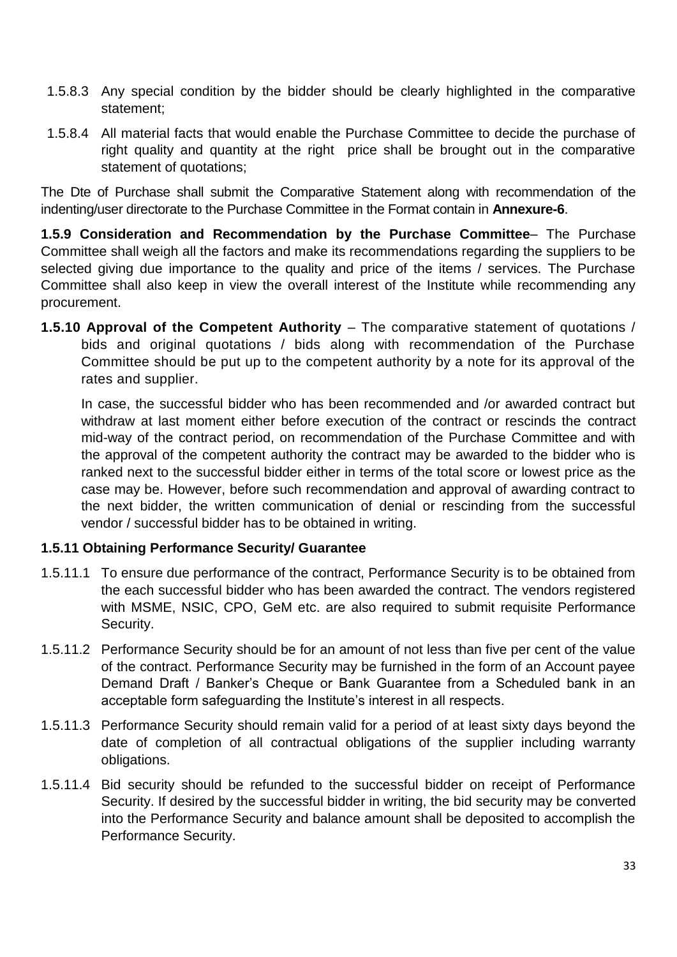- 1.5.8.3 Any special condition by the bidder should be clearly highlighted in the comparative statement;
- 1.5.8.4 All material facts that would enable the Purchase Committee to decide the purchase of right quality and quantity at the right price shall be brought out in the comparative statement of quotations;

The Dte of Purchase shall submit the Comparative Statement along with recommendation of the indenting/user directorate to the Purchase Committee in the Format contain in **Annexure-6**.

**1.5.9 Consideration and Recommendation by the Purchase Committee**– The Purchase Committee shall weigh all the factors and make its recommendations regarding the suppliers to be selected giving due importance to the quality and price of the items / services. The Purchase Committee shall also keep in view the overall interest of the Institute while recommending any procurement.

**1.5.10 Approval of the Competent Authority** – The comparative statement of quotations / bids and original quotations / bids along with recommendation of the Purchase Committee should be put up to the competent authority by a note for its approval of the rates and supplier.

In case, the successful bidder who has been recommended and /or awarded contract but withdraw at last moment either before execution of the contract or rescinds the contract mid-way of the contract period, on recommendation of the Purchase Committee and with the approval of the competent authority the contract may be awarded to the bidder who is ranked next to the successful bidder either in terms of the total score or lowest price as the case may be. However, before such recommendation and approval of awarding contract to the next bidder, the written communication of denial or rescinding from the successful vendor / successful bidder has to be obtained in writing.

### **1.5.11 Obtaining Performance Security/ Guarantee**

- 1.5.11.1 To ensure due performance of the contract, Performance Security is to be obtained from the each successful bidder who has been awarded the contract. The vendors registered with MSME, NSIC, CPO, GeM etc. are also required to submit requisite Performance Security.
- 1.5.11.2 Performance Security should be for an amount of not less than five per cent of the value of the contract. Performance Security may be furnished in the form of an Account payee Demand Draft / Banker's Cheque or Bank Guarantee from a Scheduled bank in an acceptable form safeguarding the Institute's interest in all respects.
- 1.5.11.3 Performance Security should remain valid for a period of at least sixty days beyond the date of completion of all contractual obligations of the supplier including warranty obligations.
- 1.5.11.4 Bid security should be refunded to the successful bidder on receipt of Performance Security. If desired by the successful bidder in writing, the bid security may be converted into the Performance Security and balance amount shall be deposited to accomplish the Performance Security.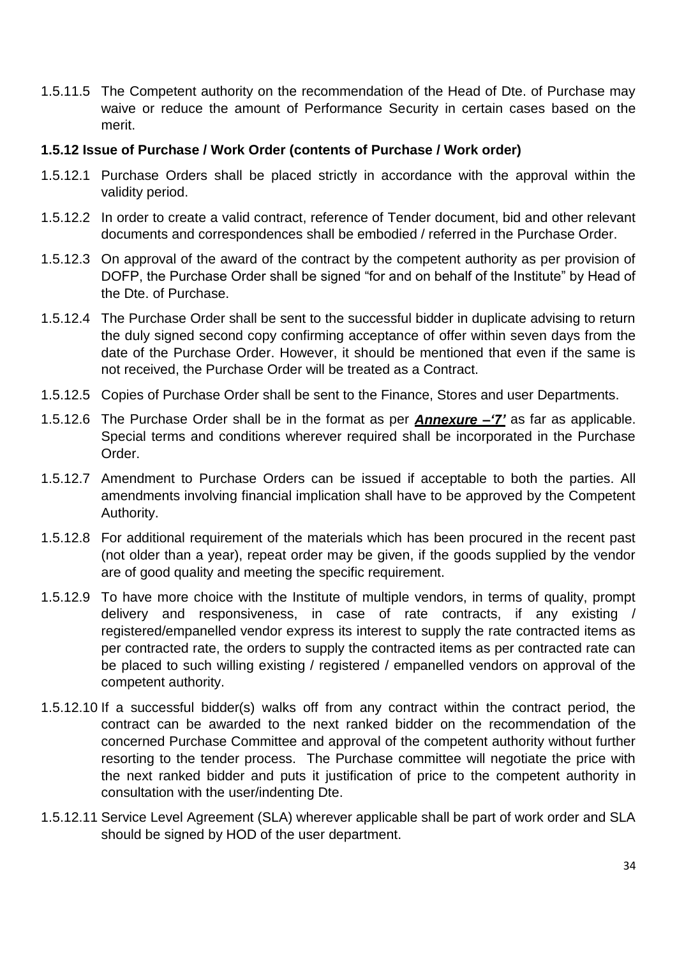1.5.11.5 The Competent authority on the recommendation of the Head of Dte. of Purchase may waive or reduce the amount of Performance Security in certain cases based on the merit.

### **1.5.12 Issue of Purchase / Work Order (contents of Purchase / Work order)**

- 1.5.12.1 Purchase Orders shall be placed strictly in accordance with the approval within the validity period.
- 1.5.12.2 In order to create a valid contract, reference of Tender document, bid and other relevant documents and correspondences shall be embodied / referred in the Purchase Order.
- 1.5.12.3 On approval of the award of the contract by the competent authority as per provision of DOFP, the Purchase Order shall be signed "for and on behalf of the Institute" by Head of the Dte. of Purchase.
- 1.5.12.4 The Purchase Order shall be sent to the successful bidder in duplicate advising to return the duly signed second copy confirming acceptance of offer within seven days from the date of the Purchase Order. However, it should be mentioned that even if the same is not received, the Purchase Order will be treated as a Contract.
- 1.5.12.5 Copies of Purchase Order shall be sent to the Finance, Stores and user Departments.
- 1.5.12.6 The Purchase Order shall be in the format as per *Annexure –'7'* as far as applicable. Special terms and conditions wherever required shall be incorporated in the Purchase Order.
- 1.5.12.7 Amendment to Purchase Orders can be issued if acceptable to both the parties. All amendments involving financial implication shall have to be approved by the Competent Authority.
- 1.5.12.8 For additional requirement of the materials which has been procured in the recent past (not older than a year), repeat order may be given, if the goods supplied by the vendor are of good quality and meeting the specific requirement.
- 1.5.12.9 To have more choice with the Institute of multiple vendors, in terms of quality, prompt delivery and responsiveness, in case of rate contracts, if any existing / registered/empanelled vendor express its interest to supply the rate contracted items as per contracted rate, the orders to supply the contracted items as per contracted rate can be placed to such willing existing / registered / empanelled vendors on approval of the competent authority.
- 1.5.12.10 If a successful bidder(s) walks off from any contract within the contract period, the contract can be awarded to the next ranked bidder on the recommendation of the concerned Purchase Committee and approval of the competent authority without further resorting to the tender process. The Purchase committee will negotiate the price with the next ranked bidder and puts it justification of price to the competent authority in consultation with the user/indenting Dte.
- 1.5.12.11 Service Level Agreement (SLA) wherever applicable shall be part of work order and SLA should be signed by HOD of the user department.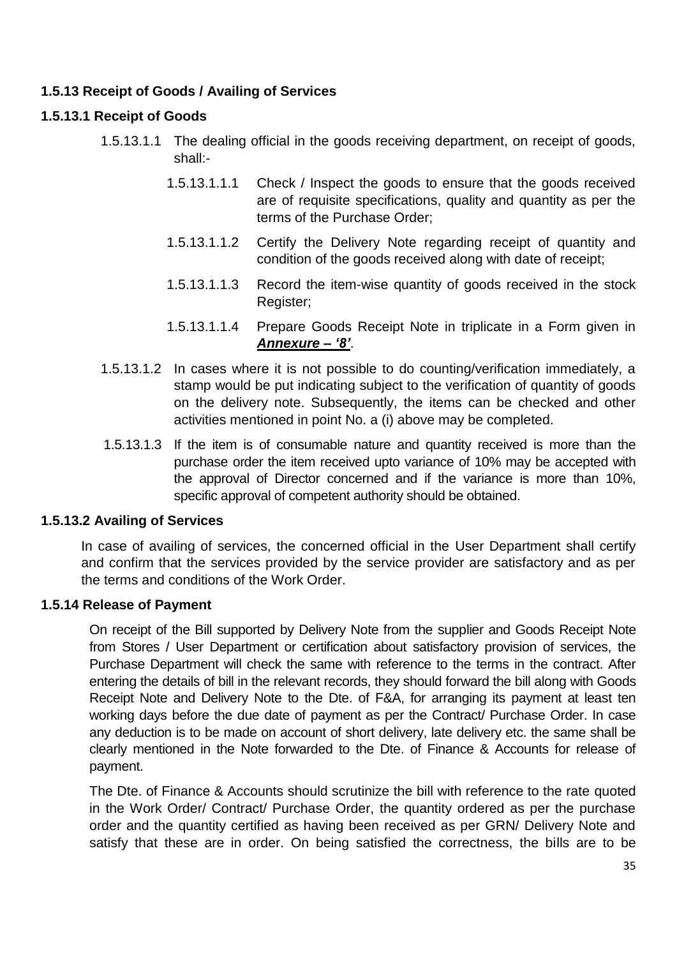### **1.5.13 Receipt of Goods / Availing of Services**

### **1.5.13.1 Receipt of Goods**

- 1.5.13.1.1 The dealing official in the goods receiving department, on receipt of goods, shall:-
	- 1.5.13.1.1.1 Check / Inspect the goods to ensure that the goods received are of requisite specifications, quality and quantity as per the terms of the Purchase Order;
	- 1.5.13.1.1.2 Certify the Delivery Note regarding receipt of quantity and condition of the goods received along with date of receipt;
	- 1.5.13.1.1.3 Record the item-wise quantity of goods received in the stock Register;
	- 1.5.13.1.1.4 Prepare Goods Receipt Note in triplicate in a Form given in *Annexure – '8'*.
- 1.5.13.1.2 In cases where it is not possible to do counting/verification immediately, a stamp would be put indicating subject to the verification of quantity of goods on the delivery note. Subsequently, the items can be checked and other activities mentioned in point No. a (i) above may be completed.
- 1.5.13.1.3 If the item is of consumable nature and quantity received is more than the purchase order the item received upto variance of 10% may be accepted with the approval of Director concerned and if the variance is more than 10%, specific approval of competent authority should be obtained.

### **1.5.13.2 Availing of Services**

In case of availing of services, the concerned official in the User Department shall certify and confirm that the services provided by the service provider are satisfactory and as per the terms and conditions of the Work Order.

### **1.5.14 Release of Payment**

On receipt of the Bill supported by Delivery Note from the supplier and Goods Receipt Note from Stores / User Department or certification about satisfactory provision of services, the Purchase Department will check the same with reference to the terms in the contract. After entering the details of bill in the relevant records, they should forward the bill along with Goods Receipt Note and Delivery Note to the Dte. of F&A, for arranging its payment at least ten working days before the due date of payment as per the Contract/ Purchase Order. In case any deduction is to be made on account of short delivery, late delivery etc. the same shall be clearly mentioned in the Note forwarded to the Dte. of Finance & Accounts for release of payment.

The Dte. of Finance & Accounts should scrutinize the bill with reference to the rate quoted in the Work Order/ Contract/ Purchase Order, the quantity ordered as per the purchase order and the quantity certified as having been received as per GRN/ Delivery Note and satisfy that these are in order. On being satisfied the correctness, the bills are to be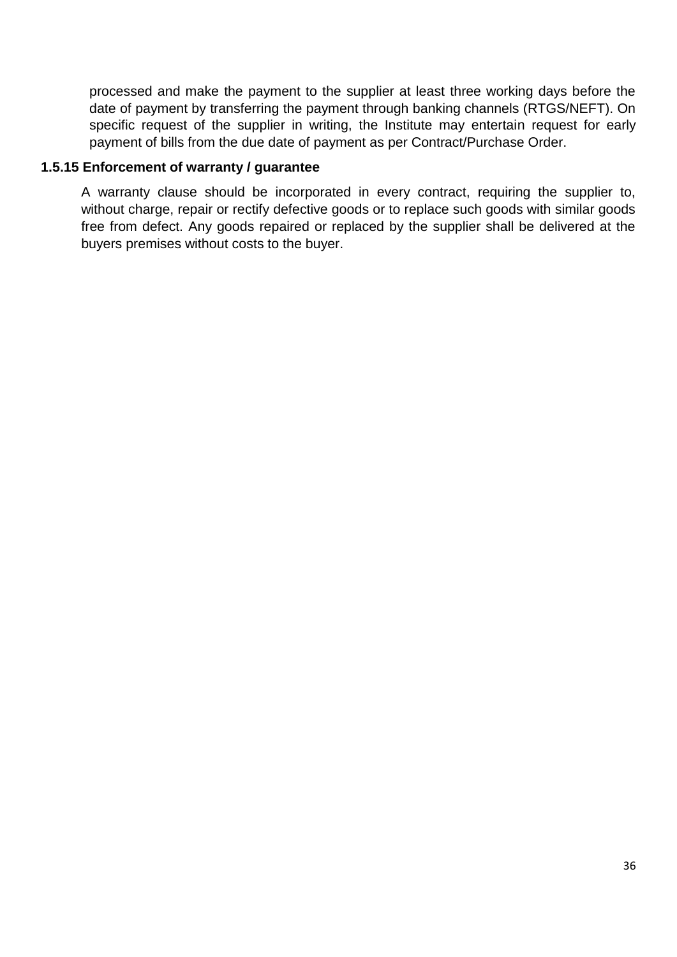processed and make the payment to the supplier at least three working days before the date of payment by transferring the payment through banking channels (RTGS/NEFT). On specific request of the supplier in writing, the Institute may entertain request for early payment of bills from the due date of payment as per Contract/Purchase Order.

#### **1.5.15 Enforcement of warranty / guarantee**

A warranty clause should be incorporated in every contract, requiring the supplier to, without charge, repair or rectify defective goods or to replace such goods with similar goods free from defect. Any goods repaired or replaced by the supplier shall be delivered at the buyers premises without costs to the buyer.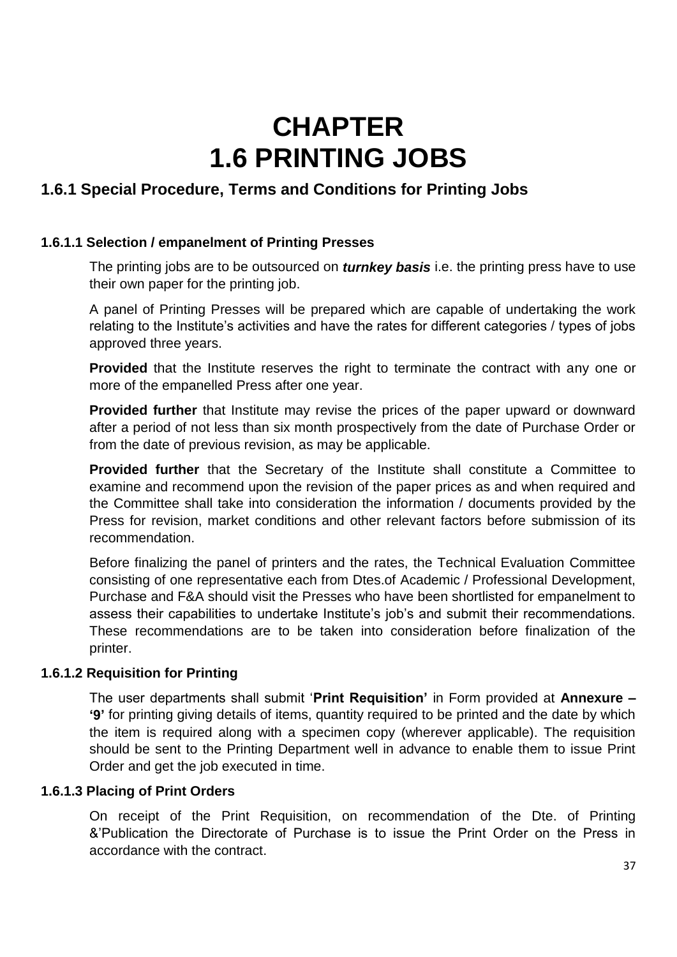# **CHAPTER 1.6 PRINTING JOBS**

# **1.6.1 Special Procedure, Terms and Conditions for Printing Jobs**

#### **1.6.1.1 Selection / empanelment of Printing Presses**

The printing jobs are to be outsourced on *turnkey basis* i.e. the printing press have to use their own paper for the printing job.

A panel of Printing Presses will be prepared which are capable of undertaking the work relating to the Institute's activities and have the rates for different categories / types of jobs approved three years.

**Provided** that the Institute reserves the right to terminate the contract with any one or more of the empanelled Press after one year.

**Provided further** that Institute may revise the prices of the paper upward or downward after a period of not less than six month prospectively from the date of Purchase Order or from the date of previous revision, as may be applicable.

**Provided further** that the Secretary of the Institute shall constitute a Committee to examine and recommend upon the revision of the paper prices as and when required and the Committee shall take into consideration the information / documents provided by the Press for revision, market conditions and other relevant factors before submission of its recommendation.

Before finalizing the panel of printers and the rates, the Technical Evaluation Committee consisting of one representative each from Dtes.of Academic / Professional Development, Purchase and F&A should visit the Presses who have been shortlisted for empanelment to assess their capabilities to undertake Institute's job's and submit their recommendations. These recommendations are to be taken into consideration before finalization of the printer.

#### **1.6.1.2 Requisition for Printing**

The user departments shall submit '**Print Requisition'** in Form provided at **Annexure – '9'** for printing giving details of items, quantity required to be printed and the date by which the item is required along with a specimen copy (wherever applicable). The requisition should be sent to the Printing Department well in advance to enable them to issue Print Order and get the job executed in time.

#### **1.6.1.3 Placing of Print Orders**

On receipt of the Print Requisition, on recommendation of the Dte. of Printing &'Publication the Directorate of Purchase is to issue the Print Order on the Press in accordance with the contract.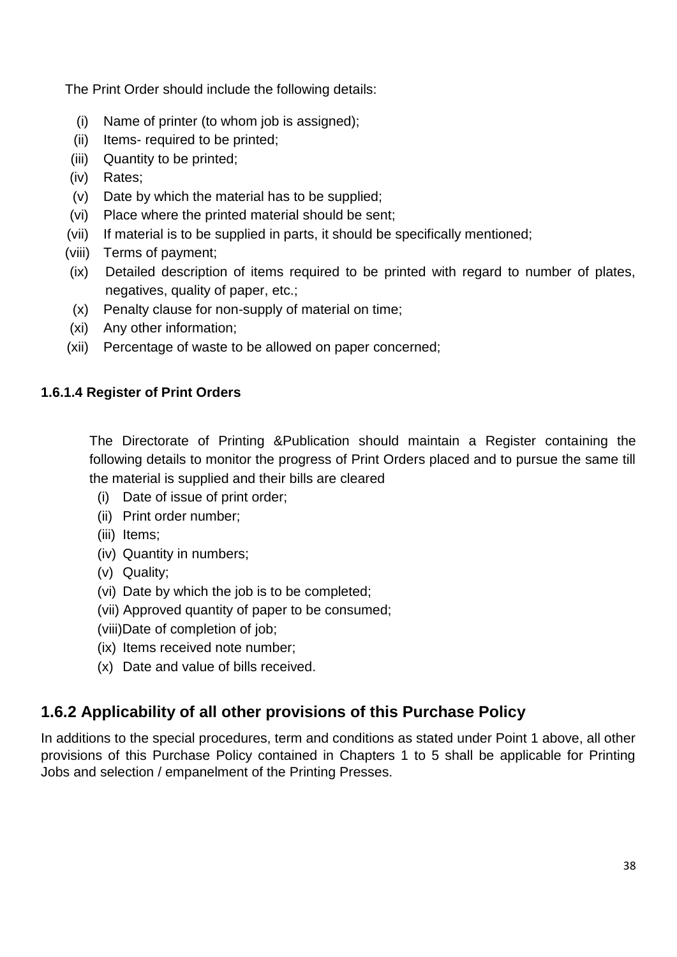The Print Order should include the following details:

- (i) Name of printer (to whom job is assigned);
- (ii) Items- required to be printed;
- (iii) Quantity to be printed;
- (iv) Rates;
- (v) Date by which the material has to be supplied;
- (vi) Place where the printed material should be sent;
- (vii) If material is to be supplied in parts, it should be specifically mentioned;
- (viii) Terms of payment;
- (ix) Detailed description of items required to be printed with regard to number of plates, negatives, quality of paper, etc.;
- (x) Penalty clause for non-supply of material on time;
- (xi) Any other information;
- (xii) Percentage of waste to be allowed on paper concerned;

# **1.6.1.4 Register of Print Orders**

The Directorate of Printing &Publication should maintain a Register containing the following details to monitor the progress of Print Orders placed and to pursue the same till the material is supplied and their bills are cleared

- (i) Date of issue of print order;
- (ii) Print order number;
- (iii) Items;
- (iv) Quantity in numbers;
- (v) Quality;
- (vi) Date by which the job is to be completed;
- (vii) Approved quantity of paper to be consumed;
- (viii)Date of completion of job;
- (ix) Items received note number;
- (x) Date and value of bills received.

# **1.6.2 Applicability of all other provisions of this Purchase Policy**

In additions to the special procedures, term and conditions as stated under Point 1 above, all other provisions of this Purchase Policy contained in Chapters 1 to 5 shall be applicable for Printing Jobs and selection / empanelment of the Printing Presses.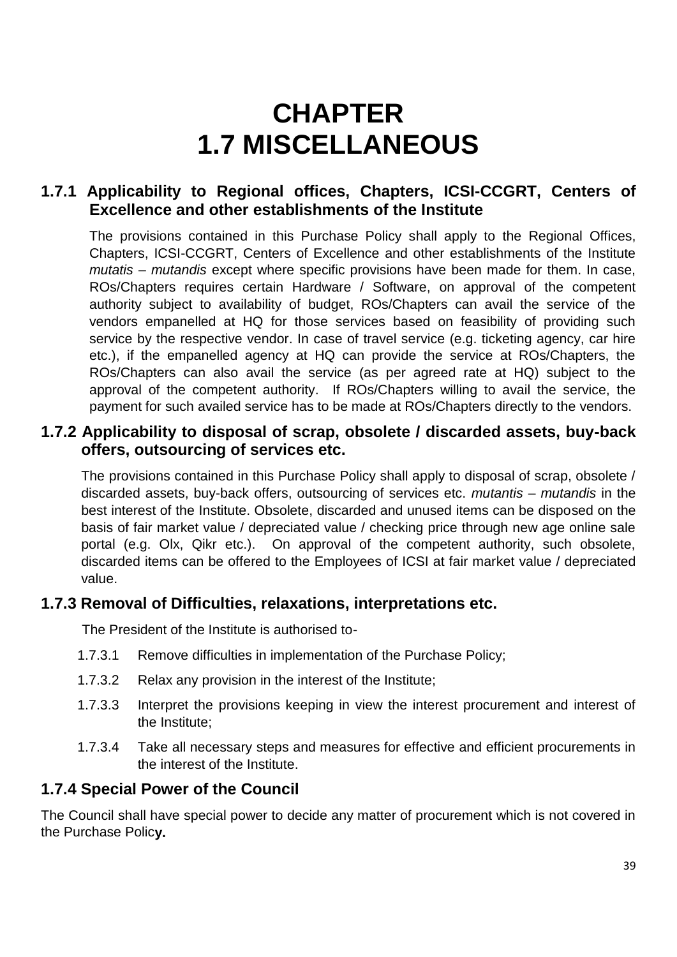# **CHAPTER 1.7 MISCELLANEOUS**

# **1.7.1 Applicability to Regional offices, Chapters, ICSI-CCGRT, Centers of Excellence and other establishments of the Institute**

The provisions contained in this Purchase Policy shall apply to the Regional Offices, Chapters, ICSI-CCGRT, Centers of Excellence and other establishments of the Institute *mutatis – mutandis* except where specific provisions have been made for them. In case, ROs/Chapters requires certain Hardware / Software, on approval of the competent authority subject to availability of budget, ROs/Chapters can avail the service of the vendors empanelled at HQ for those services based on feasibility of providing such service by the respective vendor. In case of travel service (e.g. ticketing agency, car hire etc.), if the empanelled agency at HQ can provide the service at ROs/Chapters, the ROs/Chapters can also avail the service (as per agreed rate at HQ) subject to the approval of the competent authority. If ROs/Chapters willing to avail the service, the payment for such availed service has to be made at ROs/Chapters directly to the vendors.

# **1.7.2 Applicability to disposal of scrap, obsolete / discarded assets, buy-back offers, outsourcing of services etc.**

The provisions contained in this Purchase Policy shall apply to disposal of scrap, obsolete / discarded assets, buy-back offers, outsourcing of services etc. *mutantis – mutandis* in the best interest of the Institute. Obsolete, discarded and unused items can be disposed on the basis of fair market value / depreciated value / checking price through new age online sale portal (e.g. Olx, Qikr etc.). On approval of the competent authority, such obsolete, discarded items can be offered to the Employees of ICSI at fair market value / depreciated value.

# **1.7.3 Removal of Difficulties, relaxations, interpretations etc.**

The President of the Institute is authorised to-

- 1.7.3.1 Remove difficulties in implementation of the Purchase Policy;
- 1.7.3.2 Relax any provision in the interest of the Institute;
- 1.7.3.3 Interpret the provisions keeping in view the interest procurement and interest of the Institute;
- 1.7.3.4 Take all necessary steps and measures for effective and efficient procurements in the interest of the Institute.

# **1.7.4 Special Power of the Council**

The Council shall have special power to decide any matter of procurement which is not covered in the Purchase Polic**y.**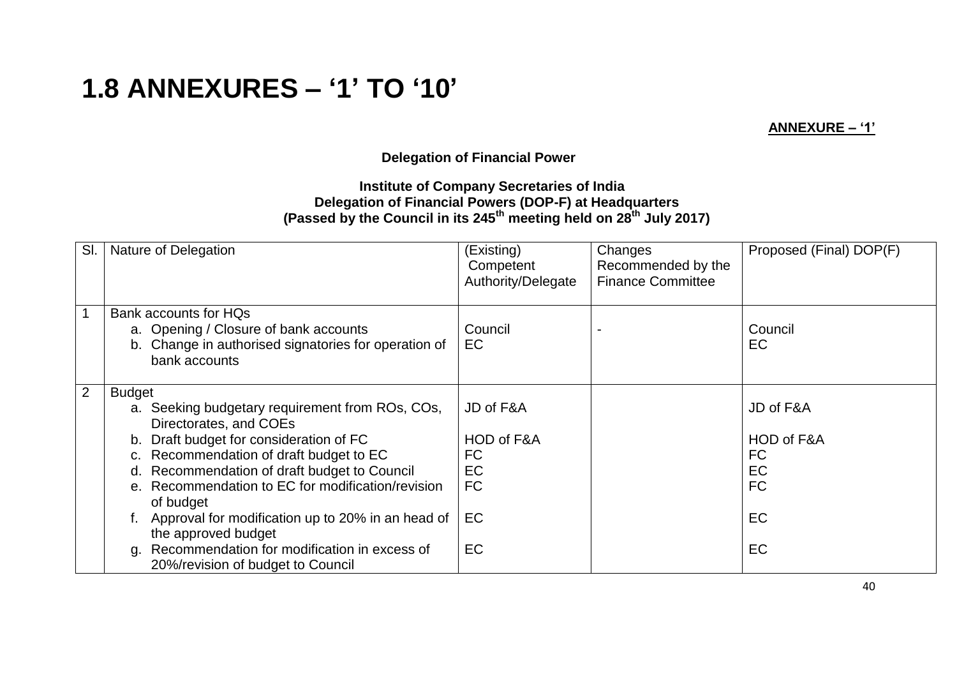# **1.8 ANNEXURES – '1' TO '10'**

**ANNEXURE – '1'**

**Delegation of Financial Power**

#### **Institute of Company Secretaries of India Delegation of Financial Powers (DOP-F) at Headquarters (Passed by the Council in its 245th meeting held on 28th July 2017)**

| SI.            | Nature of Delegation                                                                                                                                                                                                                                                                                                                                                  | (Existing)<br>Competent<br>Authority/Delegate                 | Changes<br>Recommended by the<br><b>Finance Committee</b> | Proposed (Final) DOP(F)                                                     |
|----------------|-----------------------------------------------------------------------------------------------------------------------------------------------------------------------------------------------------------------------------------------------------------------------------------------------------------------------------------------------------------------------|---------------------------------------------------------------|-----------------------------------------------------------|-----------------------------------------------------------------------------|
|                | Bank accounts for HQs<br>a. Opening / Closure of bank accounts<br>b. Change in authorised signatories for operation of<br>bank accounts                                                                                                                                                                                                                               | Council<br>EC                                                 |                                                           | Council<br><b>EC</b>                                                        |
| $\overline{2}$ | <b>Budget</b><br>a. Seeking budgetary requirement from ROs, COs,<br>Directorates, and COEs<br>Draft budget for consideration of FC<br>b.<br>Recommendation of draft budget to EC<br>$C_{1}$<br>Recommendation of draft budget to Council<br>d.<br>e. Recommendation to EC for modification/revision<br>of budget<br>Approval for modification up to 20% in an head of | JD of F&A<br>HOD of F&A<br><b>FC</b><br>EC<br><b>FC</b><br>EC |                                                           | JD of F&A<br>HOD of F&A<br><b>FC</b><br><b>EC</b><br><b>FC</b><br><b>EC</b> |
|                | the approved budget<br>Recommendation for modification in excess of<br>a.<br>20%/revision of budget to Council                                                                                                                                                                                                                                                        | <b>EC</b>                                                     |                                                           | <b>EC</b>                                                                   |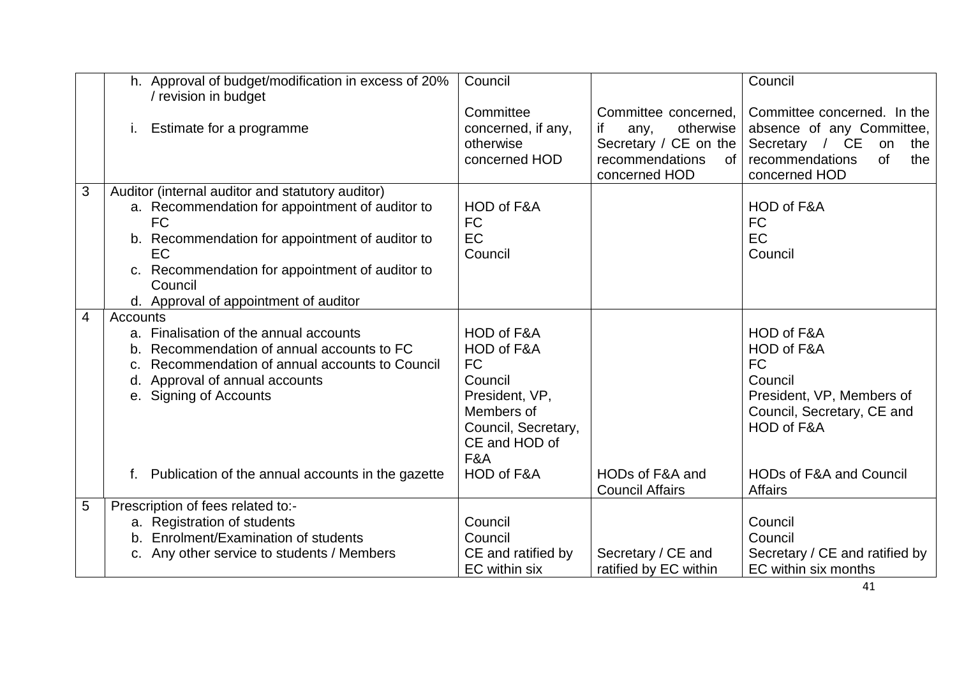|   | h. Approval of budget/modification in excess of 20%                                                                                                                                                                                                                              | Council                                                                                                                                       |                                                                                                                           | Council                                                                                                                                                             |
|---|----------------------------------------------------------------------------------------------------------------------------------------------------------------------------------------------------------------------------------------------------------------------------------|-----------------------------------------------------------------------------------------------------------------------------------------------|---------------------------------------------------------------------------------------------------------------------------|---------------------------------------------------------------------------------------------------------------------------------------------------------------------|
|   | / revision in budget<br>Estimate for a programme                                                                                                                                                                                                                                 | Committee<br>concerned, if any,<br>otherwise<br>concerned HOD                                                                                 | Committee concerned,<br>if<br>otherwise<br>any,<br>Secretary / CE on the<br>recommendations<br><b>of</b><br>concerned HOD | Committee concerned. In the<br>absence of any Committee,<br>Secretary / CE<br>on<br>the<br><b>of</b><br>recommendations<br>the<br>concerned HOD                     |
| 3 | Auditor (internal auditor and statutory auditor)<br>a. Recommendation for appointment of auditor to<br><b>FC</b><br>b. Recommendation for appointment of auditor to<br>EC<br>c. Recommendation for appointment of auditor to<br>Council<br>d. Approval of appointment of auditor | HOD of F&A<br><b>FC</b><br>EC<br>Council                                                                                                      |                                                                                                                           | HOD of F&A<br><b>FC</b><br>EC<br>Council                                                                                                                            |
| 4 | Accounts<br>a. Finalisation of the annual accounts<br>Recommendation of annual accounts to FC<br>Recommendation of annual accounts to Council<br>Approval of annual accounts<br>d.<br>e. Signing of Accounts<br>f. Publication of the annual accounts in the gazette             | HOD of F&A<br>HOD of F&A<br><b>FC</b><br>Council<br>President, VP,<br>Members of<br>Council, Secretary,<br>CE and HOD of<br>F&A<br>HOD of F&A | HODs of F&A and<br><b>Council Affairs</b>                                                                                 | HOD of F&A<br>HOD of F&A<br>FC<br>Council<br>President, VP, Members of<br>Council, Secretary, CE and<br>HOD of F&A<br><b>HODs of F&amp;A and Council</b><br>Affairs |
| 5 | Prescription of fees related to:-<br>a. Registration of students<br>b. Enrolment/Examination of students<br>c. Any other service to students / Members                                                                                                                           | Council<br>Council<br>CE and ratified by<br>EC within six                                                                                     | Secretary / CE and<br>ratified by EC within                                                                               | Council<br>Council<br>Secretary / CE and ratified by<br>EC within six months                                                                                        |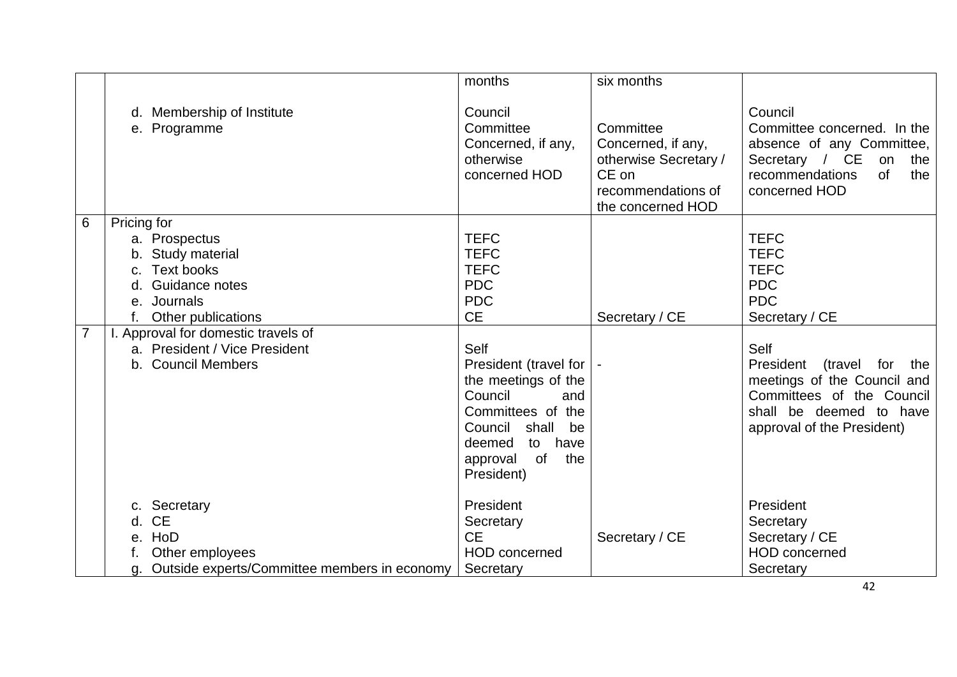|                                   |                                                                                                                                                                                                                                         | months                                                                                                                                                                                                                                                                  | six months                                                                                                   |                                                                                                                                                                                                                                                         |
|-----------------------------------|-----------------------------------------------------------------------------------------------------------------------------------------------------------------------------------------------------------------------------------------|-------------------------------------------------------------------------------------------------------------------------------------------------------------------------------------------------------------------------------------------------------------------------|--------------------------------------------------------------------------------------------------------------|---------------------------------------------------------------------------------------------------------------------------------------------------------------------------------------------------------------------------------------------------------|
|                                   | d. Membership of Institute<br>e. Programme                                                                                                                                                                                              | Council<br>Committee<br>Concerned, if any,<br>otherwise<br>concerned HOD                                                                                                                                                                                                | Committee<br>Concerned, if any,<br>otherwise Secretary /<br>CE on<br>recommendations of<br>the concerned HOD | Council<br>Committee concerned. In the<br>absence of any Committee,<br>Secretary / CE<br>on<br>the<br><b>of</b><br>recommendations<br>the<br>concerned HOD                                                                                              |
| $6\phantom{1}6$<br>$\overline{7}$ | Pricing for<br>a. Prospectus<br>b. Study material<br><b>Text books</b><br>C.<br>Guidance notes<br>d.<br>e. Journals<br>Other publications<br>I. Approval for domestic travels of<br>a. President / Vice President<br>b. Council Members | <b>TEFC</b><br><b>TEFC</b><br><b>TEFC</b><br><b>PDC</b><br><b>PDC</b><br><b>CE</b><br>Self<br>President (travel for<br>the meetings of the<br>Council<br>and<br>Committees of the<br>Council<br>shall<br>be<br>deemed<br>to have<br>of<br>the<br>approval<br>President) | Secretary / CE                                                                                               | <b>TEFC</b><br><b>TEFC</b><br><b>TEFC</b><br><b>PDC</b><br><b>PDC</b><br>Secretary / CE<br>Self<br>President<br>(travel for<br>the<br>meetings of the Council and<br>Committees of the Council<br>shall be deemed to have<br>approval of the President) |
|                                   | c. Secretary<br><b>CE</b><br>d.<br>HoD<br>е.<br>Other employees<br>Outside experts/Committee members in economy                                                                                                                         | President<br>Secretary<br><b>CE</b><br>HOD concerned<br>Secretary                                                                                                                                                                                                       | Secretary / CE                                                                                               | President<br>Secretary<br>Secretary / CE<br><b>HOD</b> concerned<br>Secretary                                                                                                                                                                           |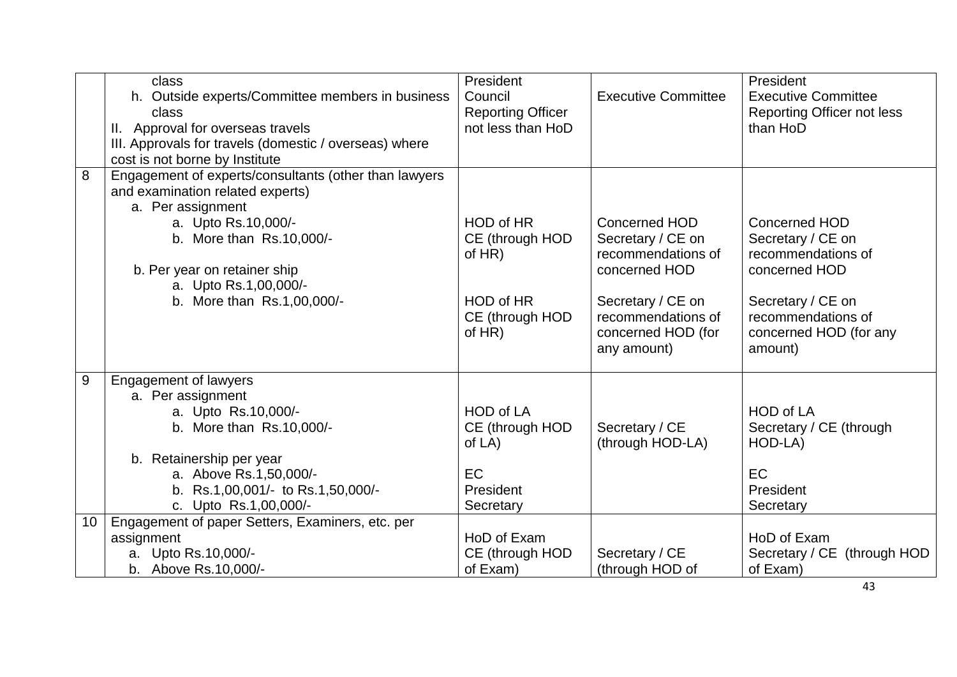|    | class                                                  | President                |                            | President                         |
|----|--------------------------------------------------------|--------------------------|----------------------------|-----------------------------------|
|    | h. Outside experts/Committee members in business       | Council                  | <b>Executive Committee</b> | <b>Executive Committee</b>        |
|    | class                                                  | <b>Reporting Officer</b> |                            | <b>Reporting Officer not less</b> |
|    | II. Approval for overseas travels                      | not less than HoD        |                            | than HoD                          |
|    | III. Approvals for travels (domestic / overseas) where |                          |                            |                                   |
|    | cost is not borne by Institute                         |                          |                            |                                   |
| 8  | Engagement of experts/consultants (other than lawyers  |                          |                            |                                   |
|    | and examination related experts)                       |                          |                            |                                   |
|    | a. Per assignment                                      |                          |                            |                                   |
|    | a. Upto Rs.10,000/-                                    | HOD of HR                | Concerned HOD              | <b>Concerned HOD</b>              |
|    | b. More than Rs.10,000/-                               | CE (through HOD          | Secretary / CE on          | Secretary / CE on                 |
|    |                                                        | of $HR$ )                | recommendations of         | recommendations of                |
|    | b. Per year on retainer ship                           |                          | concerned HOD              | concerned HOD                     |
|    | a. Upto Rs.1,00,000/-                                  |                          |                            |                                   |
|    | b. More than Rs.1,00,000/-                             | HOD of HR                | Secretary / CE on          | Secretary / CE on                 |
|    |                                                        | CE (through HOD          | recommendations of         | recommendations of                |
|    |                                                        | of $HR$ )                | concerned HOD (for         | concerned HOD (for any            |
|    |                                                        |                          | any amount)                | amount)                           |
|    |                                                        |                          |                            |                                   |
| 9  | <b>Engagement of lawyers</b>                           |                          |                            |                                   |
|    | a. Per assignment                                      |                          |                            |                                   |
|    | a. Upto Rs.10,000/-                                    | <b>HOD of LA</b>         |                            | <b>HOD of LA</b>                  |
|    | b. More than Rs.10,000/-                               | CE (through HOD          | Secretary / CE             | Secretary / CE (through           |
|    |                                                        | of $LA$ )                | (through HOD-LA)           | HOD-LA)                           |
|    | b. Retainership per year                               |                          |                            |                                   |
|    | a. Above Rs.1,50,000/-                                 | EC                       |                            | <b>EC</b>                         |
|    | b. Rs.1,00,001/- to Rs.1,50,000/-                      | President                |                            | President                         |
|    | c. Upto Rs.1,00,000/-                                  | Secretary                |                            | Secretary                         |
| 10 | Engagement of paper Setters, Examiners, etc. per       |                          |                            |                                   |
|    | assignment                                             | HoD of Exam              |                            | HoD of Exam                       |
|    | a. Upto Rs.10,000/-                                    | CE (through HOD          | Secretary / CE             | Secretary / CE (through HOD       |
|    | b. Above Rs.10,000/-                                   | of Exam)                 | (through HOD of            | of Exam)                          |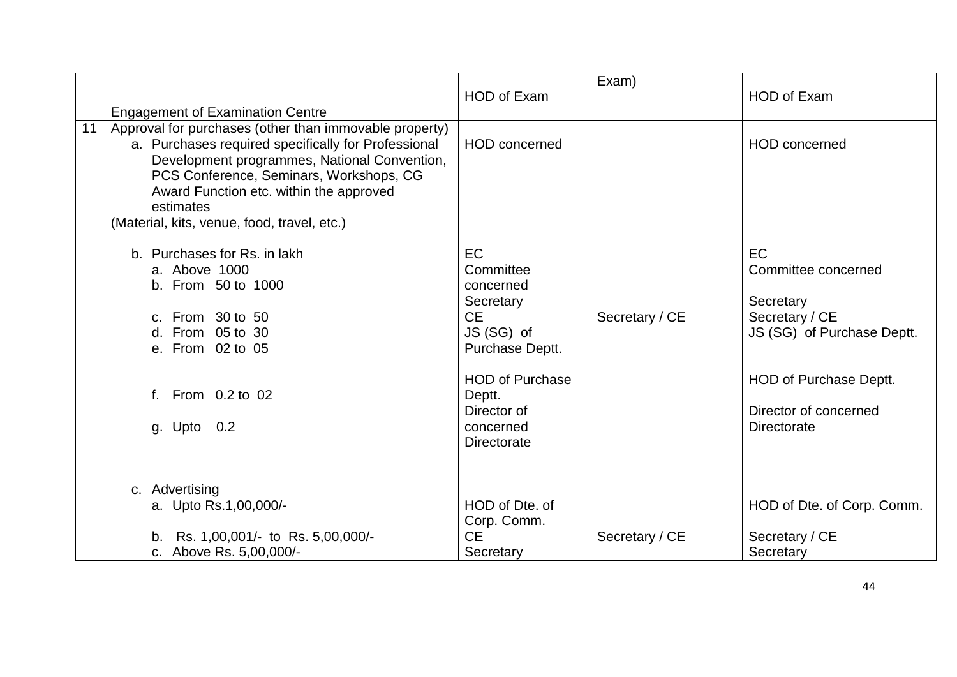|                 |                                                                                                                                                                                                                                                                                                                 | <b>HOD of Exam</b>                                                                                                                                                            | Exam)          | <b>HOD of Exam</b>                                                                                                                                       |
|-----------------|-----------------------------------------------------------------------------------------------------------------------------------------------------------------------------------------------------------------------------------------------------------------------------------------------------------------|-------------------------------------------------------------------------------------------------------------------------------------------------------------------------------|----------------|----------------------------------------------------------------------------------------------------------------------------------------------------------|
|                 | <b>Engagement of Examination Centre</b>                                                                                                                                                                                                                                                                         |                                                                                                                                                                               |                |                                                                                                                                                          |
| $\overline{11}$ | Approval for purchases (other than immovable property)<br>a. Purchases required specifically for Professional<br>Development programmes, National Convention,<br>PCS Conference, Seminars, Workshops, CG<br>Award Function etc. within the approved<br>estimates<br>(Material, kits, venue, food, travel, etc.) | <b>HOD</b> concerned                                                                                                                                                          |                | <b>HOD</b> concerned                                                                                                                                     |
|                 | b. Purchases for Rs. in lakh<br>a. Above 1000<br>b. From 50 to 1000<br>c. From 30 to 50<br>d. From 05 to 30<br>e. From 02 to 05<br>f. From 0.2 to 02<br>g. Upto 0.2                                                                                                                                             | EC<br>Committee<br>concerned<br>Secretary<br><b>CE</b><br>JS (SG) of<br>Purchase Deptt.<br><b>HOD of Purchase</b><br>Deptt.<br>Director of<br>concerned<br><b>Directorate</b> | Secretary / CE | EC<br>Committee concerned<br>Secretary<br>Secretary / CE<br>JS (SG) of Purchase Deptt.<br>HOD of Purchase Deptt.<br>Director of concerned<br>Directorate |
|                 | c. Advertising<br>a. Upto Rs.1,00,000/-<br>b. Rs. 1,00,001/- to Rs. 5,00,000/-<br>c. Above Rs. 5,00,000/-                                                                                                                                                                                                       | HOD of Dte, of<br>Corp. Comm.<br><b>CE</b><br>Secretary                                                                                                                       | Secretary / CE | HOD of Dte. of Corp. Comm.<br>Secretary / CE<br>Secretary                                                                                                |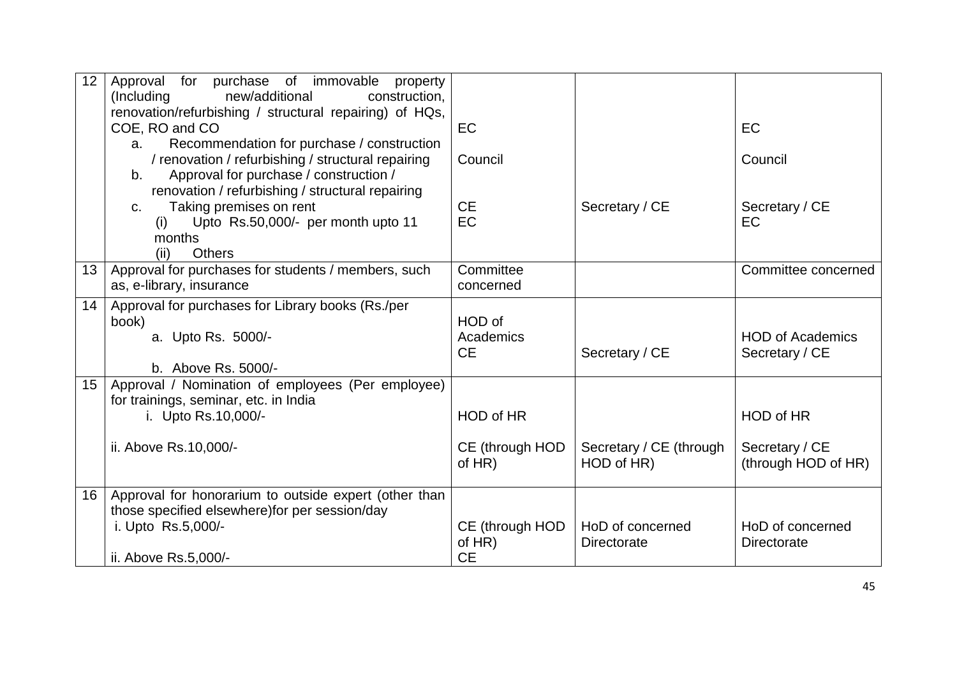| 12              | Approval for purchase of immovable<br>property<br>(Including)<br>new/additional<br>construction.                                                                  |                                           |                                        |                                                    |
|-----------------|-------------------------------------------------------------------------------------------------------------------------------------------------------------------|-------------------------------------------|----------------------------------------|----------------------------------------------------|
|                 | renovation/refurbishing / structural repairing) of HQs,<br>COE, RO and CO                                                                                         | <b>EC</b>                                 |                                        | <b>EC</b>                                          |
|                 | Recommendation for purchase / construction<br>a.<br>/ renovation / refurbishing / structural repairing<br>Approval for purchase / construction /<br>b.            | Council                                   |                                        | Council                                            |
|                 | renovation / refurbishing / structural repairing<br>Taking premises on rent<br>C.<br>Upto Rs.50,000/- per month upto 11<br>(i)<br>months<br>(ii)<br><b>Others</b> | <b>CE</b><br>EC                           | Secretary / CE                         | Secretary / CE<br>EC                               |
| 13              | Approval for purchases for students / members, such<br>as, e-library, insurance                                                                                   | Committee<br>concerned                    |                                        | Committee concerned                                |
| 14              | Approval for purchases for Library books (Rs./per<br>book)<br>a. Upto Rs. 5000/-<br>b. Above Rs. 5000/-                                                           | HOD of<br>Academics<br><b>CE</b>          | Secretary / CE                         | <b>HOD of Academics</b><br>Secretary / CE          |
| 15 <sub>1</sub> | Approval / Nomination of employees (Per employee)<br>for trainings, seminar, etc. in India<br>i. Upto Rs.10,000/-<br>ii. Above Rs.10,000/-                        | HOD of HR<br>CE (through HOD<br>of $HR$ ) | Secretary / CE (through<br>HOD of HR)  | HOD of HR<br>Secretary / CE<br>(through HOD of HR) |
| 16              | Approval for honorarium to outside expert (other than<br>those specified elsewhere) for per session/day<br>i. Upto Rs.5,000/-<br>ii. Above Rs.5,000/-             | CE (through HOD<br>of $HR$ )<br><b>CE</b> | HoD of concerned<br><b>Directorate</b> | HoD of concerned<br><b>Directorate</b>             |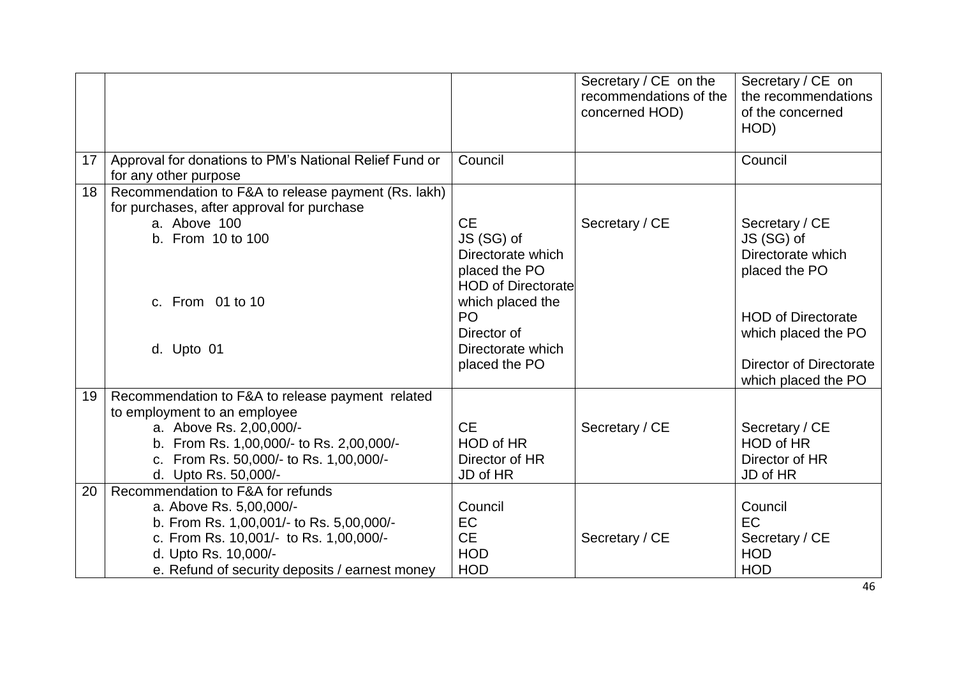|                 |                                                                                                                                                                                                                              |                                                                                                                                                                                       | Secretary / CE on the<br>recommendations of the<br>concerned HOD) | Secretary / CE on<br>the recommendations<br>of the concerned<br>HOD)                                                                                                     |
|-----------------|------------------------------------------------------------------------------------------------------------------------------------------------------------------------------------------------------------------------------|---------------------------------------------------------------------------------------------------------------------------------------------------------------------------------------|-------------------------------------------------------------------|--------------------------------------------------------------------------------------------------------------------------------------------------------------------------|
| 17 <sup>1</sup> | Approval for donations to PM's National Relief Fund or<br>for any other purpose                                                                                                                                              | Council                                                                                                                                                                               |                                                                   | Council                                                                                                                                                                  |
| 18              | Recommendation to F&A to release payment (Rs. lakh)<br>for purchases, after approval for purchase<br>a. Above 100<br>b. From 10 to 100<br>c. From 01 to 10<br>d. Upto 01                                                     | <b>CE</b><br>JS (SG) of<br>Directorate which<br>placed the PO<br><b>HOD of Directorate</b><br>which placed the<br>P <sub>O</sub><br>Director of<br>Directorate which<br>placed the PO | Secretary / CE                                                    | Secretary / CE<br>JS (SG) of<br>Directorate which<br>placed the PO<br><b>HOD of Directorate</b><br>which placed the PO<br>Director of Directorate<br>which placed the PO |
| 19              | Recommendation to F&A to release payment related<br>to employment to an employee<br>a. Above Rs. 2,00,000/-<br>b. From Rs. 1,00,000/- to Rs. 2,00,000/-<br>c. From Rs. 50,000/- to Rs. 1,00,000/-<br>d. Upto Rs. 50,000/-    | <b>CE</b><br>HOD of HR<br>Director of HR<br>JD of HR                                                                                                                                  | Secretary / CE                                                    | Secretary / CE<br>HOD of HR<br>Director of HR<br>JD of HR                                                                                                                |
| 20              | Recommendation to F&A for refunds<br>a. Above Rs. 5,00,000/-<br>b. From Rs. 1,00,001/- to Rs. 5,00,000/-<br>c. From Rs. 10,001/- to Rs. 1,00,000/-<br>d. Upto Rs. 10,000/-<br>e. Refund of security deposits / earnest money | Council<br><b>EC</b><br><b>CE</b><br><b>HOD</b><br><b>HOD</b>                                                                                                                         | Secretary / CE                                                    | Council<br>EC<br>Secretary / CE<br><b>HOD</b><br><b>HOD</b>                                                                                                              |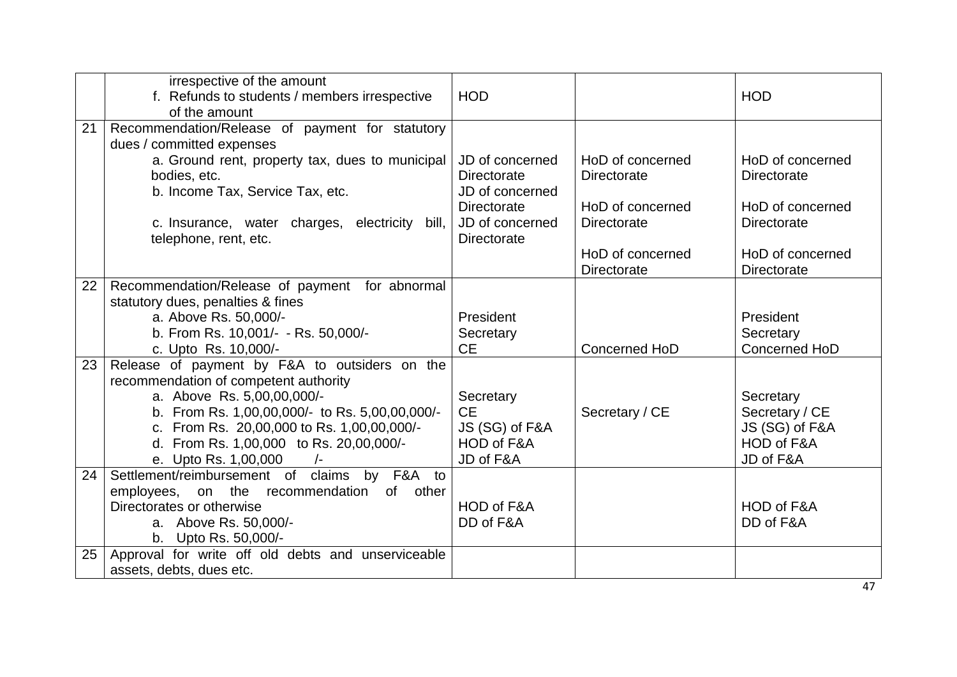|    | irrespective of the amount<br>f. Refunds to students / members irrespective<br>of the amount | <b>HOD</b>         |                    | <b>HOD</b>         |
|----|----------------------------------------------------------------------------------------------|--------------------|--------------------|--------------------|
| 21 | Recommendation/Release of payment for statutory                                              |                    |                    |                    |
|    | dues / committed expenses                                                                    |                    |                    |                    |
|    | a. Ground rent, property tax, dues to municipal                                              | JD of concerned    | HoD of concerned   | HoD of concerned   |
|    | bodies, etc.                                                                                 | <b>Directorate</b> | <b>Directorate</b> | Directorate        |
|    | b. Income Tax, Service Tax, etc.                                                             | JD of concerned    |                    |                    |
|    |                                                                                              | <b>Directorate</b> | HoD of concerned   | HoD of concerned   |
|    | c. Insurance, water charges, electricity<br>bill,                                            | JD of concerned    | <b>Directorate</b> | <b>Directorate</b> |
|    | telephone, rent, etc.                                                                        | <b>Directorate</b> |                    |                    |
|    |                                                                                              |                    | HoD of concerned   | HoD of concerned   |
|    |                                                                                              |                    | <b>Directorate</b> | Directorate        |
| 22 | Recommendation/Release of payment for abnormal                                               |                    |                    |                    |
|    | statutory dues, penalties & fines<br>a. Above Rs. 50,000/-                                   | President          |                    | President          |
|    | b. From Rs. 10,001/- - Rs. 50,000/-                                                          | Secretary          |                    | Secretary          |
|    | c. Upto Rs. 10,000/-                                                                         | <b>CE</b>          | Concerned HoD      | Concerned HoD      |
| 23 | Release of payment by F&A to outsiders on the                                                |                    |                    |                    |
|    | recommendation of competent authority                                                        |                    |                    |                    |
|    | a. Above Rs. 5,00,00,000/-                                                                   | Secretary          |                    | Secretary          |
|    | b. From Rs. 1,00,00,000/- to Rs. 5,00,00,000/-                                               | <b>CE</b>          | Secretary / CE     | Secretary / CE     |
|    | c. From Rs. 20,00,000 to Rs. 1,00,00,000/-                                                   | JS (SG) of F&A     |                    | JS (SG) of F&A     |
|    | d. From Rs. 1,00,000 to Rs. 20,00,000/-                                                      | HOD of F&A         |                    | HOD of F&A         |
|    | e. Upto Rs. 1,00,000                                                                         | JD of F&A          |                    | JD of F&A          |
| 24 | Settlement/reimbursement of claims by F&A to                                                 |                    |                    |                    |
|    | employees, on the recommendation of other                                                    |                    |                    |                    |
|    | Directorates or otherwise                                                                    | HOD of F&A         |                    | HOD of F&A         |
|    | a. Above Rs. 50,000/-                                                                        | DD of F&A          |                    | DD of F&A          |
|    | b. Upto Rs. 50,000/-                                                                         |                    |                    |                    |
| 25 | Approval for write off old debts and unserviceable                                           |                    |                    |                    |
|    | assets, debts, dues etc.                                                                     |                    |                    |                    |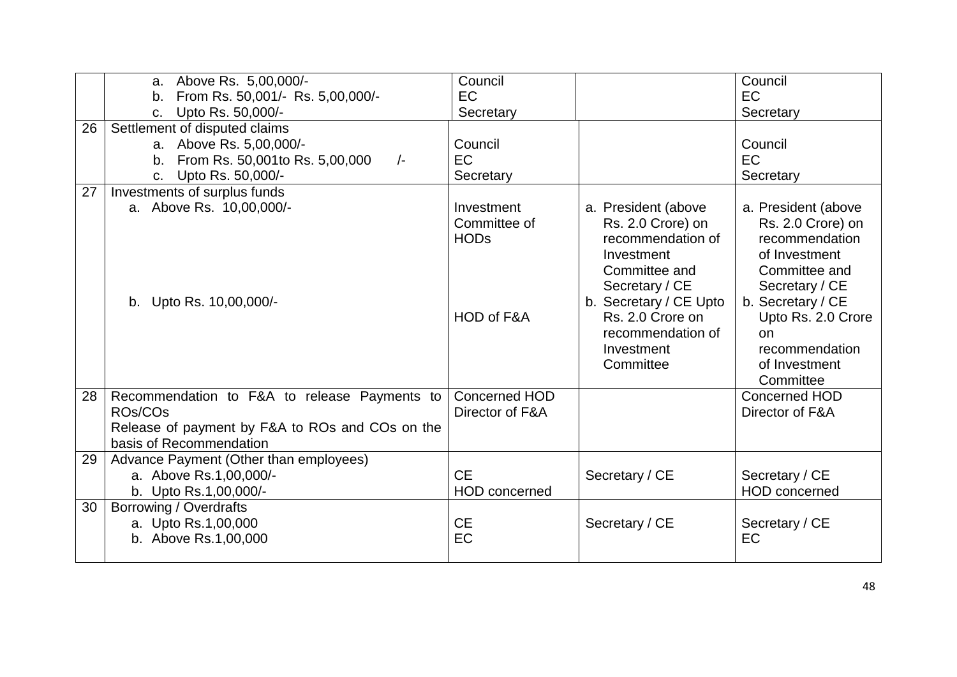|    | a. Above Rs. 5,00,000/-<br>b. From Rs. 50,001/- Rs. 5,00,000/-<br>Upto Rs. 50,000/-<br>C.                                                    | Council<br>EC<br>Secretary                              |                                                                                                                                                                                                              | Council<br><b>EC</b><br>Secretary                                                                                                                                                                               |
|----|----------------------------------------------------------------------------------------------------------------------------------------------|---------------------------------------------------------|--------------------------------------------------------------------------------------------------------------------------------------------------------------------------------------------------------------|-----------------------------------------------------------------------------------------------------------------------------------------------------------------------------------------------------------------|
| 26 | Settlement of disputed claims<br>a. Above Rs. 5,00,000/-<br>From Rs. 50,001to Rs. 5,00,000<br>$\frac{1}{2}$<br>b.<br>Upto Rs. 50,000/-<br>C. | Council<br><b>EC</b><br>Secretary                       |                                                                                                                                                                                                              | Council<br><b>EC</b><br>Secretary                                                                                                                                                                               |
| 27 | Investments of surplus funds<br>a. Above Rs. 10,00,000/-<br>b. Upto Rs. 10,00,000/-                                                          | Investment<br>Committee of<br><b>HODs</b><br>HOD of F&A | a. President (above<br>Rs. 2.0 Crore) on<br>recommendation of<br>Investment<br>Committee and<br>Secretary / CE<br>b. Secretary / CE Upto<br>Rs. 2.0 Crore on<br>recommendation of<br>Investment<br>Committee | a. President (above<br>Rs. 2.0 Crore) on<br>recommendation<br>of Investment<br>Committee and<br>Secretary / CE<br>b. Secretary / CE<br>Upto Rs. 2.0 Crore<br>on<br>recommendation<br>of Investment<br>Committee |
| 28 | Recommendation to F&A to release Payments to<br>ROs/COs<br>Release of payment by F&A to ROs and COs on the<br>basis of Recommendation        | Concerned HOD<br>Director of F&A                        |                                                                                                                                                                                                              | Concerned HOD<br>Director of F&A                                                                                                                                                                                |
| 29 | Advance Payment (Other than employees)<br>a. Above Rs.1,00,000/-<br>b. Upto Rs.1,00,000/-                                                    | <b>CE</b><br><b>HOD</b> concerned                       | Secretary / CE                                                                                                                                                                                               | Secretary / CE<br><b>HOD</b> concerned                                                                                                                                                                          |
| 30 | Borrowing / Overdrafts<br>a. Upto Rs.1,00,000<br>b. Above Rs.1,00,000                                                                        | <b>CE</b><br>EC                                         | Secretary / CE                                                                                                                                                                                               | Secretary / CE<br>EC                                                                                                                                                                                            |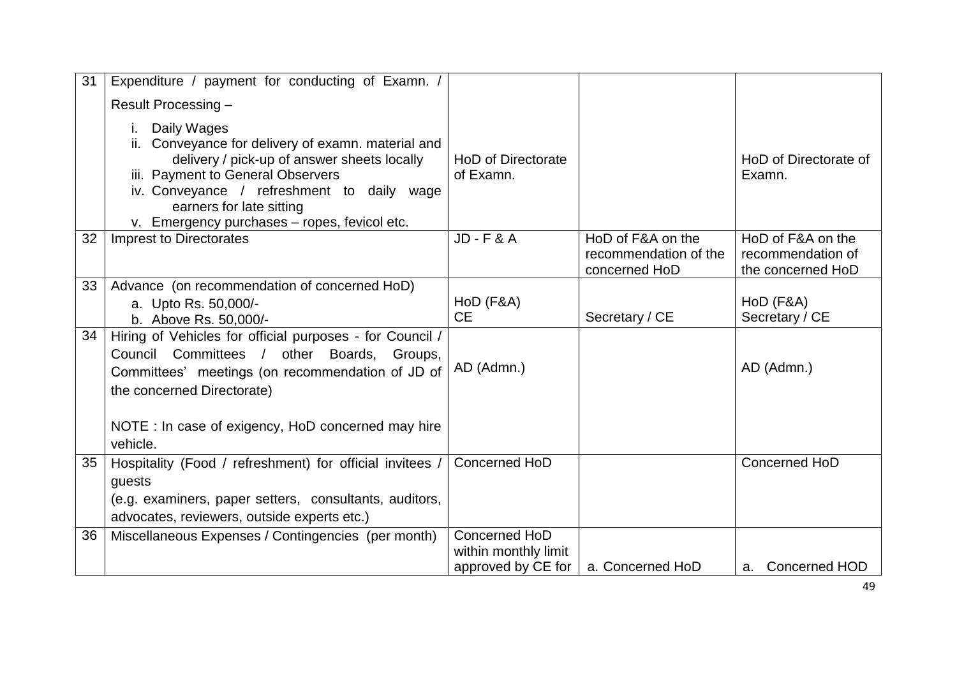| 31 | Expenditure / payment for conducting of Examn. /                                                                                                                                                                                                                                   |                                                             |                                                             |                                                             |
|----|------------------------------------------------------------------------------------------------------------------------------------------------------------------------------------------------------------------------------------------------------------------------------------|-------------------------------------------------------------|-------------------------------------------------------------|-------------------------------------------------------------|
|    | Result Processing -                                                                                                                                                                                                                                                                |                                                             |                                                             |                                                             |
|    | Daily Wages<br>Conveyance for delivery of examn. material and<br>ii.<br>delivery / pick-up of answer sheets locally<br>iii. Payment to General Observers<br>iv. Conveyance / refreshment to daily wage<br>earners for late sitting<br>v. Emergency purchases - ropes, fevicol etc. | HoD of Directorate<br>of Examn.                             |                                                             | HoD of Directorate of<br>Examn.                             |
| 32 | <b>Imprest to Directorates</b>                                                                                                                                                                                                                                                     | <b>JD-F&amp;A</b>                                           | HoD of F&A on the<br>recommendation of the<br>concerned HoD | HoD of F&A on the<br>recommendation of<br>the concerned HoD |
| 33 | Advance (on recommendation of concerned HoD)<br>a. Upto Rs. 50,000/-<br>b. Above Rs. 50,000/-                                                                                                                                                                                      | HoD (F&A)<br><b>CE</b>                                      | Secretary / CE                                              | HoD (F&A)<br>Secretary / CE                                 |
| 34 | Hiring of Vehicles for official purposes - for Council /<br>Council Committees / other Boards, Groups,<br>Committees' meetings (on recommendation of JD of<br>the concerned Directorate)                                                                                           | AD (Admn.)                                                  |                                                             | AD (Admn.)                                                  |
|    | NOTE : In case of exigency, HoD concerned may hire<br>vehicle.                                                                                                                                                                                                                     |                                                             |                                                             |                                                             |
| 35 | Hospitality (Food / refreshment) for official invitees /<br>guests<br>(e.g. examiners, paper setters, consultants, auditors,<br>advocates, reviewers, outside experts etc.)                                                                                                        | Concerned HoD                                               |                                                             | Concerned HoD                                               |
| 36 | Miscellaneous Expenses / Contingencies (per month)                                                                                                                                                                                                                                 | Concerned HoD<br>within monthly limit<br>approved by CE for | a. Concerned HoD                                            | a. Concerned HOD                                            |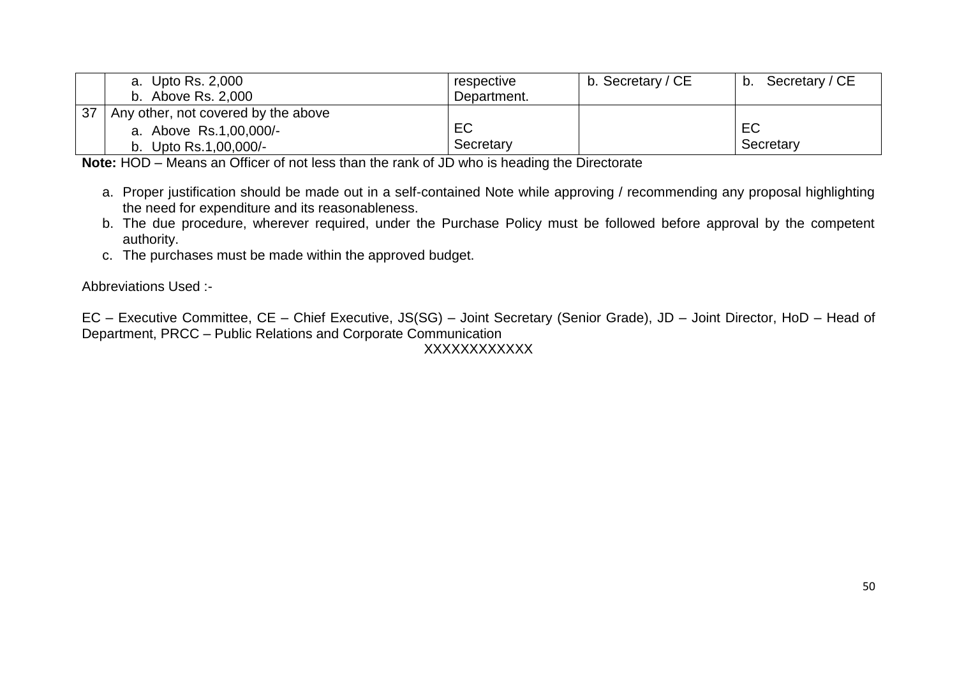|    | a. Upto Rs. 2,000                   | respective  | b. Secretary / CE | Secretary / CE<br>b. |
|----|-------------------------------------|-------------|-------------------|----------------------|
|    | b. Above Rs. 2,000                  | Department. |                   |                      |
| 37 | Any other, not covered by the above |             |                   |                      |
|    | a. Above Rs.1,00,000/-              | EC          |                   | EC                   |
|    | b. Upto Rs.1,00,000/-               | Secretary   |                   | Secretary            |

**Note:** HOD – Means an Officer of not less than the rank of JD who is heading the Directorate

- a. Proper justification should be made out in a self-contained Note while approving / recommending any proposal highlighting the need for expenditure and its reasonableness.
- b. The due procedure, wherever required, under the Purchase Policy must be followed before approval by the competent authority.
- c. The purchases must be made within the approved budget.

Abbreviations Used :-

EC – Executive Committee, CE – Chief Executive, JS(SG) – Joint Secretary (Senior Grade), JD – Joint Director, HoD – Head of Department, PRCC – Public Relations and Corporate Communication

# **XXXXXXXXXX**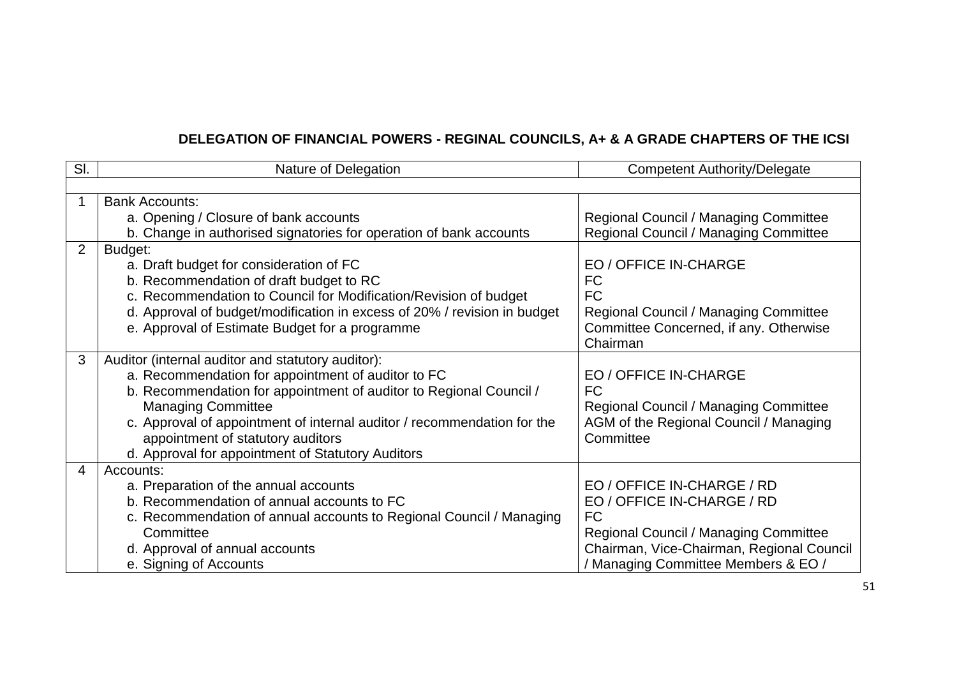# **DELEGATION OF FINANCIAL POWERS - REGINAL COUNCILS, A+ & A GRADE CHAPTERS OF THE ICSI**

| SI. | Nature of Delegation                                                     | <b>Competent Authority/Delegate</b>       |
|-----|--------------------------------------------------------------------------|-------------------------------------------|
|     |                                                                          |                                           |
|     | <b>Bank Accounts:</b>                                                    |                                           |
|     | a. Opening / Closure of bank accounts                                    | Regional Council / Managing Committee     |
|     | b. Change in authorised signatories for operation of bank accounts       | Regional Council / Managing Committee     |
| 2   | Budget:                                                                  |                                           |
|     | a. Draft budget for consideration of FC                                  | EO / OFFICE IN-CHARGE                     |
|     | b. Recommendation of draft budget to RC                                  | <b>FC</b>                                 |
|     | c. Recommendation to Council for Modification/Revision of budget         | <b>FC</b>                                 |
|     | d. Approval of budget/modification in excess of 20% / revision in budget | Regional Council / Managing Committee     |
|     | e. Approval of Estimate Budget for a programme                           | Committee Concerned, if any. Otherwise    |
|     |                                                                          | Chairman                                  |
| 3   | Auditor (internal auditor and statutory auditor):                        |                                           |
|     | a. Recommendation for appointment of auditor to FC                       | EO / OFFICE IN-CHARGE                     |
|     | b. Recommendation for appointment of auditor to Regional Council /       | <b>FC</b>                                 |
|     | <b>Managing Committee</b>                                                | Regional Council / Managing Committee     |
|     | c. Approval of appointment of internal auditor / recommendation for the  | AGM of the Regional Council / Managing    |
|     | appointment of statutory auditors                                        | Committee                                 |
|     | d. Approval for appointment of Statutory Auditors                        |                                           |
| 4   | Accounts:                                                                |                                           |
|     | a. Preparation of the annual accounts                                    | EO / OFFICE IN-CHARGE / RD                |
|     | b. Recommendation of annual accounts to FC                               | EO / OFFICE IN-CHARGE / RD                |
|     | c. Recommendation of annual accounts to Regional Council / Managing      | <b>FC</b>                                 |
|     | Committee                                                                | Regional Council / Managing Committee     |
|     | d. Approval of annual accounts                                           | Chairman, Vice-Chairman, Regional Council |
|     | e. Signing of Accounts                                                   | / Managing Committee Members & EO /       |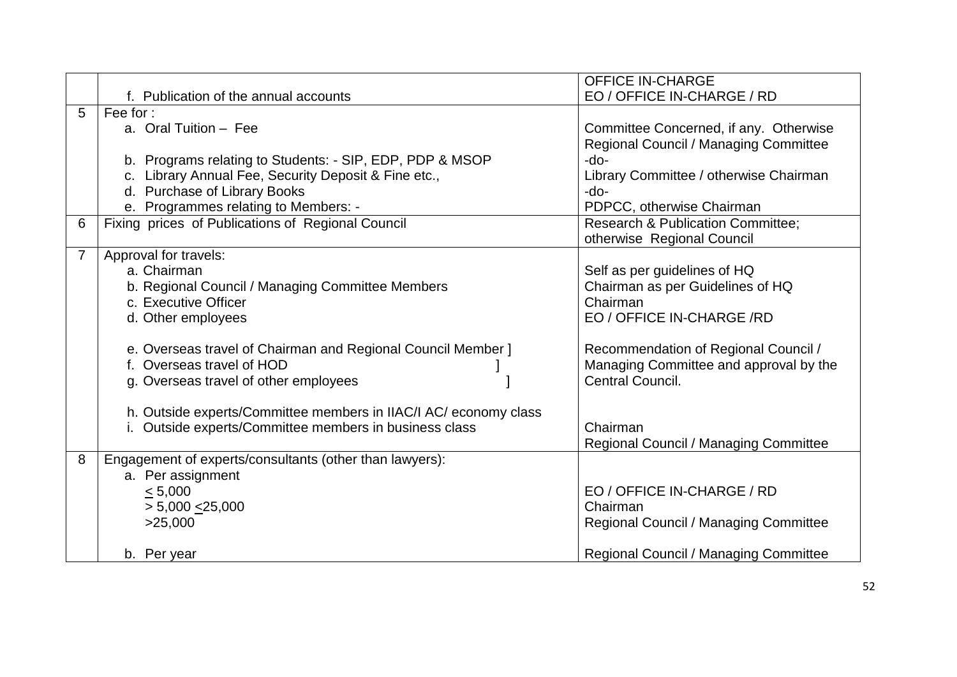|                |                                                                  | <b>OFFICE IN-CHARGE</b>                      |
|----------------|------------------------------------------------------------------|----------------------------------------------|
|                | f. Publication of the annual accounts                            | EO / OFFICE IN-CHARGE / RD                   |
| 5              | Fee for:                                                         |                                              |
|                | a. Oral Tuition - Fee                                            | Committee Concerned, if any. Otherwise       |
|                |                                                                  | Regional Council / Managing Committee        |
|                | b. Programs relating to Students: - SIP, EDP, PDP & MSOP         | -do-                                         |
|                | c. Library Annual Fee, Security Deposit & Fine etc.,             | Library Committee / otherwise Chairman       |
|                | d. Purchase of Library Books                                     | -do-                                         |
|                | e. Programmes relating to Members: -                             | PDPCC, otherwise Chairman                    |
| 6              | Fixing prices of Publications of Regional Council                | <b>Research &amp; Publication Committee;</b> |
|                |                                                                  | otherwise Regional Council                   |
| $\overline{7}$ | Approval for travels:                                            |                                              |
|                | a. Chairman                                                      | Self as per guidelines of HQ                 |
|                | b. Regional Council / Managing Committee Members                 | Chairman as per Guidelines of HQ             |
|                | c. Executive Officer                                             | Chairman                                     |
|                | d. Other employees                                               | EO / OFFICE IN-CHARGE /RD                    |
|                | e. Overseas travel of Chairman and Regional Council Member ]     | Recommendation of Regional Council /         |
|                | f. Overseas travel of HOD                                        | Managing Committee and approval by the       |
|                | g. Overseas travel of other employees                            | Central Council.                             |
|                | h. Outside experts/Committee members in IIAC/I AC/ economy class |                                              |
|                | i. Outside experts/Committee members in business class           | Chairman                                     |
|                |                                                                  | Regional Council / Managing Committee        |
| 8              | Engagement of experts/consultants (other than lawyers):          |                                              |
|                | a. Per assignment                                                |                                              |
|                | < 5,000                                                          | EO / OFFICE IN-CHARGE / RD                   |
|                | $> 5,000 \le 25,000$                                             | Chairman                                     |
|                | >25,000                                                          | Regional Council / Managing Committee        |
|                |                                                                  |                                              |
|                | b. Per year                                                      | Regional Council / Managing Committee        |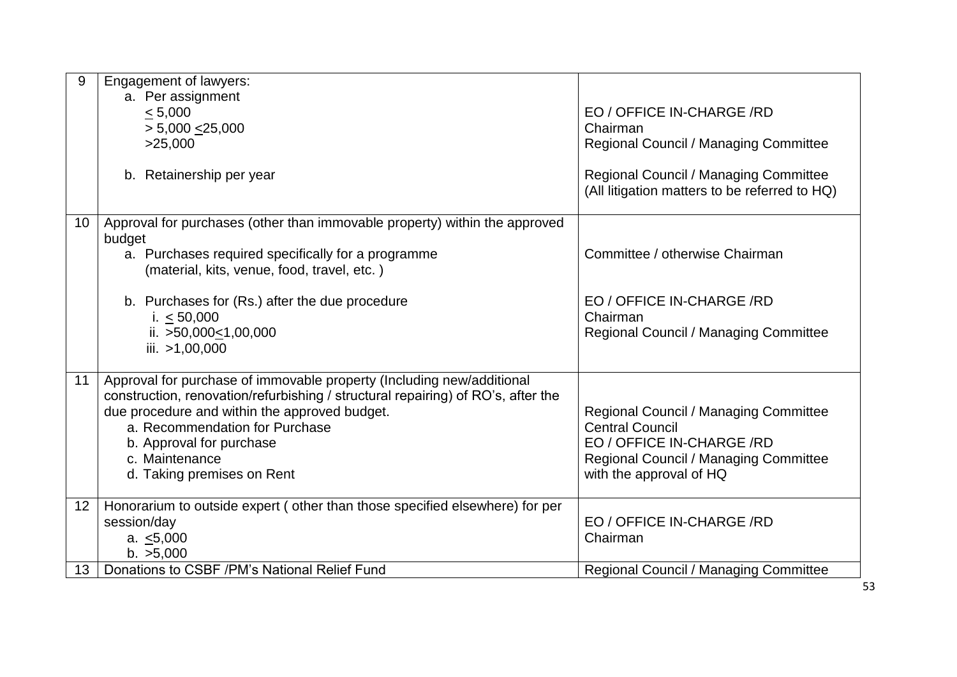| 9               | <b>Engagement of lawyers:</b>                                                    |                                               |
|-----------------|----------------------------------------------------------------------------------|-----------------------------------------------|
|                 |                                                                                  |                                               |
|                 | a. Per assignment                                                                |                                               |
|                 | < 5,000                                                                          | EO / OFFICE IN-CHARGE /RD                     |
|                 | > 5,000 < 25,000                                                                 | Chairman                                      |
|                 | >25,000                                                                          | Regional Council / Managing Committee         |
|                 |                                                                                  |                                               |
|                 | b. Retainership per year                                                         | Regional Council / Managing Committee         |
|                 |                                                                                  | (All litigation matters to be referred to HQ) |
|                 |                                                                                  |                                               |
| 10 <sup>1</sup> | Approval for purchases (other than immovable property) within the approved       |                                               |
|                 | budget                                                                           |                                               |
|                 | a. Purchases required specifically for a programme                               | Committee / otherwise Chairman                |
|                 | (material, kits, venue, food, travel, etc.)                                      |                                               |
|                 |                                                                                  |                                               |
|                 |                                                                                  |                                               |
|                 | b. Purchases for (Rs.) after the due procedure                                   | EO / OFFICE IN-CHARGE /RD                     |
|                 | i. $< 50,000$                                                                    | Chairman                                      |
|                 | ii. $>50,000 \le 1,00,000$                                                       | Regional Council / Managing Committee         |
|                 | iii. >1,00,000                                                                   |                                               |
|                 |                                                                                  |                                               |
| 11              | Approval for purchase of immovable property (Including new/additional            |                                               |
|                 | construction, renovation/refurbishing / structural repairing) of RO's, after the |                                               |
|                 | due procedure and within the approved budget.                                    | Regional Council / Managing Committee         |
|                 | a. Recommendation for Purchase                                                   | <b>Central Council</b>                        |
|                 | b. Approval for purchase                                                         | EO / OFFICE IN-CHARGE /RD                     |
|                 | c. Maintenance                                                                   | Regional Council / Managing Committee         |
|                 |                                                                                  |                                               |
|                 | d. Taking premises on Rent                                                       | with the approval of HQ                       |
| 12              | Honorarium to outside expert (other than those specified elsewhere) for per      |                                               |
|                 | session/day                                                                      | EO / OFFICE IN-CHARGE /RD                     |
|                 |                                                                                  |                                               |
|                 | a. $\leq 5,000$                                                                  | Chairman                                      |
|                 | b. >5,000                                                                        |                                               |
| 13 <sup>7</sup> | Donations to CSBF /PM's National Relief Fund                                     | Regional Council / Managing Committee         |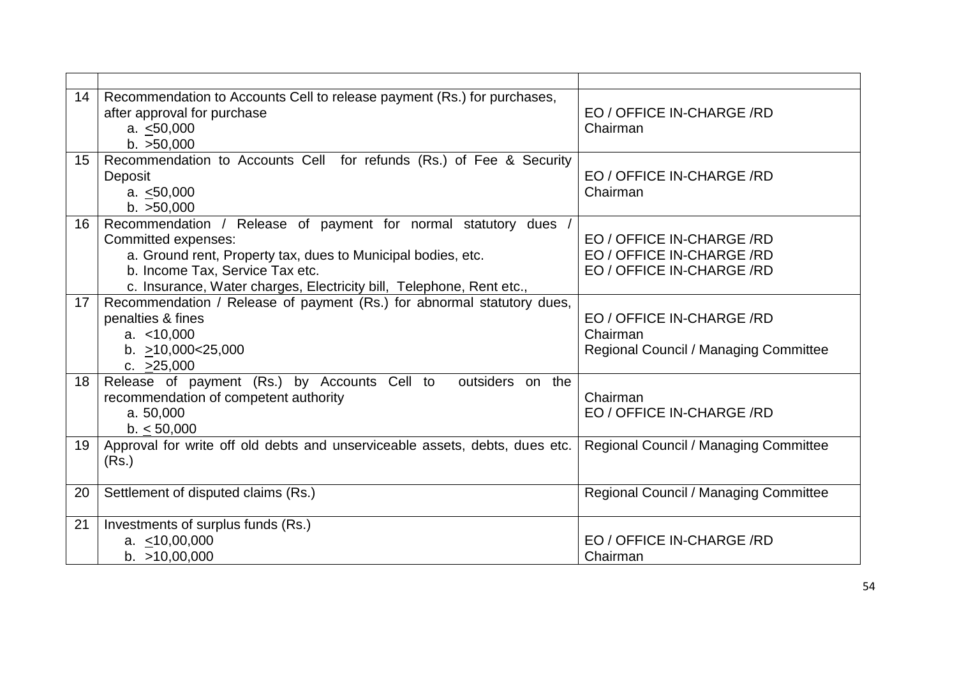| 14 | Recommendation to Accounts Cell to release payment (Rs.) for purchases,<br>after approval for purchase<br>a. < 50,000<br>b. >50,000                                                                                                                               | EO / OFFICE IN-CHARGE /RD<br>Chairman                                               |
|----|-------------------------------------------------------------------------------------------------------------------------------------------------------------------------------------------------------------------------------------------------------------------|-------------------------------------------------------------------------------------|
| 15 | Recommendation to Accounts Cell for refunds (Rs.) of Fee & Security<br>Deposit<br>a. $< 50,000$<br>b. >50,000                                                                                                                                                     | EO / OFFICE IN-CHARGE /RD<br>Chairman                                               |
| 16 | Recommendation / Release of payment for normal statutory dues /<br>Committed expenses:<br>a. Ground rent, Property tax, dues to Municipal bodies, etc.<br>b. Income Tax, Service Tax etc.<br>c. Insurance, Water charges, Electricity bill, Telephone, Rent etc., | EO / OFFICE IN-CHARGE /RD<br>EO / OFFICE IN-CHARGE /RD<br>EO / OFFICE IN-CHARGE /RD |
| 17 | Recommendation / Release of payment (Rs.) for abnormal statutory dues,<br>penalties & fines<br>a. < 10,000<br>b. $>10,000<25,000$<br>c. $>25,000$                                                                                                                 | EO / OFFICE IN-CHARGE /RD<br>Chairman<br>Regional Council / Managing Committee      |
| 18 | Release of payment (Rs.) by Accounts Cell to<br>outsiders on the<br>recommendation of competent authority<br>a. 50,000<br>b. < 50,000                                                                                                                             | Chairman<br>EO / OFFICE IN-CHARGE /RD                                               |
| 19 | Approval for write off old debts and unserviceable assets, debts, dues etc.<br>(Rs.)                                                                                                                                                                              | Regional Council / Managing Committee                                               |
| 20 | Settlement of disputed claims (Rs.)                                                                                                                                                                                                                               | Regional Council / Managing Committee                                               |
| 21 | Investments of surplus funds (Rs.)<br>a. $<$ 10,00,000<br>b. >10,00,000                                                                                                                                                                                           | EO / OFFICE IN-CHARGE /RD<br>Chairman                                               |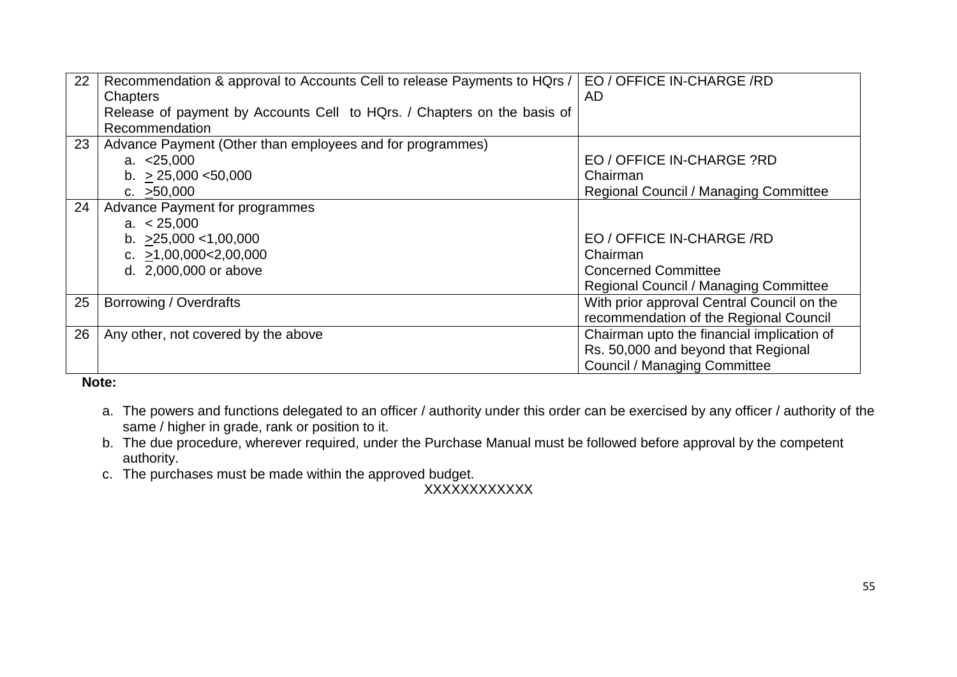| 22 | Recommendation & approval to Accounts Cell to release Payments to HQrs / | EO / OFFICE IN-CHARGE /RD                  |
|----|--------------------------------------------------------------------------|--------------------------------------------|
|    | Chapters                                                                 | <b>AD</b>                                  |
|    | Release of payment by Accounts Cell to HQrs. / Chapters on the basis of  |                                            |
|    | Recommendation                                                           |                                            |
| 23 | Advance Payment (Other than employees and for programmes)                |                                            |
|    | a. $< 25,000$                                                            | EO / OFFICE IN-CHARGE ?RD                  |
|    | b. $> 25,000 < 50,000$                                                   | Chairman                                   |
|    | c. $>50,000$                                                             | Regional Council / Managing Committee      |
| 24 | Advance Payment for programmes                                           |                                            |
|    | a. $< 25,000$                                                            |                                            |
|    | b. $>25,000 < 1,00,000$                                                  | EO / OFFICE IN-CHARGE /RD                  |
|    | c. $>1,00,000<2,00,000$                                                  | Chairman                                   |
|    | d. 2,000,000 or above                                                    | <b>Concerned Committee</b>                 |
|    |                                                                          | Regional Council / Managing Committee      |
| 25 | Borrowing / Overdrafts                                                   | With prior approval Central Council on the |
|    |                                                                          | recommendation of the Regional Council     |
| 26 | Any other, not covered by the above                                      | Chairman upto the financial implication of |
|    |                                                                          | Rs. 50,000 and beyond that Regional        |
|    |                                                                          | <b>Council / Managing Committee</b>        |

**Note:**

- a. The powers and functions delegated to an officer / authority under this order can be exercised by any officer / authority of the same / higher in grade, rank or position to it.
- b. The due procedure, wherever required, under the Purchase Manual must be followed before approval by the competent authority.
- c. The purchases must be made within the approved budget.

XXXXXXXXXXXX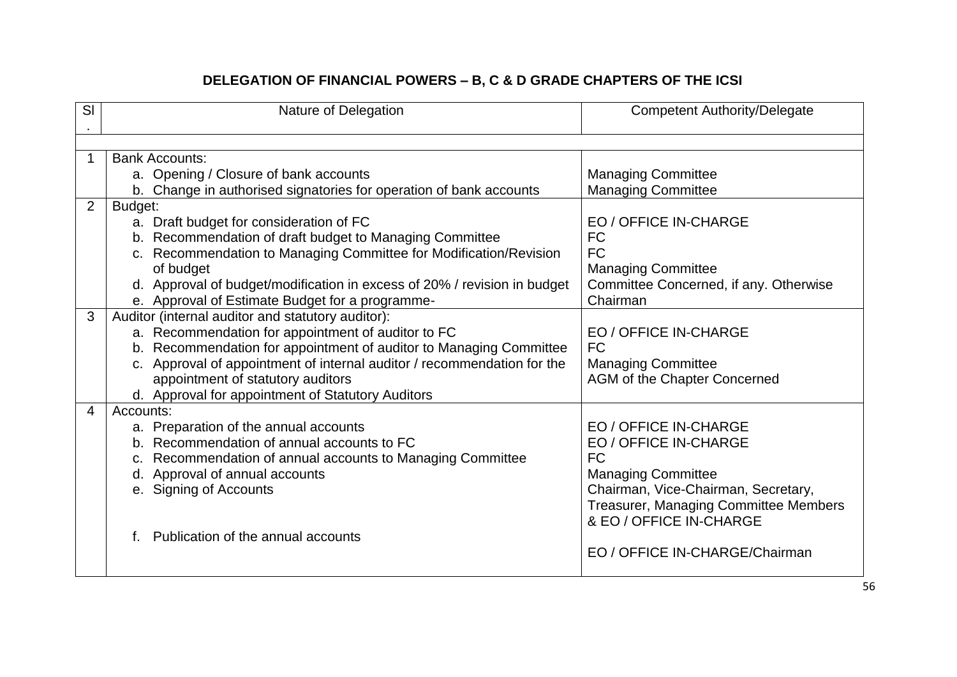# **DELEGATION OF FINANCIAL POWERS – B, C & D GRADE CHAPTERS OF THE ICSI**

| SI             | Nature of Delegation                                                                                                        | <b>Competent Authority/Delegate</b>                |
|----------------|-----------------------------------------------------------------------------------------------------------------------------|----------------------------------------------------|
|                |                                                                                                                             |                                                    |
|                | <b>Bank Accounts:</b>                                                                                                       |                                                    |
|                | a. Opening / Closure of bank accounts                                                                                       | <b>Managing Committee</b>                          |
|                | b. Change in authorised signatories for operation of bank accounts                                                          | <b>Managing Committee</b>                          |
| 2              | Budget:                                                                                                                     |                                                    |
|                | a. Draft budget for consideration of FC                                                                                     | EO / OFFICE IN-CHARGE                              |
|                | b. Recommendation of draft budget to Managing Committee                                                                     | <b>FC</b>                                          |
|                | c. Recommendation to Managing Committee for Modification/Revision                                                           | <b>FC</b>                                          |
|                | of budget                                                                                                                   | <b>Managing Committee</b>                          |
|                | d. Approval of budget/modification in excess of 20% / revision in budget<br>e. Approval of Estimate Budget for a programme- | Committee Concerned, if any. Otherwise<br>Chairman |
| 3              | Auditor (internal auditor and statutory auditor):                                                                           |                                                    |
|                | a. Recommendation for appointment of auditor to FC                                                                          | EO / OFFICE IN-CHARGE                              |
|                | b. Recommendation for appointment of auditor to Managing Committee                                                          | <b>FC</b>                                          |
|                | c. Approval of appointment of internal auditor / recommendation for the                                                     | <b>Managing Committee</b>                          |
|                | appointment of statutory auditors                                                                                           | AGM of the Chapter Concerned                       |
|                | d. Approval for appointment of Statutory Auditors                                                                           |                                                    |
| $\overline{4}$ | Accounts:                                                                                                                   |                                                    |
|                | a. Preparation of the annual accounts                                                                                       | <b>EO / OFFICE IN-CHARGE</b>                       |
|                | b. Recommendation of annual accounts to FC                                                                                  | <b>EO / OFFICE IN-CHARGE</b>                       |
|                | Recommendation of annual accounts to Managing Committee<br>C.                                                               | <b>FC</b>                                          |
|                | d. Approval of annual accounts                                                                                              | <b>Managing Committee</b>                          |
|                | e. Signing of Accounts                                                                                                      | Chairman, Vice-Chairman, Secretary,                |
|                |                                                                                                                             | Treasurer, Managing Committee Members              |
|                |                                                                                                                             | & EO / OFFICE IN-CHARGE                            |
|                | Publication of the annual accounts                                                                                          |                                                    |
|                |                                                                                                                             | EO / OFFICE IN-CHARGE/Chairman                     |
|                |                                                                                                                             |                                                    |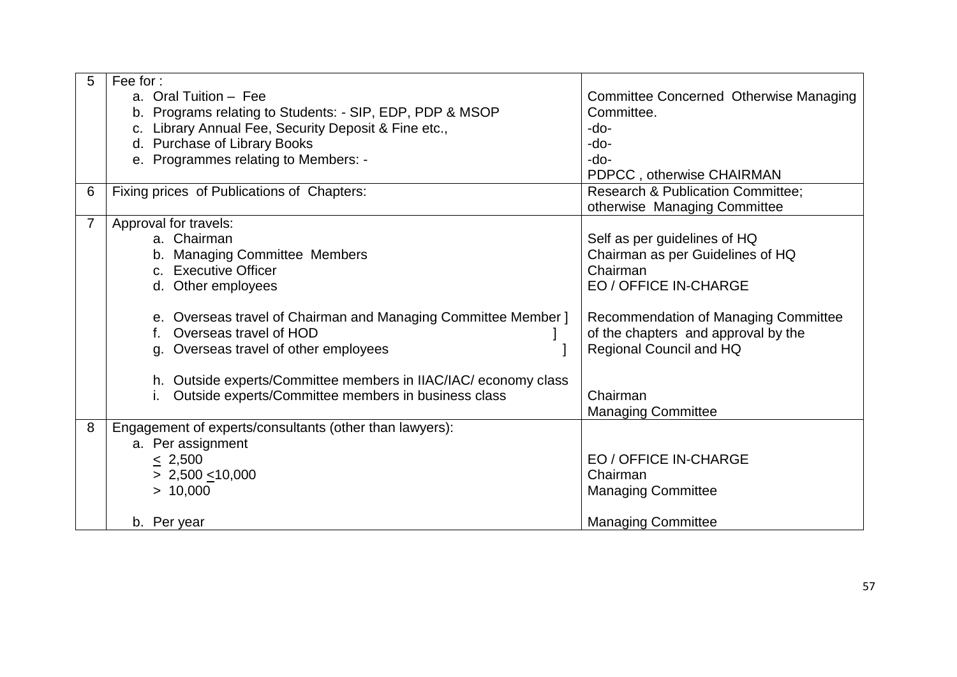| 5              | Fee for:                                                        |                                              |  |
|----------------|-----------------------------------------------------------------|----------------------------------------------|--|
|                | a. Oral Tuition - Fee                                           | Committee Concerned Otherwise Managing       |  |
|                | b. Programs relating to Students: - SIP, EDP, PDP & MSOP        | Committee.                                   |  |
|                | c. Library Annual Fee, Security Deposit & Fine etc.,            | $-do-$                                       |  |
|                | d. Purchase of Library Books                                    | $-do-$                                       |  |
|                | e. Programmes relating to Members: -                            | $-do-$                                       |  |
|                |                                                                 | PDPCC, otherwise CHAIRMAN                    |  |
| 6              | Fixing prices of Publications of Chapters:                      | <b>Research &amp; Publication Committee;</b> |  |
|                |                                                                 | otherwise Managing Committee                 |  |
| $\overline{7}$ | Approval for travels:                                           |                                              |  |
|                | a. Chairman                                                     | Self as per guidelines of HQ                 |  |
|                | b. Managing Committee Members                                   | Chairman as per Guidelines of HQ             |  |
|                | c. Executive Officer                                            | Chairman                                     |  |
|                | d. Other employees                                              | <b>EO / OFFICE IN-CHARGE</b>                 |  |
|                | e. Overseas travel of Chairman and Managing Committee Member ]  | Recommendation of Managing Committee         |  |
|                | Overseas travel of HOD<br>f.                                    | of the chapters and approval by the          |  |
|                | g. Overseas travel of other employees                           | Regional Council and HQ                      |  |
|                |                                                                 |                                              |  |
|                | h. Outside experts/Committee members in IIAC/IAC/ economy class |                                              |  |
|                | Outside experts/Committee members in business class             | Chairman                                     |  |
|                |                                                                 | <b>Managing Committee</b>                    |  |
| 8              | Engagement of experts/consultants (other than lawyers):         |                                              |  |
|                | a. Per assignment                                               |                                              |  |
|                | $\leq 2,500$                                                    | <b>EO / OFFICE IN-CHARGE</b>                 |  |
|                | $> 2,500 \le 10,000$                                            | Chairman                                     |  |
|                | > 10,000                                                        | <b>Managing Committee</b>                    |  |
|                |                                                                 |                                              |  |
|                | b. Per year                                                     | <b>Managing Committee</b>                    |  |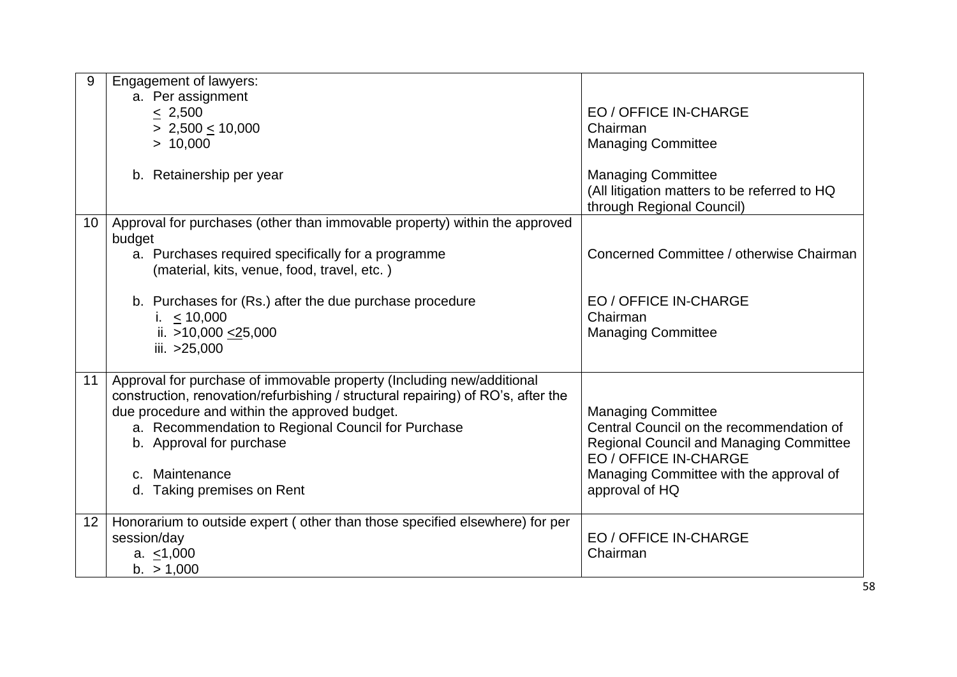| 9               | <b>Engagement of lawyers:</b>                                                    |                                                |
|-----------------|----------------------------------------------------------------------------------|------------------------------------------------|
|                 | a. Per assignment                                                                |                                                |
|                 | < 2,500                                                                          | EO / OFFICE IN-CHARGE                          |
|                 | $> 2,500 \le 10,000$                                                             | Chairman                                       |
|                 | > 10,000                                                                         | <b>Managing Committee</b>                      |
|                 |                                                                                  |                                                |
|                 | b. Retainership per year                                                         | <b>Managing Committee</b>                      |
|                 |                                                                                  | (All litigation matters to be referred to HQ   |
|                 |                                                                                  | through Regional Council)                      |
| 10 <sup>°</sup> | Approval for purchases (other than immovable property) within the approved       |                                                |
|                 | budget                                                                           |                                                |
|                 | a. Purchases required specifically for a programme                               | Concerned Committee / otherwise Chairman       |
|                 | (material, kits, venue, food, travel, etc.)                                      |                                                |
|                 |                                                                                  |                                                |
|                 | b. Purchases for (Rs.) after the due purchase procedure                          | EO / OFFICE IN-CHARGE                          |
|                 | i. $< 10,000$                                                                    | Chairman                                       |
|                 | ii. $>10,000 < 25,000$                                                           | <b>Managing Committee</b>                      |
|                 | iii. > 25,000                                                                    |                                                |
|                 |                                                                                  |                                                |
| 11              | Approval for purchase of immovable property (Including new/additional            |                                                |
|                 | construction, renovation/refurbishing / structural repairing) of RO's, after the |                                                |
|                 | due procedure and within the approved budget.                                    | <b>Managing Committee</b>                      |
|                 | a. Recommendation to Regional Council for Purchase                               | Central Council on the recommendation of       |
|                 | b. Approval for purchase                                                         | <b>Regional Council and Managing Committee</b> |
|                 |                                                                                  | EO / OFFICE IN-CHARGE                          |
|                 | Maintenance<br>$C_{\cdot}$                                                       | Managing Committee with the approval of        |
|                 | Taking premises on Rent<br>d.                                                    | approval of HQ                                 |
|                 |                                                                                  |                                                |
| 12              | Honorarium to outside expert (other than those specified elsewhere) for per      |                                                |
|                 | session/day                                                                      | EO / OFFICE IN-CHARGE                          |
|                 | a. $<$ 1,000                                                                     | Chairman                                       |
|                 | b. > 1,000                                                                       |                                                |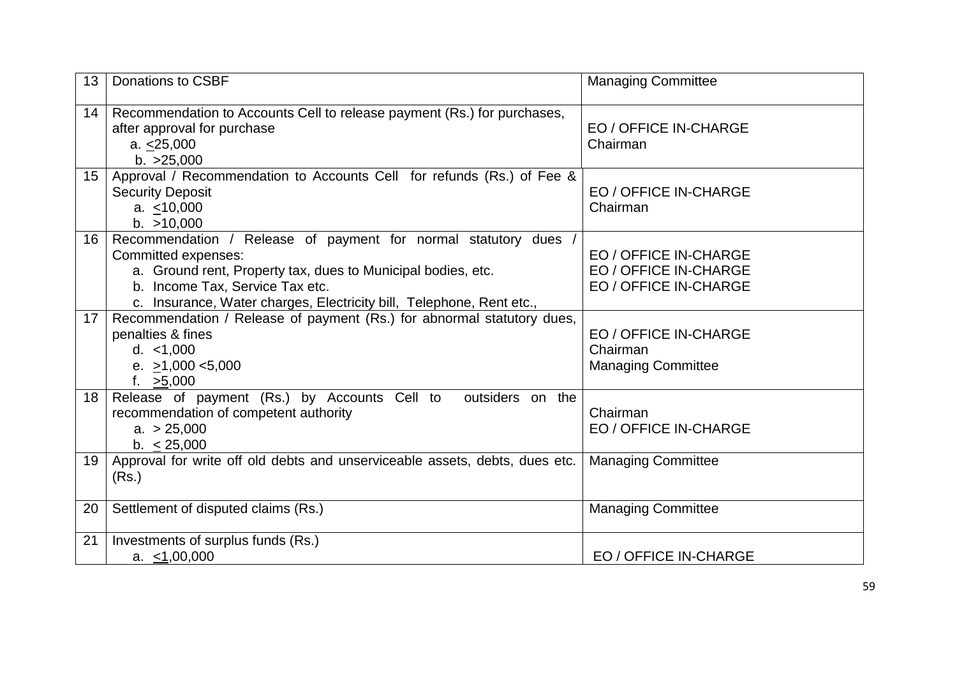| 13               | <b>Donations to CSBF</b>                                                                                                                                                                                                                                          | <b>Managing Committee</b>                                               |  |
|------------------|-------------------------------------------------------------------------------------------------------------------------------------------------------------------------------------------------------------------------------------------------------------------|-------------------------------------------------------------------------|--|
| 14               | Recommendation to Accounts Cell to release payment (Rs.) for purchases,<br>after approval for purchase<br>a. < 25,000<br>b. >25,000                                                                                                                               | <b>EO / OFFICE IN-CHARGE</b><br>Chairman                                |  |
| 15 <sub>15</sub> | Approval / Recommendation to Accounts Cell for refunds (Rs.) of Fee &<br><b>Security Deposit</b><br>a. < 10,000<br>b. > 10,000                                                                                                                                    | EO / OFFICE IN-CHARGE<br>Chairman                                       |  |
| 16               | Recommendation / Release of payment for normal statutory dues /<br>Committed expenses:<br>a. Ground rent, Property tax, dues to Municipal bodies, etc.<br>b. Income Tax, Service Tax etc.<br>c. Insurance, Water charges, Electricity bill, Telephone, Rent etc., | EO / OFFICE IN-CHARGE<br>EO / OFFICE IN-CHARGE<br>EO / OFFICE IN-CHARGE |  |
| 17               | Recommendation / Release of payment (Rs.) for abnormal statutory dues,<br>penalties & fines<br>d. < 1,000<br>e. $>1,000 < 5,000$<br>f. >5,000                                                                                                                     | EO / OFFICE IN-CHARGE<br>Chairman<br><b>Managing Committee</b>          |  |
| 18               | Release of payment (Rs.) by Accounts Cell to<br>outsiders on the<br>recommendation of competent authority<br>a. > 25,000<br>b. < 25,000                                                                                                                           | Chairman<br><b>EO / OFFICE IN-CHARGE</b>                                |  |
| 19               | Approval for write off old debts and unserviceable assets, debts, dues etc.<br>(Rs.)                                                                                                                                                                              | <b>Managing Committee</b>                                               |  |
| 20               | Settlement of disputed claims (Rs.)                                                                                                                                                                                                                               | <b>Managing Committee</b>                                               |  |
| 21               | Investments of surplus funds (Rs.)<br>a. $\leq 1,00,000$                                                                                                                                                                                                          | EO / OFFICE IN-CHARGE                                                   |  |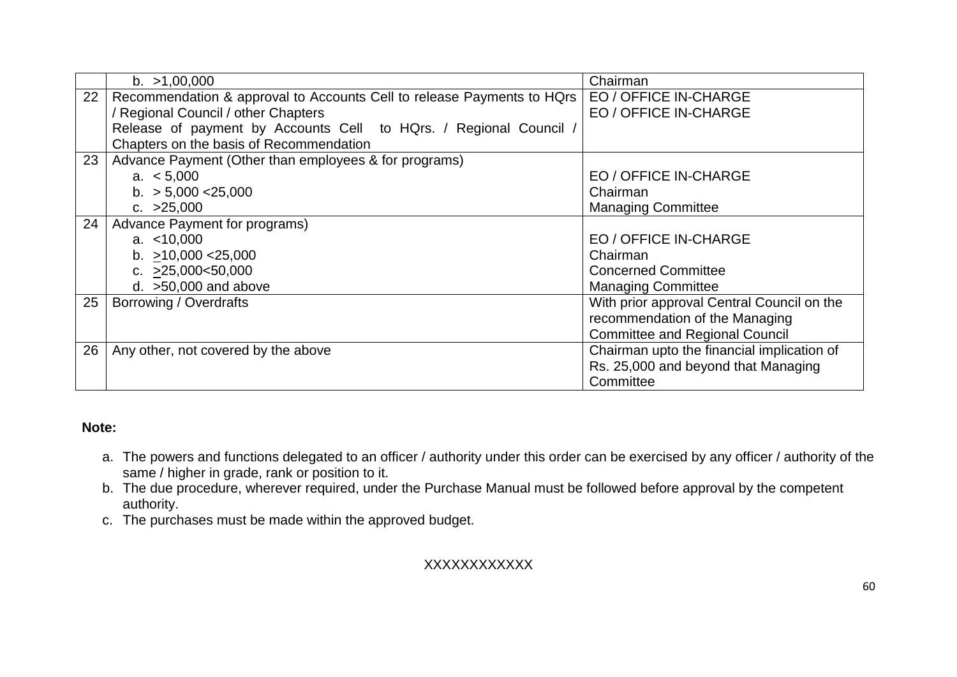|    | b. >1,00,000                                                           | Chairman                                   |
|----|------------------------------------------------------------------------|--------------------------------------------|
| 22 | Recommendation & approval to Accounts Cell to release Payments to HQrs | EO / OFFICE IN-CHARGE                      |
|    | / Regional Council / other Chapters                                    | EO / OFFICE IN-CHARGE                      |
|    | Release of payment by Accounts Cell to HQrs. / Regional Council /      |                                            |
|    | Chapters on the basis of Recommendation                                |                                            |
| 23 | Advance Payment (Other than employees & for programs)                  |                                            |
|    | a. $< 5,000$                                                           | EO / OFFICE IN-CHARGE                      |
|    | b. $> 5,000 < 25,000$                                                  | Chairman                                   |
|    | c. $>25,000$                                                           | <b>Managing Committee</b>                  |
| 24 | Advance Payment for programs)                                          |                                            |
|    | a. $<$ 10,000                                                          | EO / OFFICE IN-CHARGE                      |
|    | b. $>10,000 < 25,000$                                                  | Chairman                                   |
|    | c. $>25,000<50,000$                                                    | <b>Concerned Committee</b>                 |
|    | d. $>50,000$ and above                                                 | <b>Managing Committee</b>                  |
| 25 | Borrowing / Overdrafts                                                 | With prior approval Central Council on the |
|    |                                                                        | recommendation of the Managing             |
|    |                                                                        | <b>Committee and Regional Council</b>      |
| 26 | Any other, not covered by the above                                    | Chairman upto the financial implication of |
|    |                                                                        | Rs. 25,000 and beyond that Managing        |
|    |                                                                        | Committee                                  |

#### **Note:**

- a. The powers and functions delegated to an officer / authority under this order can be exercised by any officer / authority of the same / higher in grade, rank or position to it.
- b. The due procedure, wherever required, under the Purchase Manual must be followed before approval by the competent authority.
- c. The purchases must be made within the approved budget.

#### XXXXXXXXXXXX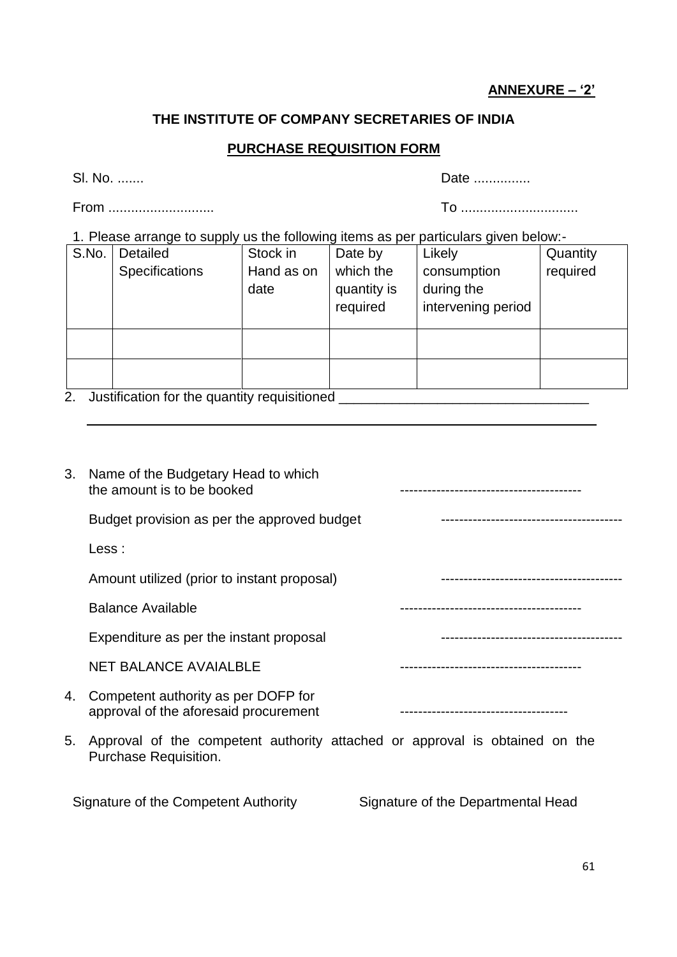## **ANNEXURE – '2'**

## **THE INSTITUTE OF COMPANY SECRETARIES OF INDIA**

#### **PURCHASE REQUISITION FORM**

From ............................ To ...............................

Sl. No. ....... Date ...............

1. Please arrange to supply us the following items as per particulars given below:-

| S.No. | Detailed              | Stock in   | Date by     | Likely             | Quantity |
|-------|-----------------------|------------|-------------|--------------------|----------|
|       | <b>Specifications</b> | Hand as on | which the   | consumption        | required |
|       |                       | date       | quantity is | during the         |          |
|       |                       |            | required    | intervening period |          |
|       |                       |            |             |                    |          |
|       |                       |            |             |                    |          |
|       |                       |            |             |                    |          |
|       |                       |            |             |                    |          |
|       |                       |            |             |                    |          |

2. Justification for the quantity requisitioned \_\_\_\_\_\_\_\_\_\_\_\_\_\_\_\_\_\_\_\_\_\_\_\_\_\_\_\_\_\_\_\_\_

| 3. | Name of the Budgetary Head to which<br>the amount is to be booked            |  |
|----|------------------------------------------------------------------------------|--|
|    | Budget provision as per the approved budget                                  |  |
|    | Less :                                                                       |  |
|    | Amount utilized (prior to instant proposal)                                  |  |
|    | Balance Available                                                            |  |
|    | Expenditure as per the instant proposal                                      |  |
|    | <b>NET BALANCE AVAIALBLE</b>                                                 |  |
| 4. | Competent authority as per DOFP for<br>approval of the aforesaid procurement |  |
| 5. | Approval of the competent authority attached or approval is obtained on the  |  |

Purchase Requisition.

Signature of the Competent Authority Signature of the Departmental Head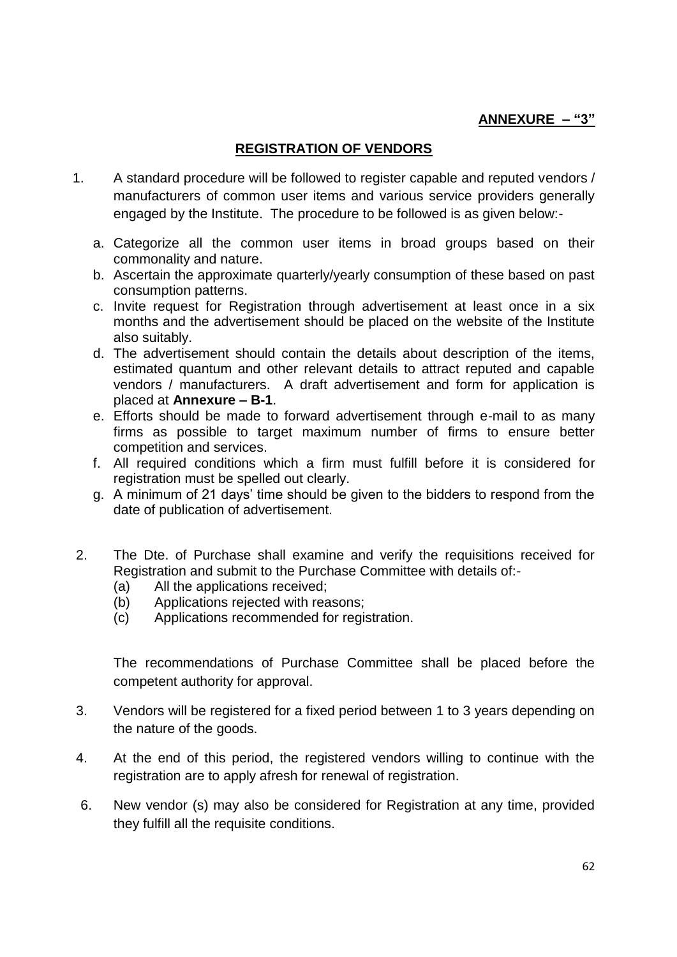#### **ANNEXURE – "3"**

#### **REGISTRATION OF VENDORS**

- 1. A standard procedure will be followed to register capable and reputed vendors / manufacturers of common user items and various service providers generally engaged by the Institute. The procedure to be followed is as given below:
	- a. Categorize all the common user items in broad groups based on their commonality and nature.
	- b. Ascertain the approximate quarterly/yearly consumption of these based on past consumption patterns.
	- c. Invite request for Registration through advertisement at least once in a six months and the advertisement should be placed on the website of the Institute also suitably.
	- d. The advertisement should contain the details about description of the items, estimated quantum and other relevant details to attract reputed and capable vendors / manufacturers. A draft advertisement and form for application is placed at **Annexure – B-1**.
	- e. Efforts should be made to forward advertisement through e-mail to as many firms as possible to target maximum number of firms to ensure better competition and services.
	- f. All required conditions which a firm must fulfill before it is considered for registration must be spelled out clearly.
	- g. A minimum of 21 days' time should be given to the bidders to respond from the date of publication of advertisement.
- 2. The Dte. of Purchase shall examine and verify the requisitions received for Registration and submit to the Purchase Committee with details of:-
	- (a) All the applications received;
	- (b) Applications rejected with reasons;
	- (c) Applications recommended for registration.

The recommendations of Purchase Committee shall be placed before the competent authority for approval.

- 3. Vendors will be registered for a fixed period between 1 to 3 years depending on the nature of the goods.
- 4. At the end of this period, the registered vendors willing to continue with the registration are to apply afresh for renewal of registration.
- 6. New vendor (s) may also be considered for Registration at any time, provided they fulfill all the requisite conditions.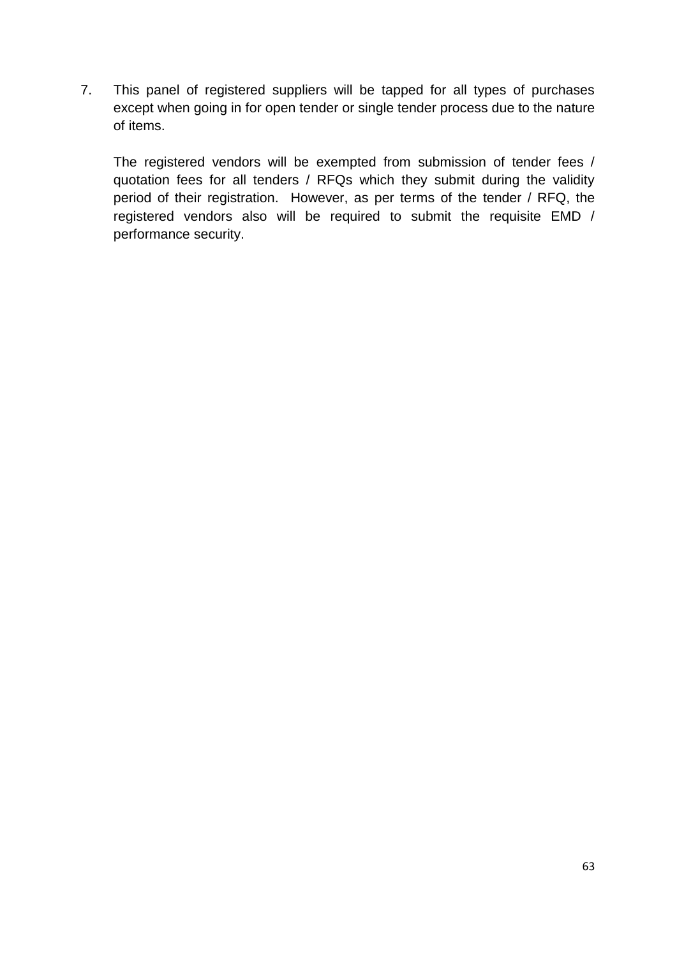7. This panel of registered suppliers will be tapped for all types of purchases except when going in for open tender or single tender process due to the nature of items.

The registered vendors will be exempted from submission of tender fees / quotation fees for all tenders / RFQs which they submit during the validity period of their registration. However, as per terms of the tender / RFQ, the registered vendors also will be required to submit the requisite EMD / performance security.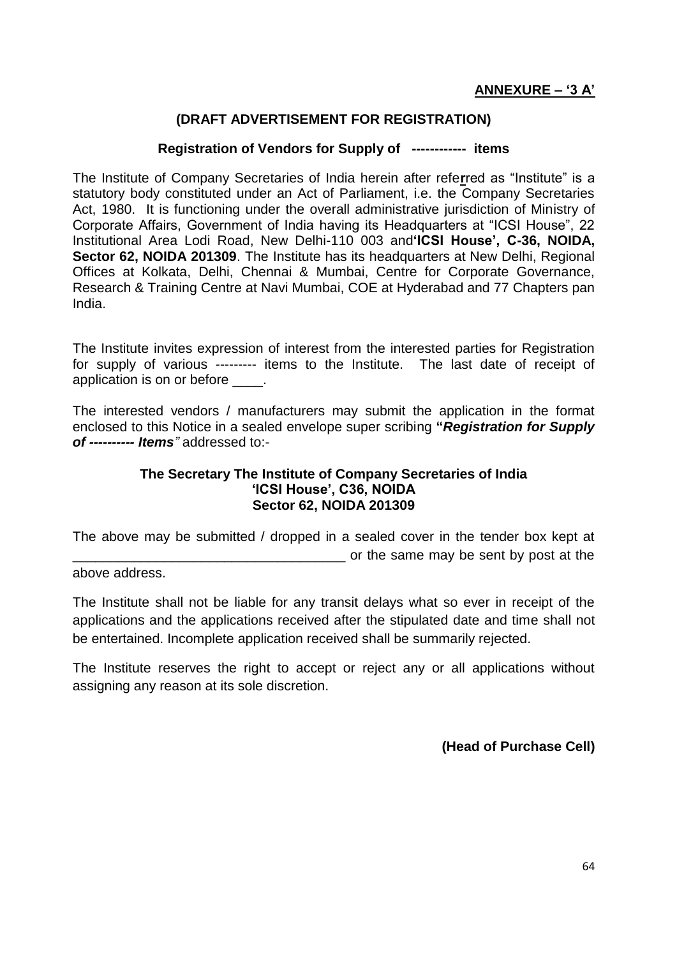## **(DRAFT ADVERTISEMENT FOR REGISTRATION)**

#### **Registration of Vendors for Supply of ------------ items**

The Institute of Company Secretaries of India herein after refe**r**red as "Institute" is a statutory body constituted under an Act of Parliament, i.e. the Company Secretaries Act, 1980. It is functioning under the overall administrative jurisdiction of Ministry of Corporate Affairs, Government of India having its Headquarters at "ICSI House", 22 Institutional Area Lodi Road, New Delhi-110 003 and**'ICSI House', C-36, NOIDA, Sector 62, NOIDA 201309.** The Institute has its headquarters at New Delhi, Regional Offices at Kolkata, Delhi, Chennai & Mumbai, Centre for Corporate Governance, Research & Training Centre at Navi Mumbai, COE at Hyderabad and 77 Chapters pan India.

The Institute invites expression of interest from the interested parties for Registration for supply of various --------- items to the Institute. The last date of receipt of application is on or before  $\qquad$ .

The interested vendors / manufacturers may submit the application in the format enclosed to this Notice in a sealed envelope super scribing **"***Registration for Supply of ---------- Items"* addressed to:-

#### **The Secretary The Institute of Company Secretaries of India 'ICSI House', C36, NOIDA Sector 62, NOIDA 201309**

The above may be submitted / dropped in a sealed cover in the tender box kept at \_\_\_\_\_\_\_\_\_\_\_\_\_\_\_\_\_\_\_\_\_\_\_\_\_\_\_\_\_\_\_\_\_\_\_\_ or the same may be sent by post at the

above address.

The Institute shall not be liable for any transit delays what so ever in receipt of the applications and the applications received after the stipulated date and time shall not be entertained. Incomplete application received shall be summarily rejected.

The Institute reserves the right to accept or reject any or all applications without assigning any reason at its sole discretion.

**(Head of Purchase Cell)**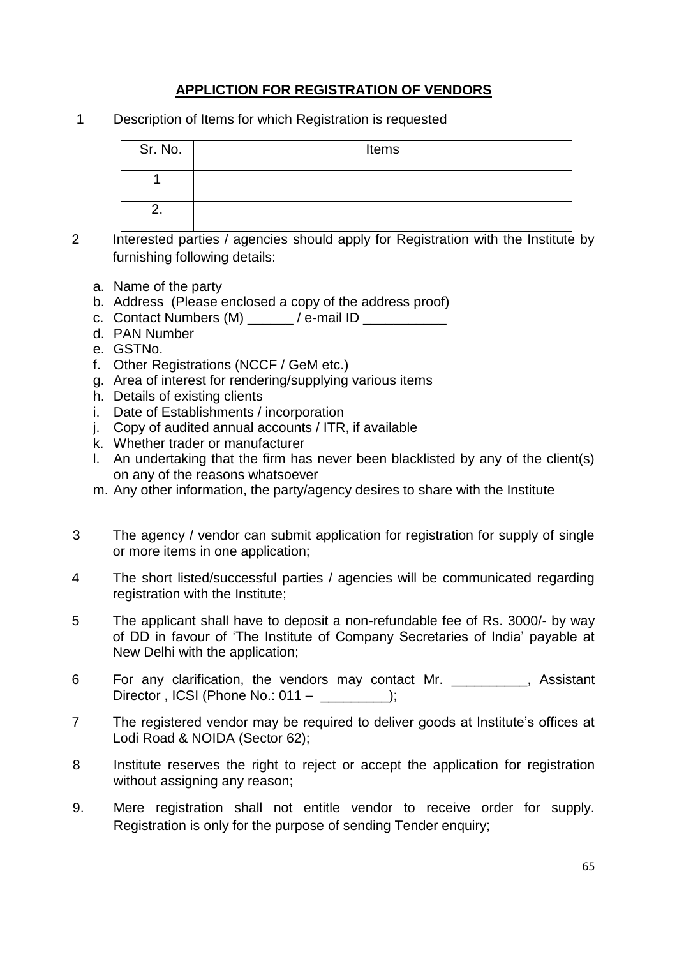# **APPLICTION FOR REGISTRATION OF VENDORS**

1 Description of Items for which Registration is requested

| Sr. No. | Items |
|---------|-------|
|         |       |
| - -     |       |

- 2 Interested parties / agencies should apply for Registration with the Institute by furnishing following details:
	- a. Name of the party
	- b. Address (Please enclosed a copy of the address proof)
	- c. Contact Numbers (M) \_\_\_\_\_\_ / e-mail ID \_\_\_\_\_\_\_\_\_\_\_
	- d. PAN Number
	- e. GSTNo.
	- f. Other Registrations (NCCF / GeM etc.)
	- g. Area of interest for rendering/supplying various items
	- h. Details of existing clients
	- i. Date of Establishments / incorporation
	- j. Copy of audited annual accounts / ITR, if available
	- k. Whether trader or manufacturer
	- l. An undertaking that the firm has never been blacklisted by any of the client(s) on any of the reasons whatsoever
	- m. Any other information, the party/agency desires to share with the Institute
- 3 The agency / vendor can submit application for registration for supply of single or more items in one application;
- 4 The short listed/successful parties / agencies will be communicated regarding registration with the Institute;
- 5 The applicant shall have to deposit a non-refundable fee of Rs. 3000/- by way of DD in favour of 'The Institute of Company Secretaries of India' payable at New Delhi with the application;
- 6 For any clarification, the vendors may contact Mr. **Example 20**, Assistant Director, ICSI (Phone No.: 011 – );
- 7 The registered vendor may be required to deliver goods at Institute's offices at Lodi Road & NOIDA (Sector 62);
- 8 Institute reserves the right to reject or accept the application for registration without assigning any reason;
- 9. Mere registration shall not entitle vendor to receive order for supply. Registration is only for the purpose of sending Tender enquiry;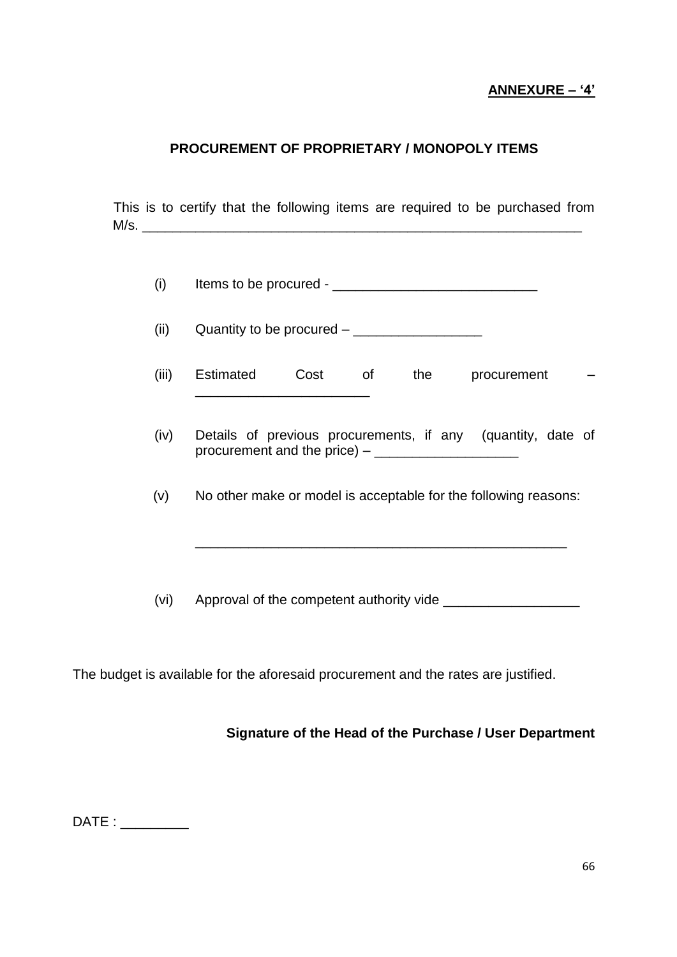## **ANNEXURE – '4'**

#### **PROCUREMENT OF PROPRIETARY / MONOPOLY ITEMS**

This is to certify that the following items are required to be purchased from  $M/s.$ 

(ii) Quantity to be procured – \_\_\_\_\_\_\_\_\_\_\_\_\_\_\_\_\_

- (iii) Estimated Cost of the procurement \_\_\_\_\_\_\_\_\_\_\_\_\_\_\_\_\_\_\_\_\_\_\_
- (iv) Details of previous procurements, if any (quantity, date of procurement and the price) – \_\_\_\_\_\_\_\_\_\_\_\_\_\_\_\_\_\_\_
- (v) No other make or model is acceptable for the following reasons:

\_\_\_\_\_\_\_\_\_\_\_\_\_\_\_\_\_\_\_\_\_\_\_\_\_\_\_\_\_\_\_\_\_\_\_\_\_\_\_\_\_\_\_\_\_\_\_\_\_

(vi) Approval of the competent authority vide \_\_\_\_\_\_\_\_\_\_\_\_\_\_\_\_\_\_\_\_\_\_\_\_\_\_\_\_\_\_\_\_\_\_

The budget is available for the aforesaid procurement and the rates are justified.

#### **Signature of the Head of the Purchase / User Department**

DATE :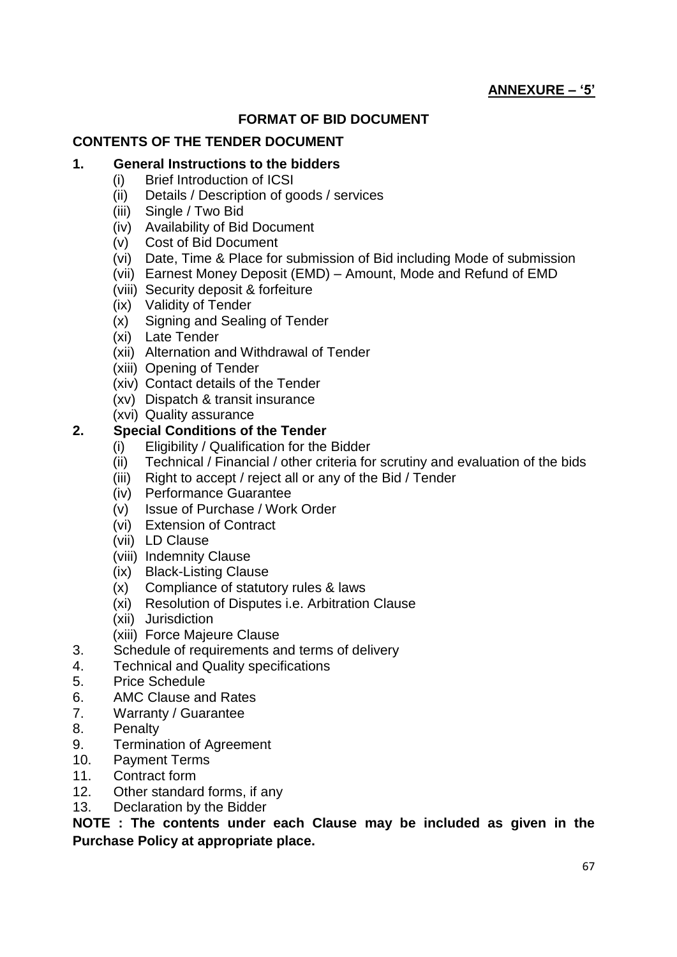# **ANNEXURE – '5'**

#### **FORMAT OF BID DOCUMENT**

#### **CONTENTS OF THE TENDER DOCUMENT**

#### **1. General Instructions to the bidders**

- (i) Brief Introduction of ICSI
- (ii) Details / Description of goods / services
- (iii) Single / Two Bid
- (iv) Availability of Bid Document
- (v) Cost of Bid Document
- (vi) Date, Time & Place for submission of Bid including Mode of submission
- (vii) Earnest Money Deposit (EMD) Amount, Mode and Refund of EMD
- (viii) Security deposit & forfeiture
- (ix) Validity of Tender
- (x) Signing and Sealing of Tender
- (xi) Late Tender
- (xii) Alternation and Withdrawal of Tender
- (xiii) Opening of Tender
- (xiv) Contact details of the Tender
- (xv) Dispatch & transit insurance
- (xvi) Quality assurance

#### **2. Special Conditions of the Tender**

- (i) Eligibility / Qualification for the Bidder
- (ii) Technical / Financial / other criteria for scrutiny and evaluation of the bids
- (iii) Right to accept / reject all or any of the Bid / Tender
- (iv) Performance Guarantee
- (v) Issue of Purchase / Work Order
- (vi) Extension of Contract
- (vii) LD Clause
- (viii) Indemnity Clause
- (ix) Black-Listing Clause
- (x) Compliance of statutory rules & laws
- (xi) Resolution of Disputes i.e. Arbitration Clause
- (xii) Jurisdiction
- (xiii) Force Majeure Clause
- 3. Schedule of requirements and terms of delivery
- 4. Technical and Quality specifications
- 5. Price Schedule
- 6. AMC Clause and Rates
- 7. Warranty / Guarantee
- 8. Penalty
- 9. Termination of Agreement
- 10. Payment Terms
- 11. Contract form
- 12. Other standard forms, if any
- 13. Declaration by the Bidder

**NOTE : The contents under each Clause may be included as given in the Purchase Policy at appropriate place.**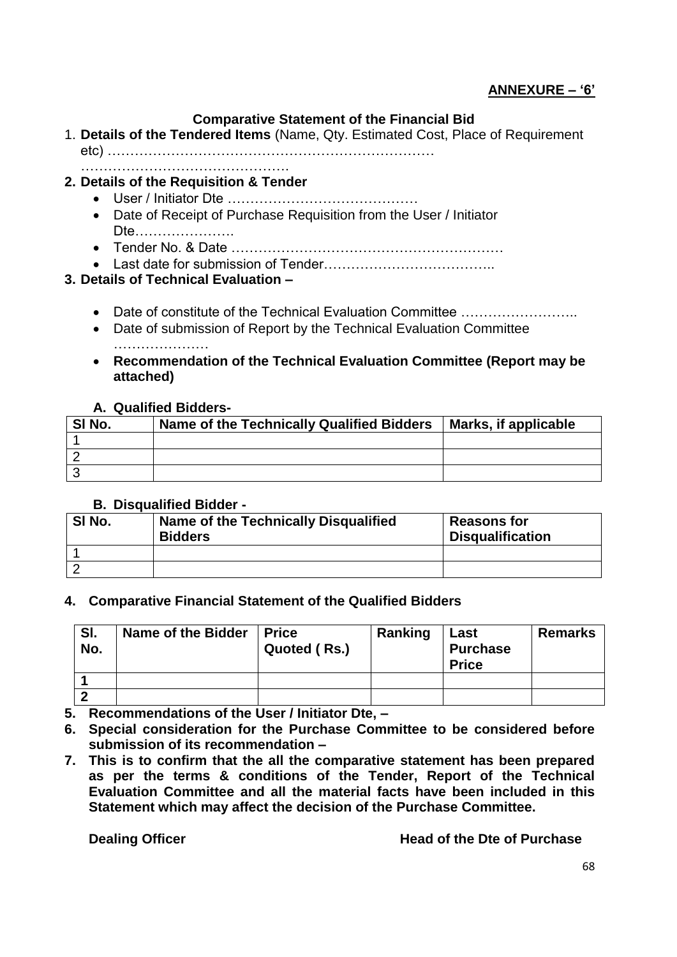## **ANNEXURE – '6'**

#### **Comparative Statement of the Financial Bid**

- 1. **Details of the Tendered Items** (Name, Qty. Estimated Cost, Place of Requirement etc) ………………………………………………………………
- ………………………………………. **2. Details of the Requisition & Tender**
	- User / Initiator Dte ……………………………………
	- Date of Receipt of Purchase Requisition from the User / Initiator Dte………………….
	- Tender No. & Date ……………………………………………………
	- Last date for submission of Tender………………………………..

#### **3. Details of Technical Evaluation –**

- Date of constitute of the Technical Evaluation Committee ……………………..
- Date of submission of Report by the Technical Evaluation Committee …………………
- **Recommendation of the Technical Evaluation Committee (Report may be attached)**

#### **A. Qualified Bidders-**

| SI No. | Name of the Technically Qualified Bidders | Marks, if applicable |
|--------|-------------------------------------------|----------------------|
|        |                                           |                      |
|        |                                           |                      |
|        |                                           |                      |

#### **B. Disqualified Bidder -**

| SI No. | Name of the Technically Disqualified<br><b>Bidders</b> | <b>Reasons for</b><br><b>Disqualification</b> |
|--------|--------------------------------------------------------|-----------------------------------------------|
|        |                                                        |                                               |
|        |                                                        |                                               |

#### **4. Comparative Financial Statement of the Qualified Bidders**

| SI.<br>No. | Name of the Bidder | <b>∣Price</b><br>Quoted (Rs.) | Ranking | Last<br><b>Purchase</b><br><b>Price</b> | <b>Remarks</b> |
|------------|--------------------|-------------------------------|---------|-----------------------------------------|----------------|
|            |                    |                               |         |                                         |                |
|            |                    |                               |         |                                         |                |

- **5. Recommendations of the User / Initiator Dte, –**
- **6. Special consideration for the Purchase Committee to be considered before submission of its recommendation –**
- **7. This is to confirm that the all the comparative statement has been prepared as per the terms & conditions of the Tender, Report of the Technical Evaluation Committee and all the material facts have been included in this Statement which may affect the decision of the Purchase Committee.**

#### **Dealing Officer Contract Contract Contract Contract Contract Contract Contract Contract Contract Contract Contract Contract Contract Contract Contract Contract Contract Contract Contract Contract Contract Contract Contrac**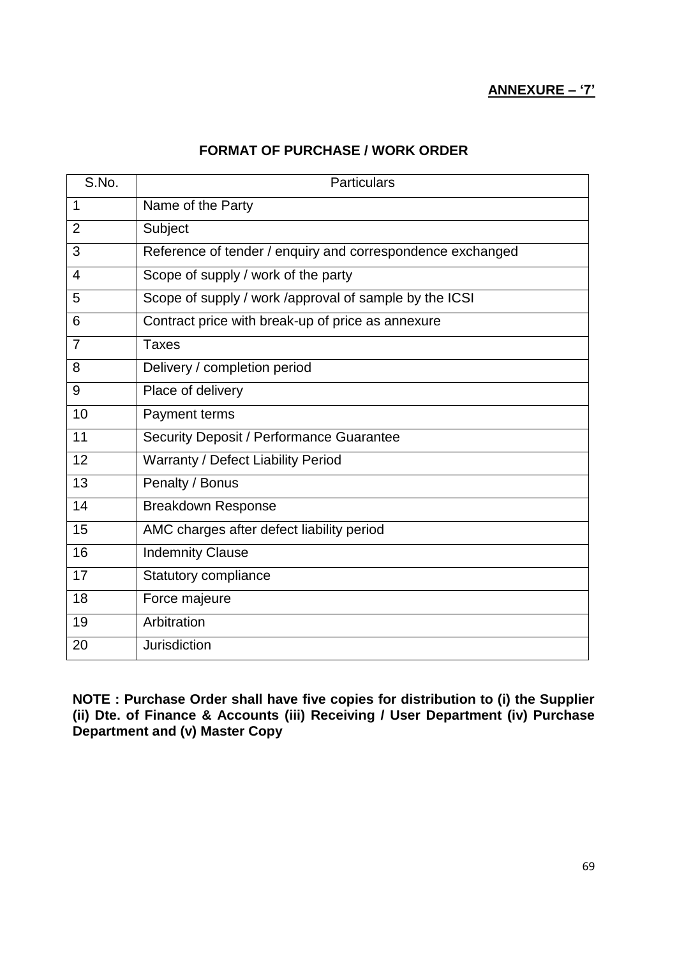#### **ANNEXURE – '7'**

### **FORMAT OF PURCHASE / WORK ORDER**

| S.No.          | <b>Particulars</b>                                         |
|----------------|------------------------------------------------------------|
| $\mathbf 1$    | Name of the Party                                          |
| $\overline{2}$ | Subject                                                    |
| 3              | Reference of tender / enquiry and correspondence exchanged |
| $\overline{4}$ | Scope of supply / work of the party                        |
| 5              | Scope of supply / work /approval of sample by the ICSI     |
| 6              | Contract price with break-up of price as annexure          |
| $\overline{7}$ | <b>Taxes</b>                                               |
| 8              | Delivery / completion period                               |
| 9              | Place of delivery                                          |
| 10             | Payment terms                                              |
| 11             | Security Deposit / Performance Guarantee                   |
| 12             | Warranty / Defect Liability Period                         |
| 13             | Penalty / Bonus                                            |
| 14             | <b>Breakdown Response</b>                                  |
| 15             | AMC charges after defect liability period                  |
| 16             | <b>Indemnity Clause</b>                                    |
| 17             | Statutory compliance                                       |
| 18             | Force majeure                                              |
| 19             | Arbitration                                                |
| 20             | <b>Jurisdiction</b>                                        |

**NOTE : Purchase Order shall have five copies for distribution to (i) the Supplier (ii) Dte. of Finance & Accounts (iii) Receiving / User Department (iv) Purchase Department and (v) Master Copy**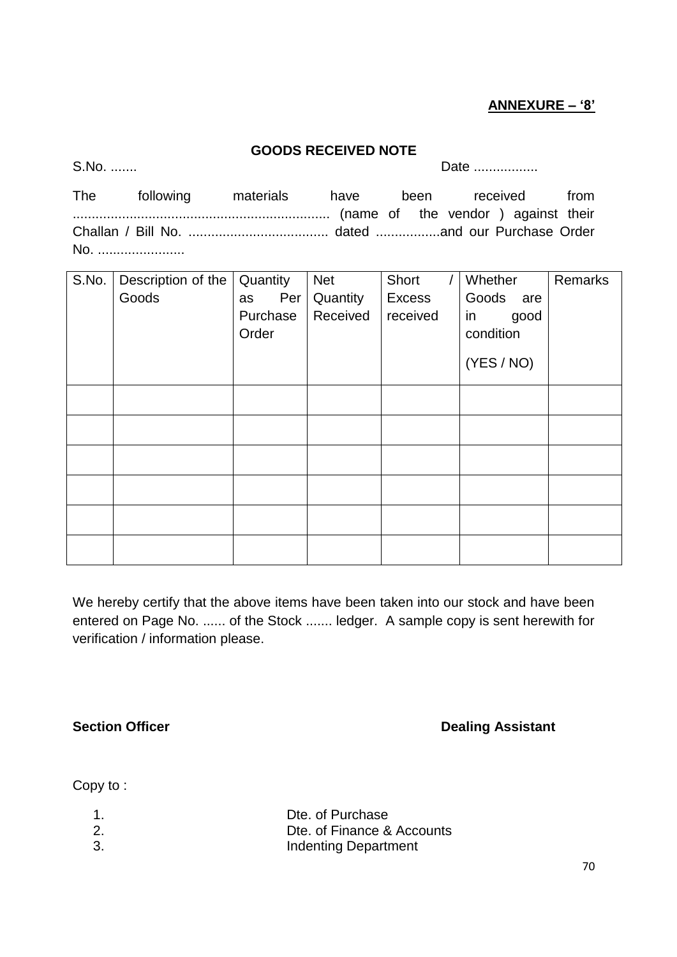#### **ANNEXURE – '8'**

#### **GOODS RECEIVED NOTE**

S.No. ....... Date .................

| The | following materials have been received from |  |  |  |
|-----|---------------------------------------------|--|--|--|
|     |                                             |  |  |  |
|     |                                             |  |  |  |
| No. |                                             |  |  |  |

| S.No. | Description of the | Quantity  | <b>Net</b> | Short         | Whether      | Remarks |
|-------|--------------------|-----------|------------|---------------|--------------|---------|
|       | Goods              | Per<br>as | Quantity   | <b>Excess</b> | Goods<br>are |         |
|       |                    | Purchase  | Received   | received      | in<br>good   |         |
|       |                    | Order     |            |               | condition    |         |
|       |                    |           |            |               | (YES / NO)   |         |
|       |                    |           |            |               |              |         |
|       |                    |           |            |               |              |         |
|       |                    |           |            |               |              |         |
|       |                    |           |            |               |              |         |
|       |                    |           |            |               |              |         |
|       |                    |           |            |               |              |         |

We hereby certify that the above items have been taken into our stock and have been entered on Page No. ...... of the Stock ....... ledger. A sample copy is sent herewith for verification / information please.

**Section Officer Contract Contract Contract Contract Contract Contract Contract Dealing Assistant** 

Copy to :

|     | Dte. of Purchase            |
|-----|-----------------------------|
| -2. | Dte. of Finance & Accounts  |
| -3. | <b>Indenting Department</b> |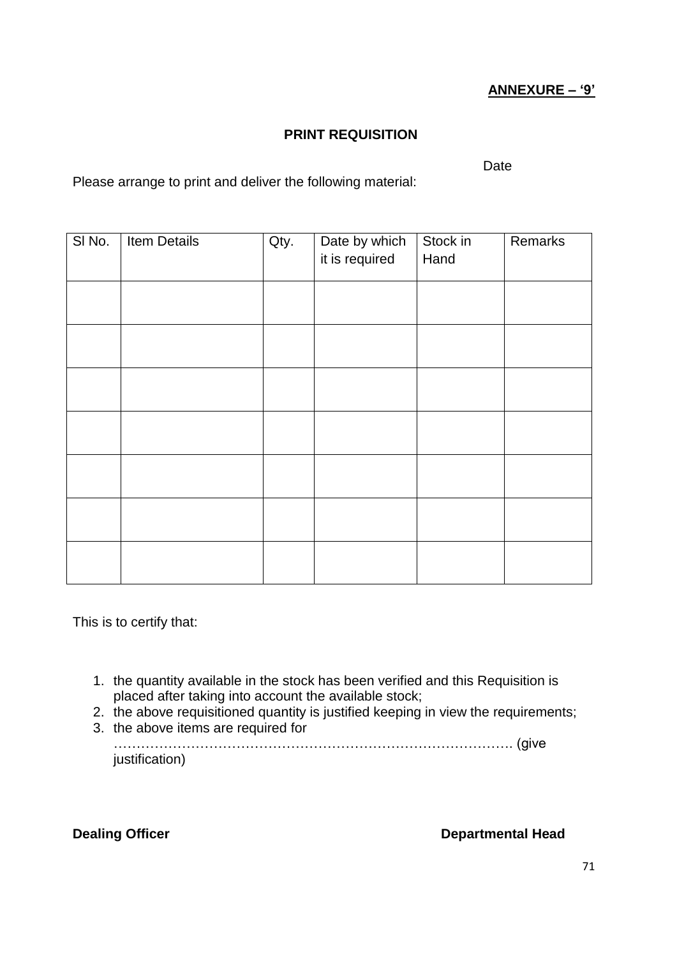## **ANNEXURE – '9'**

#### **PRINT REQUISITION**

Date

Please arrange to print and deliver the following material:

| SI No. | Item Details | Qty. | Date by which<br>it is required | Stock in<br>Hand | Remarks |
|--------|--------------|------|---------------------------------|------------------|---------|
|        |              |      |                                 |                  |         |
|        |              |      |                                 |                  |         |
|        |              |      |                                 |                  |         |
|        |              |      |                                 |                  |         |
|        |              |      |                                 |                  |         |
|        |              |      |                                 |                  |         |
|        |              |      |                                 |                  |         |

This is to certify that:

- 1. the quantity available in the stock has been verified and this Requisition is placed after taking into account the available stock;
- 2. the above requisitioned quantity is justified keeping in view the requirements;
- 3. the above items are required for

……………………………………………………………………………. (give justification)

**Dealing Officer Departmental Head**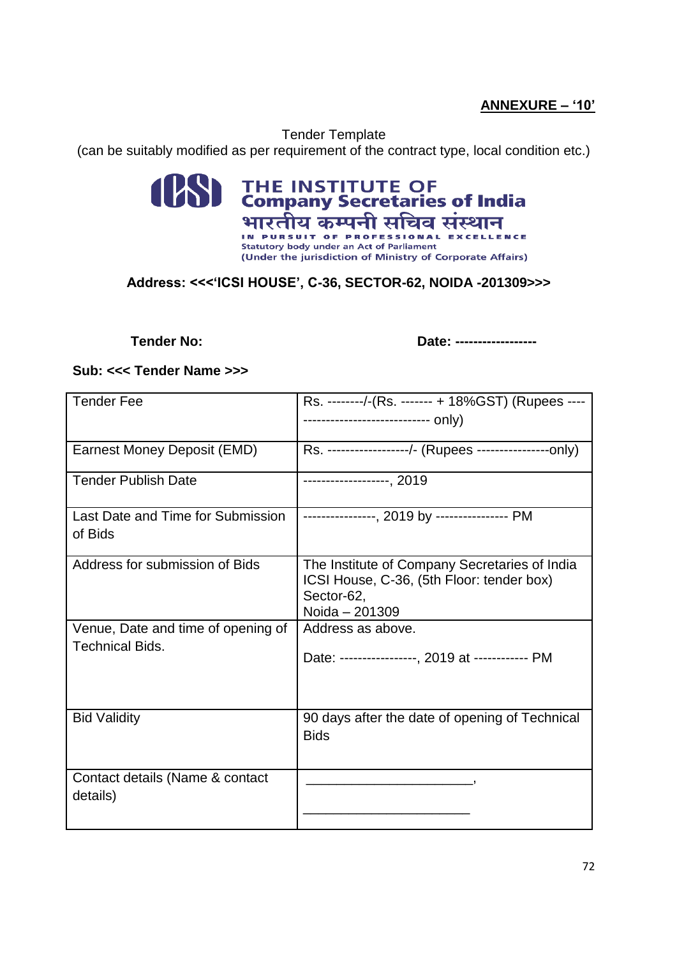## **ANNEXURE – '10'**

Tender Template (can be suitably modified as per requirement of the contract type, local condition etc.)

# **ESSI THE INSTITUTE OF**<br>**Company Secretaries of India** भारतीय कम्पनी सचिव संस्थान **Statutory body under an Act of Parliament** (Under the jurisdiction of Ministry of Corporate Affairs)

### **Address: <<<'ICSI HOUSE', C-36, SECTOR-62, NOIDA -201309>>>**

**Tender No: Date: ------------------**

#### **Sub: <<< Tender Name >>>**

| <b>Tender Fee</b>                                            | Rs. --------/-(Rs. ------- + 18%GST) (Rupees ----                                                                          |
|--------------------------------------------------------------|----------------------------------------------------------------------------------------------------------------------------|
| <b>Earnest Money Deposit (EMD)</b>                           | Rs. -----------------/- (Rupees ----------------only)                                                                      |
| <b>Tender Publish Date</b>                                   | -------------------, 2019                                                                                                  |
| Last Date and Time for Submission<br>of Bids                 | ----------------, 2019 by --------------- PM                                                                               |
| Address for submission of Bids                               | The Institute of Company Secretaries of India<br>ICSI House, C-36, (5th Floor: tender box)<br>Sector-62,<br>Noida - 201309 |
| Venue, Date and time of opening of<br><b>Technical Bids.</b> | Address as above.<br>Date: -----------------, 2019 at ------------ PM                                                      |
| <b>Bid Validity</b>                                          | 90 days after the date of opening of Technical<br><b>Bids</b>                                                              |
| Contact details (Name & contact<br>details)                  |                                                                                                                            |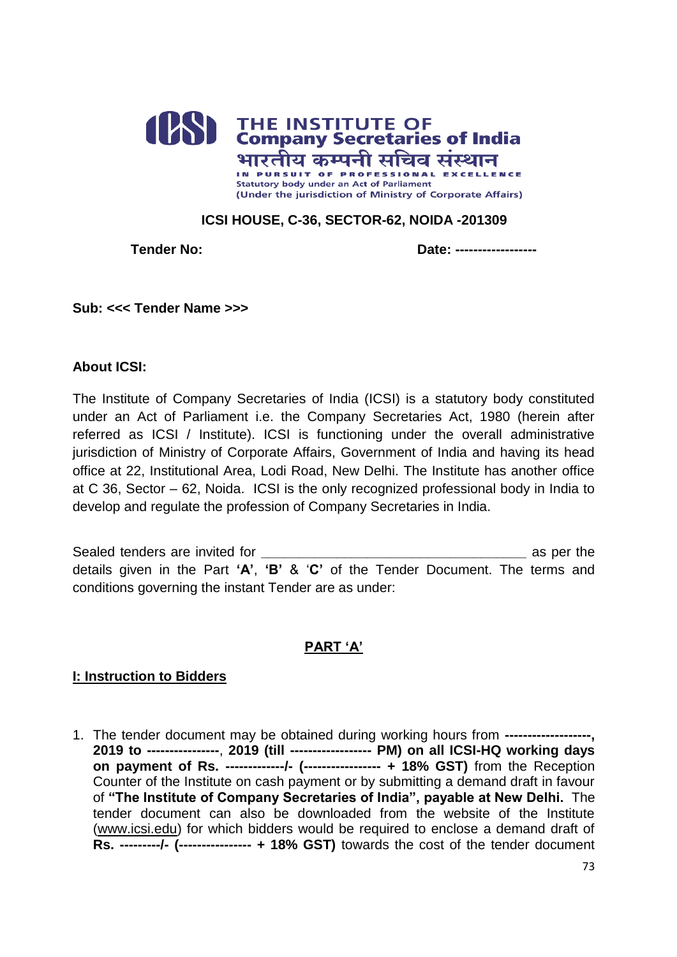

### **ICSI HOUSE, C-36, SECTOR-62, NOIDA -201309**

**Tender No: Date: --------------**

**Sub: <<< Tender Name >>>**

#### **About ICSI:**

The Institute of Company Secretaries of India (ICSI) is a statutory body constituted under an Act of Parliament i.e. the Company Secretaries Act, 1980 (herein after referred as ICSI / Institute). ICSI is functioning under the overall administrative jurisdiction of Ministry of Corporate Affairs, Government of India and having its head office at 22, Institutional Area, Lodi Road, New Delhi. The Institute has another office at C 36, Sector – 62, Noida. ICSI is the only recognized professional body in India to develop and regulate the profession of Company Secretaries in India.

Sealed tenders are invited for **we are set of the sealed tenders** as per the details given in the Part **'A'**, **'B'** & '**C'** of the Tender Document. The terms and conditions governing the instant Tender are as under:

## **PART 'A'**

#### **I: Instruction to Bidders**

1. The tender document may be obtained during working hours from **-------------------, 2019 to ----------------**, **2019 (till ------------------ PM) on all ICSI-HQ working days on payment of Rs. -------------/- (----------------- + 18% GST)** from the Reception Counter of the Institute on cash payment or by submitting a demand draft in favour of **"The Institute of Company Secretaries of India", payable at New Delhi.** The tender document can also be downloaded from the website of the Institute [\(www.icsi.edu\)](http://www.icsi.edu/) for which bidders would be required to enclose a demand draft of **Rs. ---------/- (---------------- + 18% GST)** towards the cost of the tender document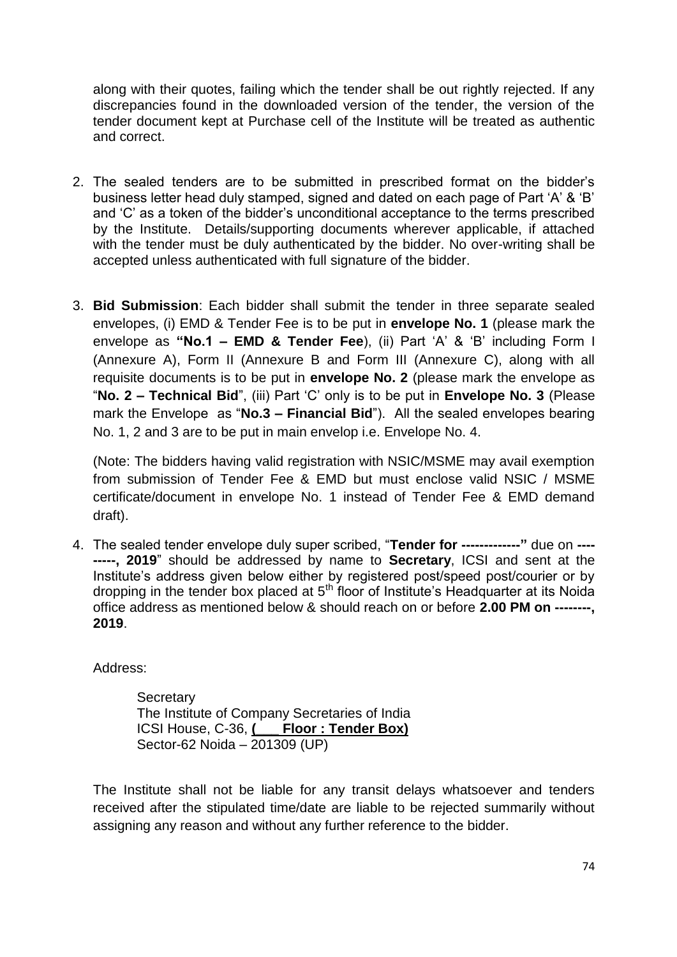along with their quotes, failing which the tender shall be out rightly rejected. If any discrepancies found in the downloaded version of the tender, the version of the tender document kept at Purchase cell of the Institute will be treated as authentic and correct.

- 2. The sealed tenders are to be submitted in prescribed format on the bidder's business letter head duly stamped, signed and dated on each page of Part 'A' & 'B' and 'C' as a token of the bidder's unconditional acceptance to the terms prescribed by the Institute. Details/supporting documents wherever applicable, if attached with the tender must be duly authenticated by the bidder. No over-writing shall be accepted unless authenticated with full signature of the bidder.
- 3. **Bid Submission**: Each bidder shall submit the tender in three separate sealed envelopes, (i) EMD & Tender Fee is to be put in **envelope No. 1** (please mark the envelope as **"No.1 – EMD & Tender Fee**), (ii) Part 'A' & 'B' including Form I (Annexure A), Form II (Annexure B and Form III (Annexure C), along with all requisite documents is to be put in **envelope No. 2** (please mark the envelope as "**No. 2 – Technical Bid**", (iii) Part 'C' only is to be put in **Envelope No. 3** (Please mark the Envelope as "**No.3 – Financial Bid**"). All the sealed envelopes bearing No. 1, 2 and 3 are to be put in main envelop i.e. Envelope No. 4.

(Note: The bidders having valid registration with NSIC/MSME may avail exemption from submission of Tender Fee & EMD but must enclose valid NSIC / MSME certificate/document in envelope No. 1 instead of Tender Fee & EMD demand draft).

4. The sealed tender envelope duly super scribed, "**Tender for -------------"** due on **---- -----, 2019**" should be addressed by name to **Secretary**, ICSI and sent at the Institute's address given below either by registered post/speed post/courier or by dropping in the tender box placed at  $5<sup>th</sup>$  floor of Institute's Headquarter at its Noida office address as mentioned below & should reach on or before **2.00 PM on --------, 2019**.

Address:

**Secretary** The Institute of Company Secretaries of India ICSI House, C-36, **(\_\_\_ Floor : Tender Box)** Sector-62 Noida – 201309 (UP)

The Institute shall not be liable for any transit delays whatsoever and tenders received after the stipulated time/date are liable to be rejected summarily without assigning any reason and without any further reference to the bidder.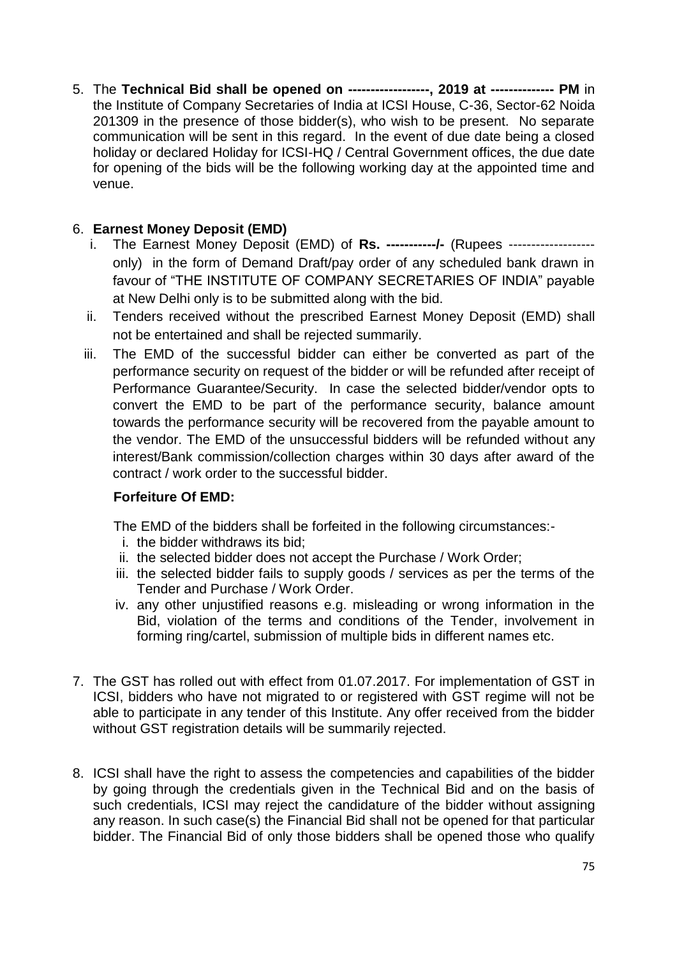5. The **Technical Bid shall be opened on ------------------, 2019 at -------------- PM** in the Institute of Company Secretaries of India at ICSI House, C-36, Sector-62 Noida 201309 in the presence of those bidder(s), who wish to be present. No separate communication will be sent in this regard. In the event of due date being a closed holiday or declared Holiday for ICSI-HQ / Central Government offices, the due date for opening of the bids will be the following working day at the appointed time and venue.

# 6. **Earnest Money Deposit (EMD)**

- i. The Earnest Money Deposit (EMD) of **Rs. -----------/-** (Rupees ------------------ only) in the form of Demand Draft/pay order of any scheduled bank drawn in favour of "THE INSTITUTE OF COMPANY SECRETARIES OF INDIA" payable at New Delhi only is to be submitted along with the bid.
- ii. Tenders received without the prescribed Earnest Money Deposit (EMD) shall not be entertained and shall be rejected summarily.
- iii. The EMD of the successful bidder can either be converted as part of the performance security on request of the bidder or will be refunded after receipt of Performance Guarantee/Security. In case the selected bidder/vendor opts to convert the EMD to be part of the performance security, balance amount towards the performance security will be recovered from the payable amount to the vendor. The EMD of the unsuccessful bidders will be refunded without any interest/Bank commission/collection charges within 30 days after award of the contract / work order to the successful bidder.

## **[Fo](http://dict.hinkhoj.com/words/meaning-of-IMPOUND-in-hindi.html)rfeiture Of EMD:**

The EMD of the bidders shall be forfeited in the following circumstances:-

- i. the bidder withdraws its bid:
- ii. the selected bidder does not accept the Purchase / Work Order;
- iii. the selected bidder fails to supply goods / services as per the terms of the Tender and Purchase / Work Order.
- iv. any other unjustified reasons e.g. misleading or wrong information in the Bid, violation of the terms and conditions of the Tender, involvement in forming ring/cartel, submission of multiple bids in different names etc.
- 7. The GST has rolled out with effect from 01.07.2017. For implementation of GST in ICSI, bidders who have not migrated to or registered with GST regime will not be able to participate in any tender of this Institute. Any offer received from the bidder without GST registration details will be summarily rejected.
- 8. ICSI shall have the right to assess the competencies and capabilities of the bidder by going through the credentials given in the Technical Bid and on the basis of such credentials, ICSI may reject the candidature of the bidder without assigning any reason. In such case(s) the Financial Bid shall not be opened for that particular bidder. The Financial Bid of only those bidders shall be opened those who qualify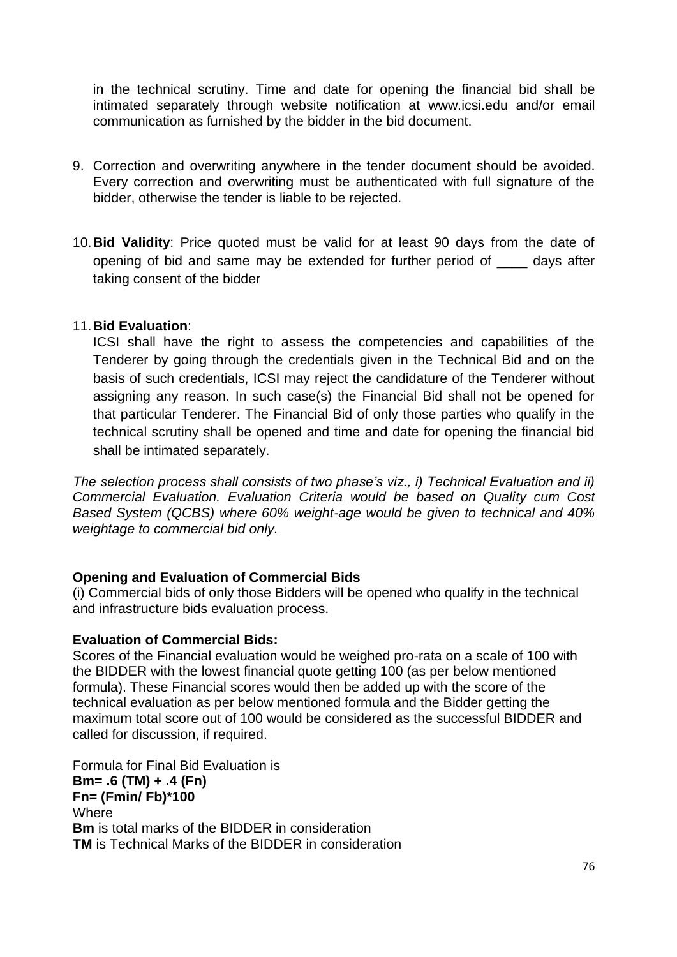in the technical scrutiny. Time and date for opening the financial bid shall be intimated separately through website notification at [www.icsi.edu](http://www.icsi.edu/) and/or email communication as furnished by the bidder in the bid document.

- 9. Correction and overwriting anywhere in the tender document should be avoided. Every correction and overwriting must be authenticated with full signature of the bidder, otherwise the tender is liable to be rejected.
- 10.**Bid Validity**: Price quoted must be valid for at least 90 days from the date of opening of bid and same may be extended for further period of \_\_\_\_ days after taking consent of the bidder

### 11.**Bid Evaluation**:

ICSI shall have the right to assess the competencies and capabilities of the Tenderer by going through the credentials given in the Technical Bid and on the basis of such credentials, ICSI may reject the candidature of the Tenderer without assigning any reason. In such case(s) the Financial Bid shall not be opened for that particular Tenderer. The Financial Bid of only those parties who qualify in the technical scrutiny shall be opened and time and date for opening the financial bid shall be intimated separately.

*The selection process shall consists of two phase's viz., i) Technical Evaluation and ii) Commercial Evaluation. Evaluation Criteria would be based on Quality cum Cost Based System (QCBS) where 60% weight-age would be given to technical and 40% weightage to commercial bid only.*

#### **Opening and Evaluation of Commercial Bids**

(i) Commercial bids of only those Bidders will be opened who qualify in the technical and infrastructure bids evaluation process.

#### **Evaluation of Commercial Bids:**

Scores of the Financial evaluation would be weighed pro-rata on a scale of 100 with the BIDDER with the lowest financial quote getting 100 (as per below mentioned formula). These Financial scores would then be added up with the score of the technical evaluation as per below mentioned formula and the Bidder getting the maximum total score out of 100 would be considered as the successful BIDDER and called for discussion, if required.

Formula for Final Bid Evaluation is **Bm= .6 (TM) + .4 (Fn) Fn= (Fmin/ Fb)\*100 Where Bm** is total marks of the BIDDER in consideration **TM** is Technical Marks of the BIDDER in consideration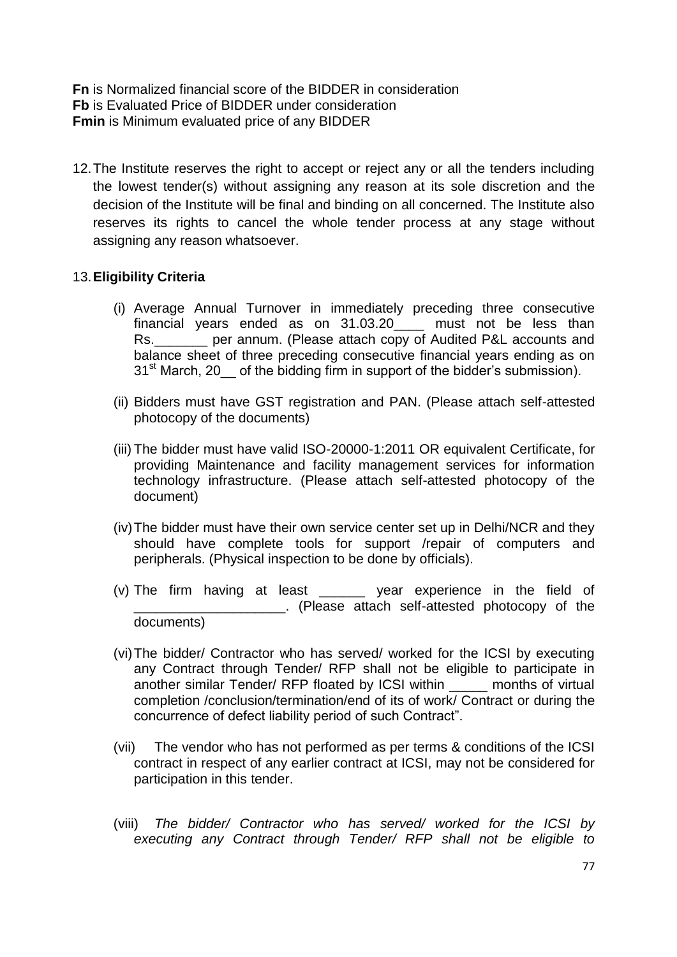**Fn** is Normalized financial score of the BIDDER in consideration **Fb** is Evaluated Price of BIDDER under consideration **Fmin** is Minimum evaluated price of any BIDDER

12. The Institute reserves the right to accept or reject any or all the tenders including the lowest tender(s) without assigning any reason at its sole discretion and the decision of the Institute will be final and binding on all concerned. The Institute also reserves its rights to cancel the whole tender process at any stage without assigning any reason whatsoever.

### 13.**Eligibility Criteria**

- (i) Average Annual Turnover in immediately preceding three consecutive  $f$ inancial years ended as on  $31.03.20$  must not be less than Rs.\_\_\_\_\_\_\_ per annum. (Please attach copy of Audited P&L accounts and balance sheet of three preceding consecutive financial years ending as on 31<sup>st</sup> March, 20 of the bidding firm in support of the bidder's submission).
- (ii) Bidders must have GST registration and PAN. (Please attach self-attested photocopy of the documents)
- (iii) The bidder must have valid ISO-20000-1:2011 OR equivalent Certificate, for providing Maintenance and facility management services for information technology infrastructure. (Please attach self-attested photocopy of the document)
- (iv)The bidder must have their own service center set up in Delhi/NCR and they should have complete tools for support /repair of computers and peripherals. (Physical inspection to be done by officials).
- (v) The firm having at least experience in the field of \_\_\_\_\_\_\_\_\_\_\_\_\_\_\_\_\_\_\_\_. (Please attach self-attested photocopy of the documents)
- (vi)The bidder/ Contractor who has served/ worked for the ICSI by executing any Contract through Tender/ RFP shall not be eligible to participate in another similar Tender/ RFP floated by ICSI within \_\_\_\_\_ months of virtual completion /conclusion/termination/end of its of work/ Contract or during the concurrence of defect liability period of such Contract".
- (vii) The vendor who has not performed as per terms & conditions of the ICSI contract in respect of any earlier contract at ICSI, may not be considered for participation in this tender.
- (viii) *The bidder/ Contractor who has served/ worked for the ICSI by executing any Contract through Tender/ RFP shall not be eligible to*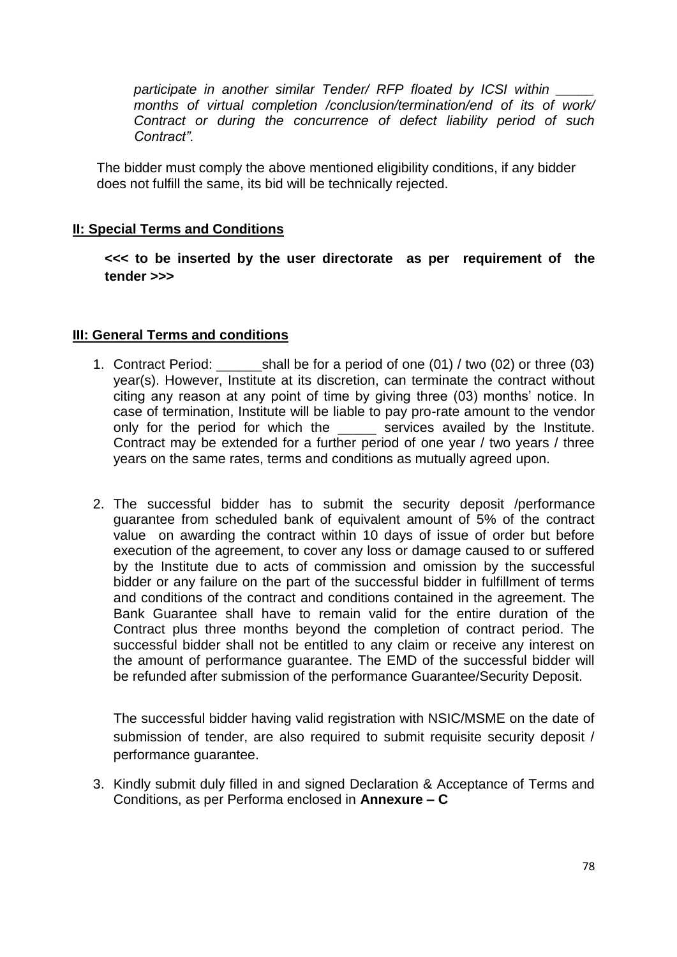*participate in another similar Tender/ RFP floated by ICSI within \_\_\_\_\_ months of virtual completion /conclusion/termination/end of its of work/ Contract or during the concurrence of defect liability period of such Contract".*

The bidder must comply the above mentioned eligibility conditions, if any bidder does not fulfill the same, its bid will be technically rejected.

### **II: Special Terms and Conditions**

**<<< to be inserted by the user directorate as per requirement of the tender >>>**

#### **III: General Terms and conditions**

- 1. Contract Period: \_\_\_\_\_\_shall be for a period of one (01) / two (02) or three (03) year(s). However, Institute at its discretion, can terminate the contract without citing any reason at any point of time by giving three (03) months' notice. In case of termination, Institute will be liable to pay pro-rate amount to the vendor only for the period for which the \_\_\_\_\_ services availed by the Institute. Contract may be extended for a further period of one year / two years / three years on the same rates, terms and conditions as mutually agreed upon.
- 2. The successful bidder has to submit the security deposit /performance guarantee from scheduled bank of equivalent amount of 5% of the contract value on awarding the contract within 10 days of issue of order but before execution of the agreement, to cover any loss or damage caused to or suffered by the Institute due to acts of commission and omission by the successful bidder or any failure on the part of the successful bidder in fulfillment of terms and conditions of the contract and conditions contained in the agreement. The Bank Guarantee shall have to remain valid for the entire duration of the Contract plus three months beyond the completion of contract period. The successful bidder shall not be entitled to any claim or receive any interest on the amount of performance guarantee. The EMD of the successful bidder will be refunded after submission of the performance Guarantee/Security Deposit.

The successful bidder having valid registration with NSIC/MSME on the date of submission of tender, are also required to submit requisite security deposit / performance guarantee.

3. Kindly submit duly filled in and signed Declaration & Acceptance of Terms and Conditions, as per Performa enclosed in **Annexure – C**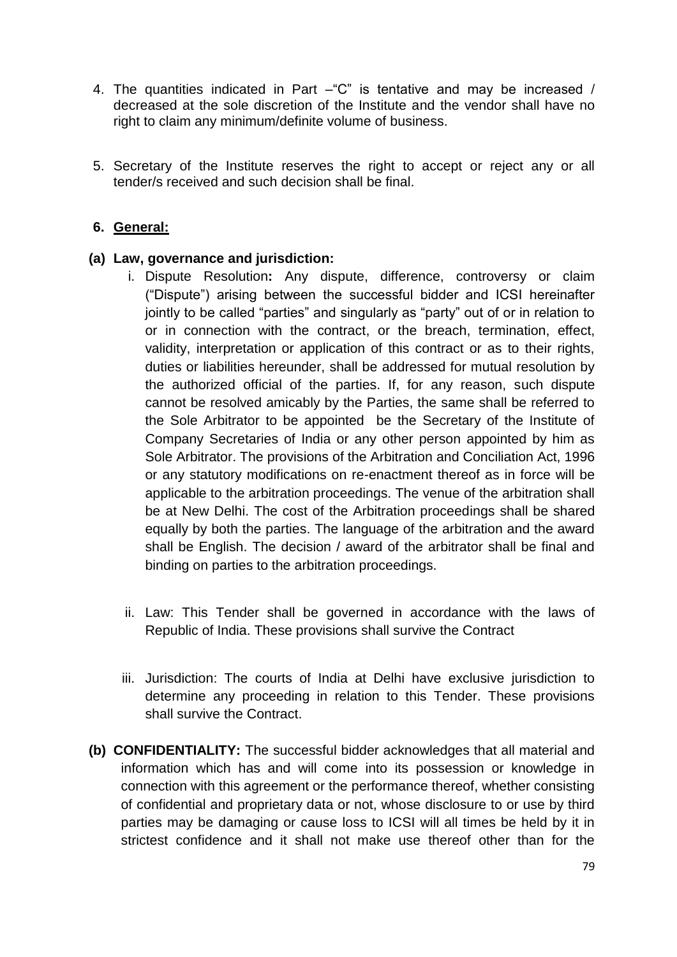- 4. The quantities indicated in Part "C" is tentative and may be increased / decreased at the sole discretion of the Institute and the vendor shall have no right to claim any minimum/definite volume of business.
- 5. Secretary of the Institute reserves the right to accept or reject any or all tender/s received and such decision shall be final.

### **6. General:**

#### **(a) Law, governance and jurisdiction:**

- i. Dispute Resolution**:** Any dispute, difference, controversy or claim ("Dispute") arising between the successful bidder and ICSI hereinafter jointly to be called "parties" and singularly as "party" out of or in relation to or in connection with the contract, or the breach, termination, effect, validity, interpretation or application of this contract or as to their rights, duties or liabilities hereunder, shall be addressed for mutual resolution by the authorized official of the parties. If, for any reason, such dispute cannot be resolved amicably by the Parties, the same shall be referred to the Sole Arbitrator to be appointed be the Secretary of the Institute of Company Secretaries of India or any other person appointed by him as Sole Arbitrator. The provisions of the Arbitration and Conciliation Act, 1996 or any statutory modifications on re-enactment thereof as in force will be applicable to the arbitration proceedings. The venue of the arbitration shall be at New Delhi. The cost of the Arbitration proceedings shall be shared equally by both the parties. The language of the arbitration and the award shall be English. The decision / award of the arbitrator shall be final and binding on parties to the arbitration proceedings.
- ii. Law: This Tender shall be governed in accordance with the laws of Republic of India. These provisions shall survive the Contract
- iii. Jurisdiction: The courts of India at Delhi have exclusive jurisdiction to determine any proceeding in relation to this Tender. These provisions shall survive the Contract.
- **(b) CONFIDENTIALITY:** The successful bidder acknowledges that all material and information which has and will come into its possession or knowledge in connection with this agreement or the performance thereof, whether consisting of confidential and proprietary data or not, whose disclosure to or use by third parties may be damaging or cause loss to ICSI will all times be held by it in strictest confidence and it shall not make use thereof other than for the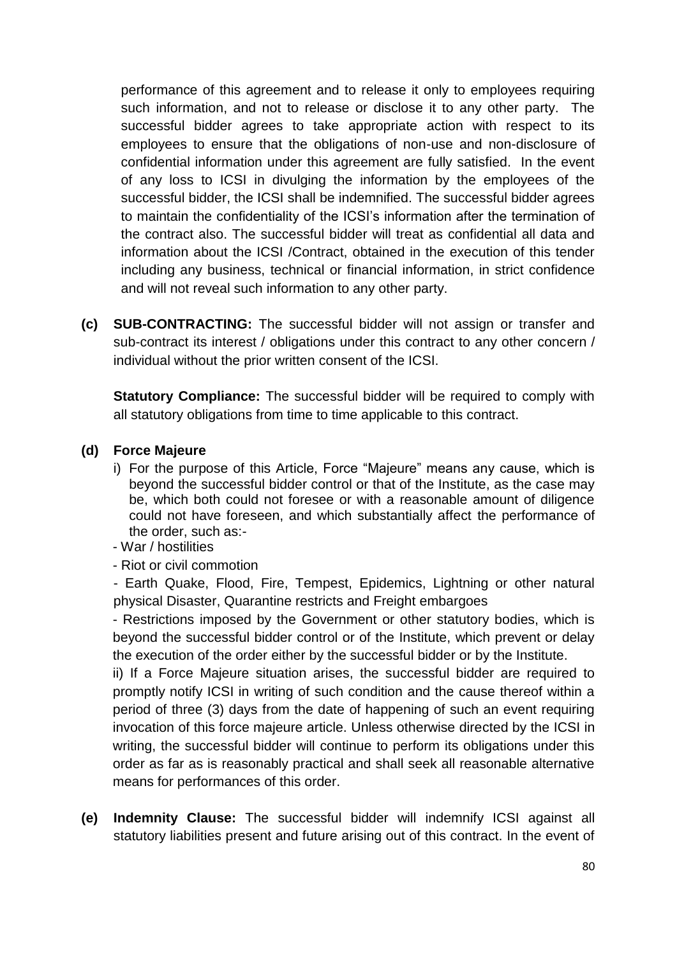performance of this agreement and to release it only to employees requiring such information, and not to release or disclose it to any other party. The successful bidder agrees to take appropriate action with respect to its employees to ensure that the obligations of non-use and non-disclosure of confidential information under this agreement are fully satisfied. In the event of any loss to ICSI in divulging the information by the employees of the successful bidder, the ICSI shall be indemnified. The successful bidder agrees to maintain the confidentiality of the ICSI's information after the termination of the contract also. The successful bidder will treat as confidential all data and information about the ICSI /Contract, obtained in the execution of this tender including any business, technical or financial information, in strict confidence and will not reveal such information to any other party.

**(c) SUB-CONTRACTING:** The successful bidder will not assign or transfer and sub-contract its interest / obligations under this contract to any other concern / individual without the prior written consent of the ICSI.

**Statutory Compliance:** The successful bidder will be required to comply with all statutory obligations from time to time applicable to this contract.

## **(d) Force Majeure**

- i) For the purpose of this Article, Force "Majeure" means any cause, which is beyond the successful bidder control or that of the Institute, as the case may be, which both could not foresee or with a reasonable amount of diligence could not have foreseen, and which substantially affect the performance of the order, such as:-
- War / hostilities
- Riot or civil commotion

- Earth Quake, Flood, Fire, Tempest, Epidemics, Lightning or other natural physical Disaster, Quarantine restricts and Freight embargoes

- Restrictions imposed by the Government or other statutory bodies, which is beyond the successful bidder control or of the Institute, which prevent or delay the execution of the order either by the successful bidder or by the Institute.

ii) If a Force Majeure situation arises, the successful bidder are required to promptly notify ICSI in writing of such condition and the cause thereof within a period of three (3) days from the date of happening of such an event requiring invocation of this force majeure article. Unless otherwise directed by the ICSI in writing, the successful bidder will continue to perform its obligations under this order as far as is reasonably practical and shall seek all reasonable alternative means for performances of this order.

**(e) Indemnity Clause:** The successful bidder will indemnify ICSI against all statutory liabilities present and future arising out of this contract. In the event of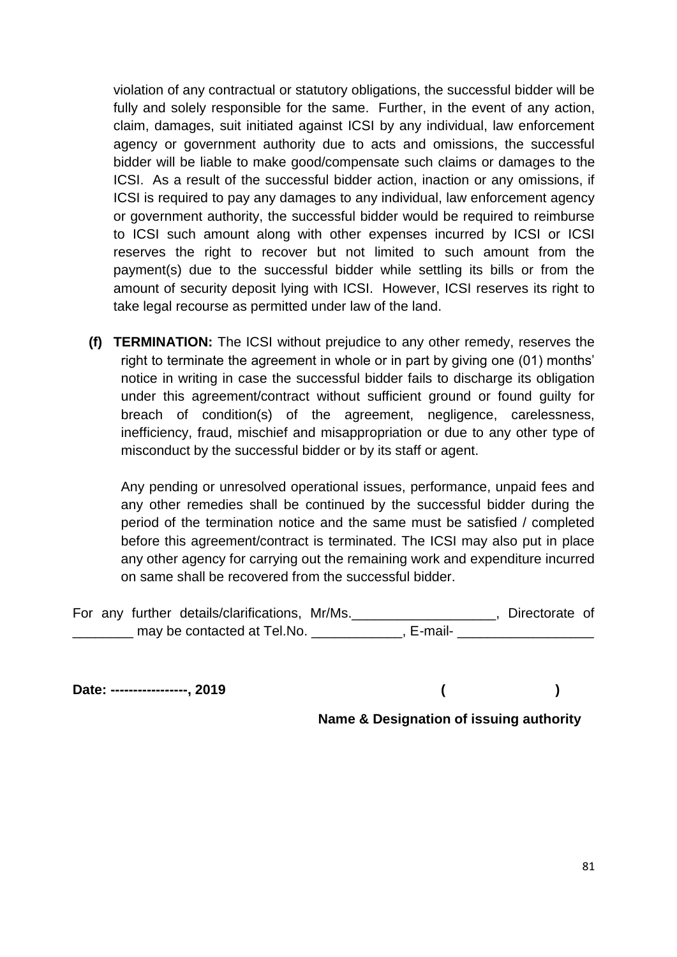violation of any contractual or statutory obligations, the successful bidder will be fully and solely responsible for the same. Further, in the event of any action, claim, damages, suit initiated against ICSI by any individual, law enforcement agency or government authority due to acts and omissions, the successful bidder will be liable to make good/compensate such claims or damages to the ICSI. As a result of the successful bidder action, inaction or any omissions, if ICSI is required to pay any damages to any individual, law enforcement agency or government authority, the successful bidder would be required to reimburse to ICSI such amount along with other expenses incurred by ICSI or ICSI reserves the right to recover but not limited to such amount from the payment(s) due to the successful bidder while settling its bills or from the amount of security deposit lying with ICSI. However, ICSI reserves its right to take legal recourse as permitted under law of the land.

**(f) TERMINATION:** The ICSI without prejudice to any other remedy, reserves the right to terminate the agreement in whole or in part by giving one (01) months' notice in writing in case the successful bidder fails to discharge its obligation under this agreement/contract without sufficient ground or found guilty for breach of condition(s) of the agreement, negligence, carelessness, inefficiency, fraud, mischief and misappropriation or due to any other type of misconduct by the successful bidder or by its staff or agent.

Any pending or unresolved operational issues, performance, unpaid fees and any other remedies shall be continued by the successful bidder during the period of the termination notice and the same must be satisfied / completed before this agreement/contract is terminated. The ICSI may also put in place any other agency for carrying out the remaining work and expenditure incurred on same shall be recovered from the successful bidder.

|  | For any further details/clarifications, Mr/Ms. |           | Directorate of |  |
|--|------------------------------------------------|-----------|----------------|--|
|  | may be contacted at Tel.No.                    | . E-mail- |                |  |

**Date: -----------------, 2019 ( )**

**Name & Designation of issuing authority**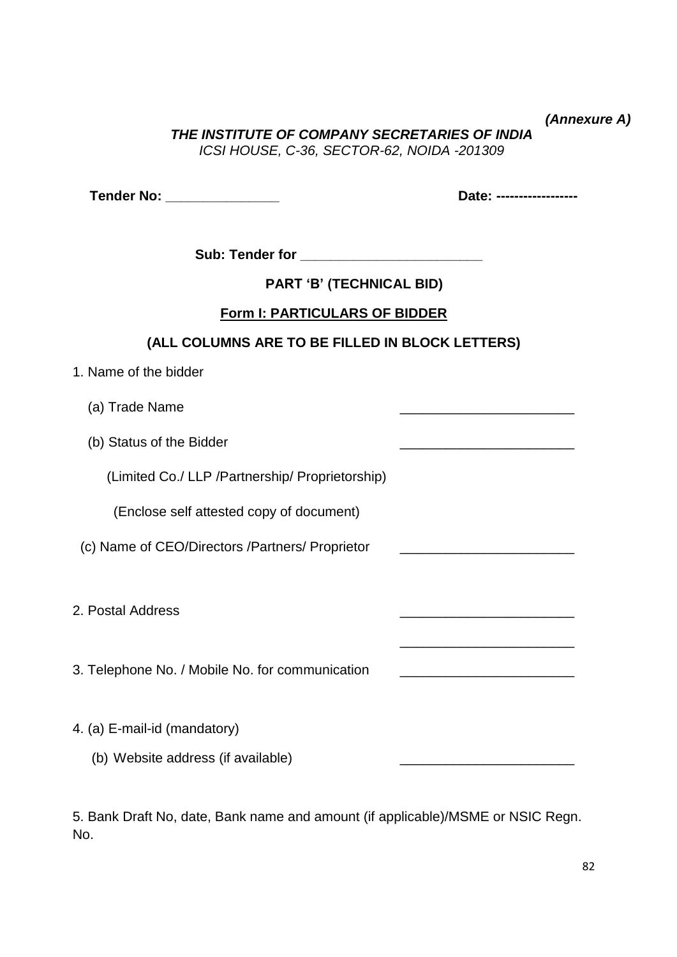*(Annexure A)* 

*THE INSTITUTE OF COMPANY SECRETARIES OF INDIA ICSI HOUSE, C-36, SECTOR-62, NOIDA -201309*

**Tender No: \_\_\_\_\_\_\_\_\_\_\_\_\_\_\_ Date: ------------------**

\_\_\_\_\_\_\_\_\_\_\_\_\_\_\_\_\_\_\_\_\_\_\_

Sub: Tender for **Example 20** 

**PART 'B' (TECHNICAL BID)**

## **Form I: PARTICULARS OF BIDDER**

# **(ALL COLUMNS ARE TO BE FILLED IN BLOCK LETTERS)**

| 1. Name of the bidder |  |
|-----------------------|--|
|-----------------------|--|

- (a) Trade Name
- (b) Status of the Bidder

(Limited Co./ LLP /Partnership/ Proprietorship)

(Enclose self attested copy of document)

(c) Name of CEO/Directors /Partners/ Proprietor \_\_\_\_\_\_\_\_\_\_\_\_\_\_\_\_\_\_\_\_\_\_\_

2. Postal Address \_\_\_\_\_\_\_\_\_\_\_\_\_\_\_\_\_\_\_\_\_\_\_

3. Telephone No. / Mobile No. for communication

- 4. (a) E-mail-id (mandatory)
	- (b) Website address (if available)

5. Bank Draft No, date, Bank name and amount (if applicable)/MSME or NSIC Regn. No.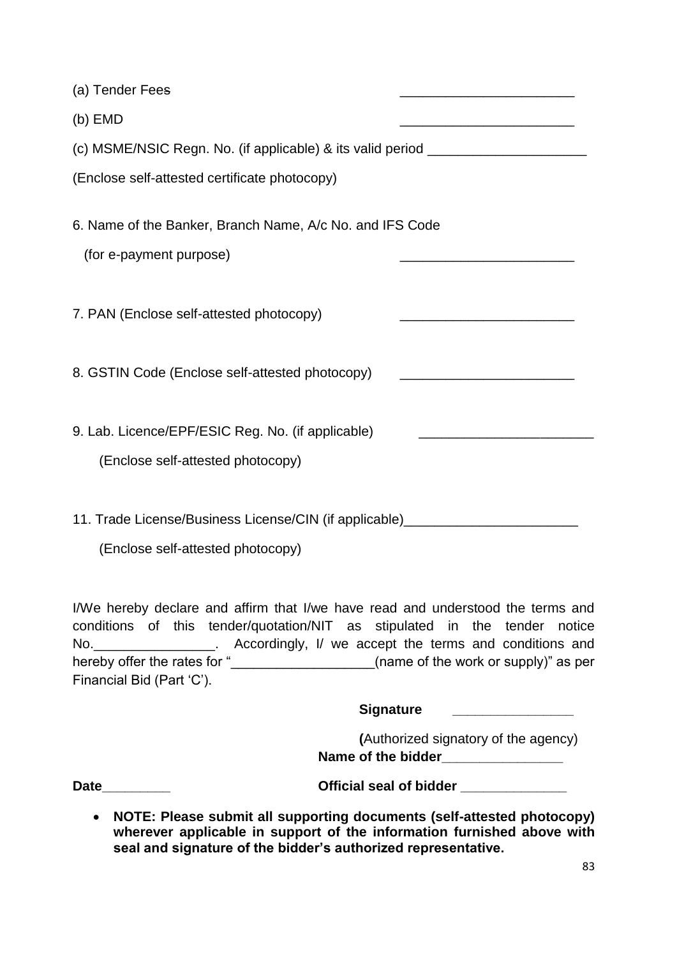| (a) Tender Fees                                                                        |                                                                                           |
|----------------------------------------------------------------------------------------|-------------------------------------------------------------------------------------------|
| $(b)$ EMD                                                                              | the control of the control of the control of the control of the control of the control of |
| (c) MSME/NSIC Regn. No. (if applicable) & its valid period _____________________       |                                                                                           |
| (Enclose self-attested certificate photocopy)                                          |                                                                                           |
| 6. Name of the Banker, Branch Name, A/c No. and IFS Code<br>(for e-payment purpose)    |                                                                                           |
| 7. PAN (Enclose self-attested photocopy)                                               |                                                                                           |
| 8. GSTIN Code (Enclose self-attested photocopy)                                        |                                                                                           |
| 9. Lab. Licence/EPF/ESIC Reg. No. (if applicable)<br>(Enclose self-attested photocopy) |                                                                                           |
| 11. Trade License/Business License/CIN (if applicable)__________________________       |                                                                                           |

(Enclose self-attested photocopy)

I/We hereby declare and affirm that I/we have read and understood the terms and conditions of this tender/quotation/NIT as stipulated in the tender notice No.\_\_\_\_\_\_\_\_\_\_\_\_\_\_\_\_\_\_. Accordingly, I/ we accept the terms and conditions and hereby offer the rates for "\_\_\_\_\_\_\_\_\_\_\_\_\_\_\_\_\_\_\_\_(name of the work or supply)" as per Financial Bid (Part 'C').

# **Signature \_\_\_\_\_\_\_\_\_\_\_\_\_\_\_\_**

|                    | (Authorized signatory of the agency) |
|--------------------|--------------------------------------|
| Name of the bidder |                                      |

**Date\_\_\_\_\_\_\_\_\_ Official seal of bidder \_\_\_\_\_\_\_\_\_\_\_\_\_\_**

 **NOTE: Please submit all supporting documents (self-attested photocopy)**  wherever applicable in support of the information furnished above with **seal and signature of the bidder's authorized representative.**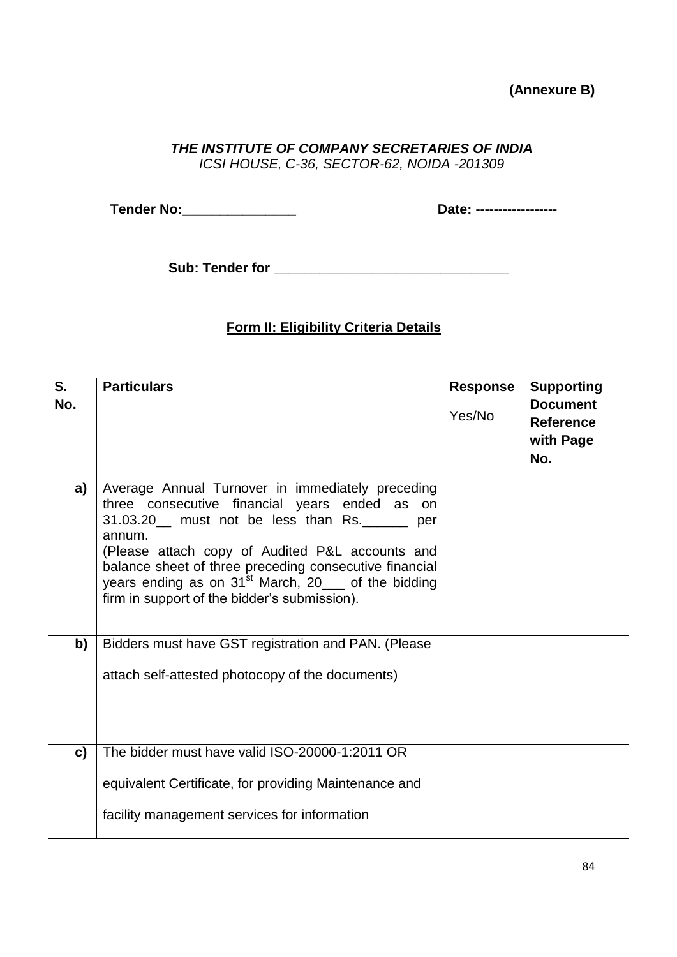## **(Annexure B)**

## *THE INSTITUTE OF COMPANY SECRETARIES OF INDIA*

*ICSI HOUSE, C-36, SECTOR-62, NOIDA -201309*

**Tender No:\_\_\_\_\_\_\_\_\_\_\_\_\_\_\_ Date: ------------------**

**Sub: Tender for \_\_\_\_\_\_\_\_\_\_\_\_\_\_\_\_\_\_\_\_\_\_\_\_\_\_\_\_\_\_\_**

### **Form II: Eligibility Criteria Details**

| S.<br>No. | <b>Particulars</b>                                                                                                                                                                                                                                                                                                                                                             | <b>Response</b><br>Yes/No | <b>Supporting</b><br><b>Document</b><br><b>Reference</b><br>with Page<br>No. |
|-----------|--------------------------------------------------------------------------------------------------------------------------------------------------------------------------------------------------------------------------------------------------------------------------------------------------------------------------------------------------------------------------------|---------------------------|------------------------------------------------------------------------------|
| a)        | Average Annual Turnover in immediately preceding<br>three consecutive financial years ended as on<br>31.03.20 must not be less than Rs.<br>per<br>annum.<br>(Please attach copy of Audited P&L accounts and<br>balance sheet of three preceding consecutive financial<br>years ending as on $31st$ March, 20___ of the bidding<br>firm in support of the bidder's submission). |                           |                                                                              |
| b)        | Bidders must have GST registration and PAN. (Please<br>attach self-attested photocopy of the documents)                                                                                                                                                                                                                                                                        |                           |                                                                              |
| c)        | The bidder must have valid ISO-20000-1:2011 OR<br>equivalent Certificate, for providing Maintenance and<br>facility management services for information                                                                                                                                                                                                                        |                           |                                                                              |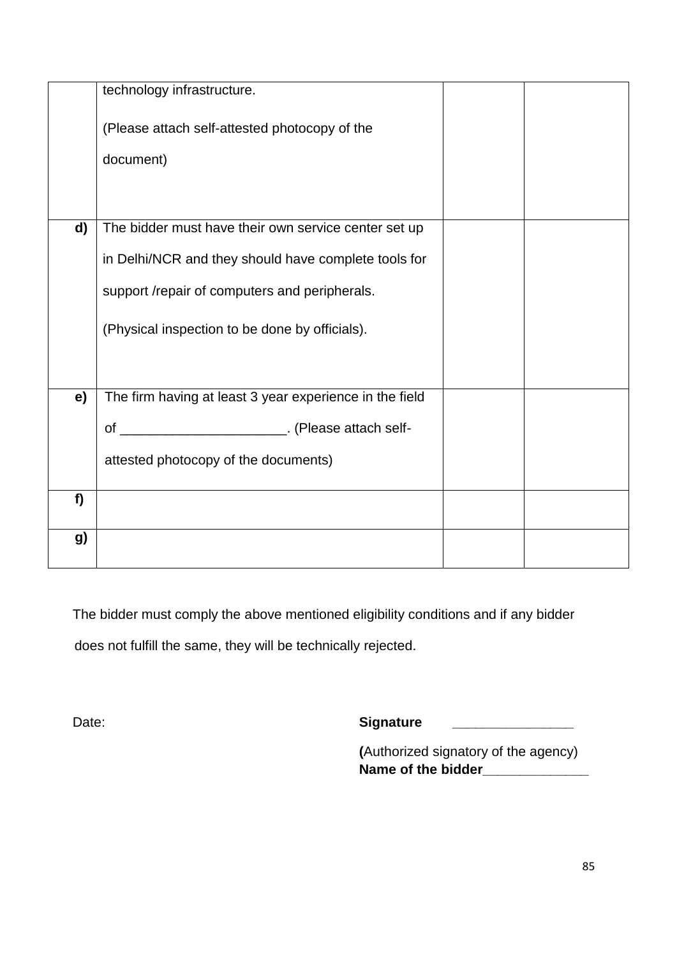|    | technology infrastructure.                              |  |
|----|---------------------------------------------------------|--|
|    | (Please attach self-attested photocopy of the           |  |
|    | document)                                               |  |
|    |                                                         |  |
| d) | The bidder must have their own service center set up    |  |
|    | in Delhi/NCR and they should have complete tools for    |  |
|    | support /repair of computers and peripherals.           |  |
|    | (Physical inspection to be done by officials).          |  |
|    |                                                         |  |
| e) | The firm having at least 3 year experience in the field |  |
|    | of ____________________________. (Please attach self-   |  |
|    | attested photocopy of the documents)                    |  |
| f  |                                                         |  |
|    |                                                         |  |
| g) |                                                         |  |
|    |                                                         |  |

The bidder must comply the above mentioned eligibility conditions and if any bidder

does not fulfill the same, they will be technically rejected.

Date: **Signature** 

**(**Authorized signatory of the agency) **Name of the bidder\_\_\_\_\_\_\_\_\_\_\_\_\_\_**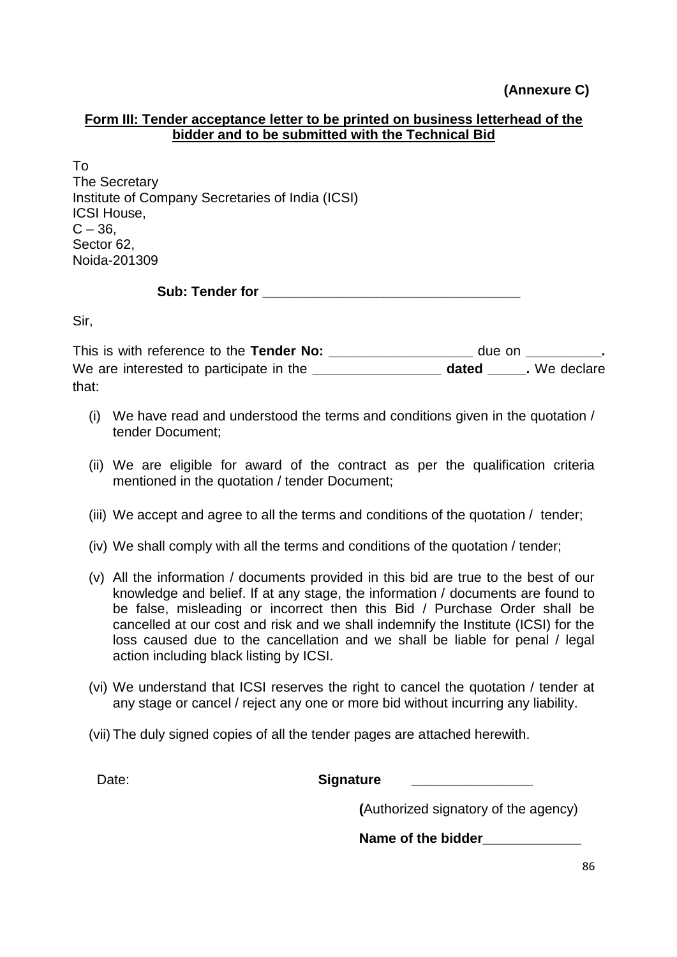### **Form III: Tender acceptance letter to be printed on business letterhead of the bidder and to be submitted with the Technical Bid**

To The Secretary Institute of Company Secretaries of India (ICSI) ICSI House,  $C - 36$ Sector 62, Noida-201309

Sub: Tender for **Exercise 2018** 

Sir,

This is with reference to the **Tender No: \_\_\_\_\_\_\_\_\_\_\_\_\_\_\_\_\_\_\_** due on **\_\_\_\_\_\_\_\_\_\_.**  We are interested to participate in the **\_\_\_\_\_\_\_\_\_\_\_\_\_\_\_\_\_\_\_\_\_\_ dated** Fig. We declare that:

- (i) We have read and understood the terms and conditions given in the quotation / tender Document;
- (ii) We are eligible for award of the contract as per the qualification criteria mentioned in the quotation / tender Document;
- (iii) We accept and agree to all the terms and conditions of the quotation / tender;
- (iv) We shall comply with all the terms and conditions of the quotation / tender;
- (v) All the information / documents provided in this bid are true to the best of our knowledge and belief. If at any stage, the information / documents are found to be false, misleading or incorrect then this Bid / Purchase Order shall be cancelled at our cost and risk and we shall indemnify the Institute (ICSI) for the loss caused due to the cancellation and we shall be liable for penal / legal action including black listing by ICSI.
- (vi) We understand that ICSI reserves the right to cancel the quotation / tender at any stage or cancel / reject any one or more bid without incurring any liability.
- (vii) The duly signed copies of all the tender pages are attached herewith.

Date: **Date: Signature** 

**(**Authorized signatory of the agency)

Name of the bidder